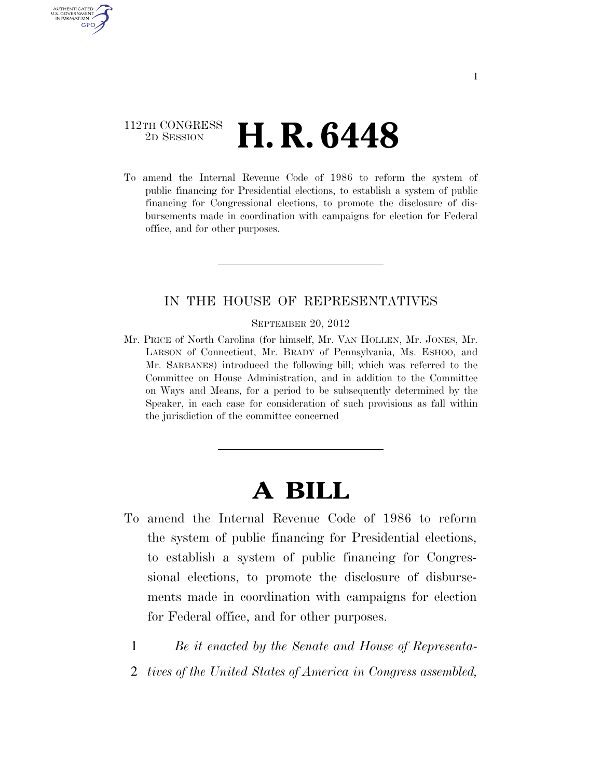### 112TH CONGRESS 2D SESSION **H. R. 6448**

AUTHENTICATED U.S. GOVERNMENT **GPO** 

> To amend the Internal Revenue Code of 1986 to reform the system of public financing for Presidential elections, to establish a system of public financing for Congressional elections, to promote the disclosure of disbursements made in coordination with campaigns for election for Federal office, and for other purposes.

### IN THE HOUSE OF REPRESENTATIVES

SEPTEMBER 20, 2012

Mr. PRICE of North Carolina (for himself, Mr. VAN HOLLEN, Mr. JONES, Mr. LARSON of Connecticut, Mr. BRADY of Pennsylvania, Ms. ESHOO, and Mr. SARBANES) introduced the following bill; which was referred to the Committee on House Administration, and in addition to the Committee on Ways and Means, for a period to be subsequently determined by the Speaker, in each case for consideration of such provisions as fall within the jurisdiction of the committee concerned

# **A BILL**

- To amend the Internal Revenue Code of 1986 to reform the system of public financing for Presidential elections, to establish a system of public financing for Congressional elections, to promote the disclosure of disbursements made in coordination with campaigns for election for Federal office, and for other purposes.
	- 1 *Be it enacted by the Senate and House of Representa-*
	- 2 *tives of the United States of America in Congress assembled,*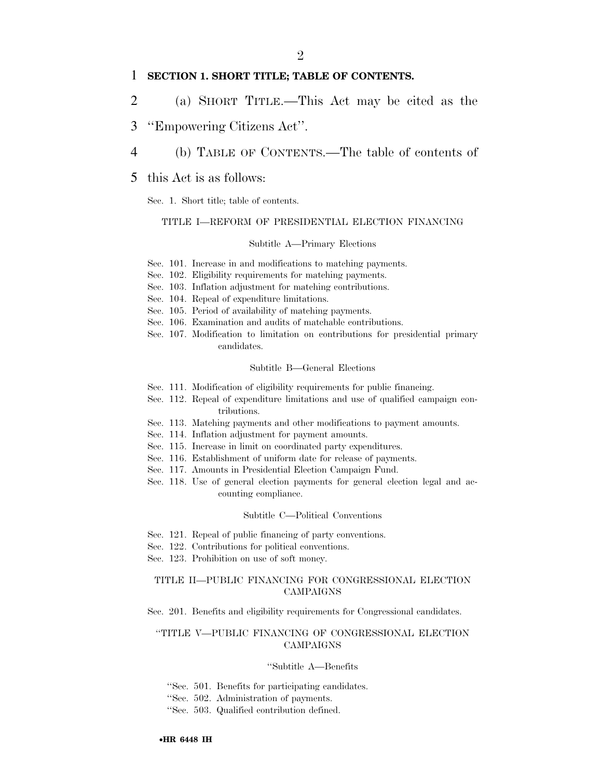### 1 **SECTION 1. SHORT TITLE; TABLE OF CONTENTS.**

- 2 (a) SHORT TITLE.—This Act may be cited as the
- 3 ''Empowering Citizens Act''.
- 4 (b) TABLE OF CONTENTS.—The table of contents of
- 5 this Act is as follows:

Sec. 1. Short title; table of contents.

### TITLE I—REFORM OF PRESIDENTIAL ELECTION FINANCING

### Subtitle A—Primary Elections

- Sec. 101. Increase in and modifications to matching payments.
- Sec. 102. Eligibility requirements for matching payments.
- Sec. 103. Inflation adjustment for matching contributions.
- Sec. 104. Repeal of expenditure limitations.
- Sec. 105. Period of availability of matching payments.
- Sec. 106. Examination and audits of matchable contributions.
- Sec. 107. Modification to limitation on contributions for presidential primary candidates.

#### Subtitle B—General Elections

- Sec. 111. Modification of eligibility requirements for public financing.
- Sec. 112. Repeal of expenditure limitations and use of qualified campaign contributions.
- Sec. 113. Matching payments and other modifications to payment amounts.
- Sec. 114. Inflation adjustment for payment amounts.
- Sec. 115. Increase in limit on coordinated party expenditures.
- Sec. 116. Establishment of uniform date for release of payments.
- Sec. 117. Amounts in Presidential Election Campaign Fund.
- Sec. 118. Use of general election payments for general election legal and accounting compliance.

### Subtitle C—Political Conventions

- Sec. 121. Repeal of public financing of party conventions.
- Sec. 122. Contributions for political conventions.
- Sec. 123. Prohibition on use of soft money.

### TITLE II—PUBLIC FINANCING FOR CONGRESSIONAL ELECTION CAMPAIGNS

Sec. 201. Benefits and eligibility requirements for Congressional candidates.

### ''TITLE V—PUBLIC FINANCING OF CONGRESSIONAL ELECTION CAMPAIGNS

#### ''Subtitle A—Benefits

''Sec. 501. Benefits for participating candidates.

''Sec. 502. Administration of payments.

''Sec. 503. Qualified contribution defined.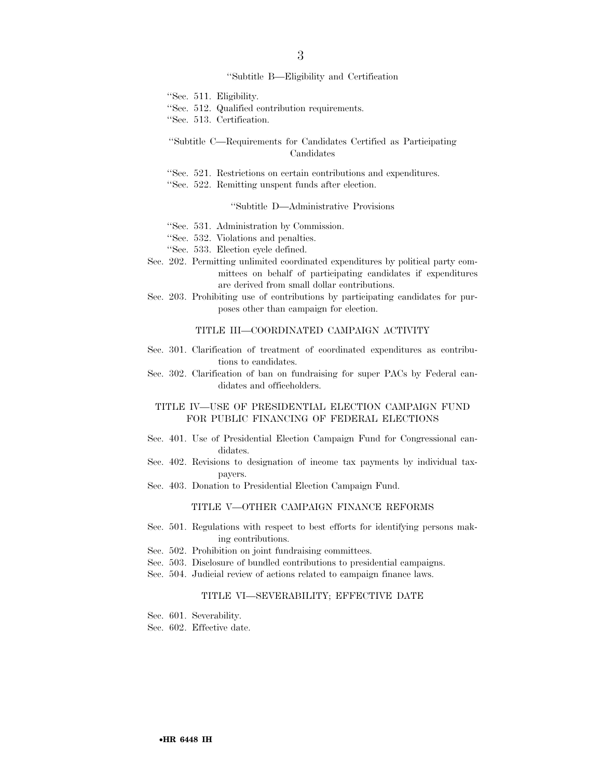### 3

#### ''Subtitle B—Eligibility and Certification

''Sec. 511. Eligibility.

- ''Sec. 512. Qualified contribution requirements.
- ''Sec. 513. Certification.

### ''Subtitle C—Requirements for Candidates Certified as Participating Candidates

- ''Sec. 521. Restrictions on certain contributions and expenditures.
- ''Sec. 522. Remitting unspent funds after election.

### ''Subtitle D—Administrative Provisions

- ''Sec. 531. Administration by Commission.
- ''Sec. 532. Violations and penalties.
- ''Sec. 533. Election cycle defined.
- Sec. 202. Permitting unlimited coordinated expenditures by political party committees on behalf of participating candidates if expenditures are derived from small dollar contributions.
- Sec. 203. Prohibiting use of contributions by participating candidates for purposes other than campaign for election.

### TITLE III—COORDINATED CAMPAIGN ACTIVITY

- Sec. 301. Clarification of treatment of coordinated expenditures as contributions to candidates.
- Sec. 302. Clarification of ban on fundraising for super PACs by Federal candidates and officeholders.

### TITLE IV—USE OF PRESIDENTIAL ELECTION CAMPAIGN FUND FOR PUBLIC FINANCING OF FEDERAL ELECTIONS

- Sec. 401. Use of Presidential Election Campaign Fund for Congressional candidates.
- Sec. 402. Revisions to designation of income tax payments by individual taxpayers.
- Sec. 403. Donation to Presidential Election Campaign Fund.

### TITLE V—OTHER CAMPAIGN FINANCE REFORMS

- Sec. 501. Regulations with respect to best efforts for identifying persons making contributions.
- Sec. 502. Prohibition on joint fundraising committees.
- Sec. 503. Disclosure of bundled contributions to presidential campaigns.
- Sec. 504. Judicial review of actions related to campaign finance laws.

### TITLE VI—SEVERABILITY; EFFECTIVE DATE

- Sec. 601. Severability.
- Sec. 602. Effective date.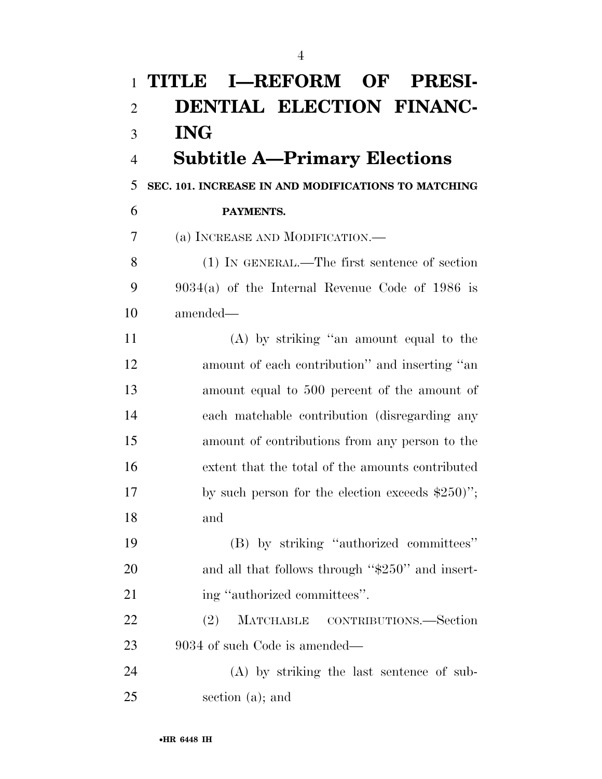| $\mathbf{1}$   | TITLE I-REFORM OF PRESI-                            |
|----------------|-----------------------------------------------------|
| $\overline{2}$ | DENTIAL ELECTION FINANC-                            |
| 3              | <b>ING</b>                                          |
| $\overline{4}$ | <b>Subtitle A-Primary Elections</b>                 |
| 5              | SEC. 101. INCREASE IN AND MODIFICATIONS TO MATCHING |
| 6              | PAYMENTS.                                           |
| 7              | (a) INCREASE AND MODIFICATION.—                     |
| 8              | (1) IN GENERAL.—The first sentence of section       |
| 9              | $9034(a)$ of the Internal Revenue Code of 1986 is   |
| 10             | amended—                                            |
| 11             | (A) by striking "an amount equal to the             |
| 12             | amount of each contribution" and inserting "an      |
| 13             | amount equal to 500 percent of the amount of        |
| 14             | each matchable contribution (disregarding any       |
| 15             | amount of contributions from any person to the      |
| 16             | extent that the total of the amounts contributed    |
| 17             | by such person for the election exceeds $$250$ ";   |
| 18             | and                                                 |
| 19             | (B) by striking "authorized committees"             |
| 20             | and all that follows through "\$250" and insert-    |
| 21             | ing "authorized committees".                        |
| 22             | MATCHABLE CONTRIBUTIONS.—Section<br>(2)             |
| 23             | 9034 of such Code is amended—                       |
| 24             | (A) by striking the last sentence of sub-           |
| 25             | section $(a)$ ; and                                 |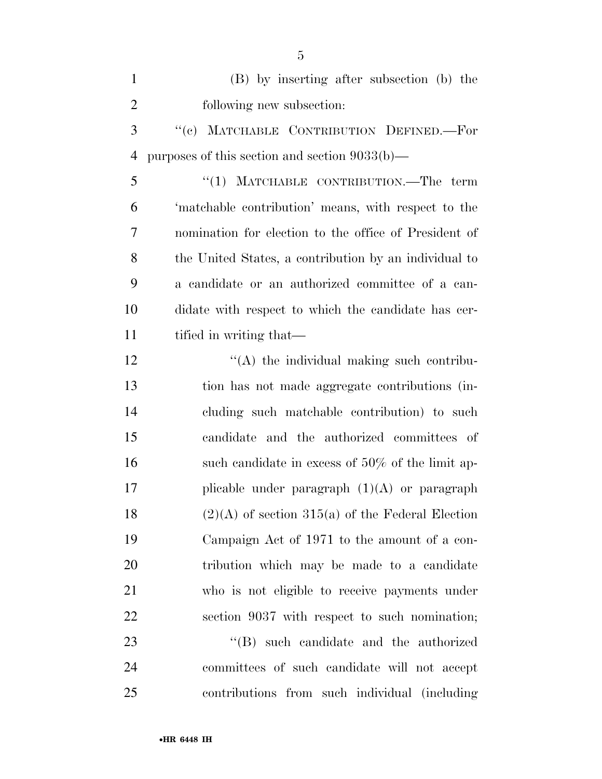| $\mathbf{1}$   | (B) by inserting after subsection (b) the             |
|----------------|-------------------------------------------------------|
| $\overline{2}$ | following new subsection:                             |
| 3              | "(c) MATCHABLE CONTRIBUTION DEFINED.-For              |
| $\overline{4}$ | purposes of this section and section $9033(b)$ —      |
| 5              | "(1) MATCHABLE CONTRIBUTION.—The term                 |
| 6              | 'matchable contribution' means, with respect to the   |
| 7              | nomination for election to the office of President of |
| 8              | the United States, a contribution by an individual to |
| 9              | a candidate or an authorized committee of a can-      |
| 10             | didate with respect to which the candidate has cer-   |
| 11             | tified in writing that—                               |
| 12             | "(A) the individual making such contribu-             |
| 13             | tion has not made aggregate contributions (in-        |
| 14             | cluding such matchable contribution) to such          |
| 15             | candidate and the authorized committees of            |
| 16             | such candidate in excess of $50\%$ of the limit ap-   |
| 17             | plicable under paragraph $(1)(A)$ or paragraph        |
| 18             | $(2)(A)$ of section 315(a) of the Federal Election    |
| 19             | Campaign Act of 1971 to the amount of a con-          |
| 20             | tribution which may be made to a candidate            |
| 21             | who is not eligible to receive payments under         |
| 22             | section 9037 with respect to such nomination;         |
| 23             | $\lq\lq$ such candidate and the authorized            |
| 24             | committees of such candidate will not accept          |
| $25\,$         | contributions from such individual (including         |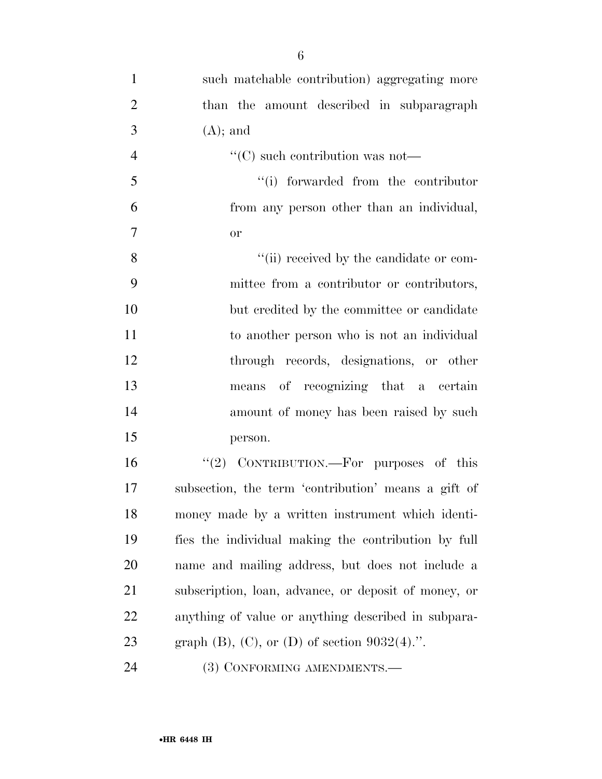| $\mathbf{1}$   | such matchable contribution) aggregating more        |
|----------------|------------------------------------------------------|
| $\overline{2}$ | than the amount described in subparagraph            |
| 3              | $(A)$ ; and                                          |
| $\overline{4}$ | $\lq\lq$ such contribution was not—                  |
| 5              | "(i) forwarded from the contributor                  |
| 6              | from any person other than an individual,            |
| $\overline{7}$ | <b>or</b>                                            |
| 8              | "(ii) received by the candidate or com-              |
| 9              | mittee from a contributor or contributors,           |
| 10             | but credited by the committee or candidate           |
| 11             | to another person who is not an individual           |
| 12             | through records, designations, or other              |
| 13             | means of recognizing that a certain                  |
| 14             | amount of money has been raised by such              |
| 15             | person.                                              |
| 16             | " $(2)$ CONTRIBUTION.—For purposes of this           |
| 17             | subsection, the term 'contribution' means a gift of  |
| 18             | money made by a written instrument which identi-     |
| 19             | fies the individual making the contribution by full  |
| 20             | name and mailing address, but does not include a     |
| 21             | subscription, loan, advance, or deposit of money, or |
| 22             | anything of value or anything described in subpara-  |
| 23             | graph $(B)$ , $(C)$ , or $(D)$ of section 9032(4).". |
| 24             | (3) CONFORMING AMENDMENTS.-                          |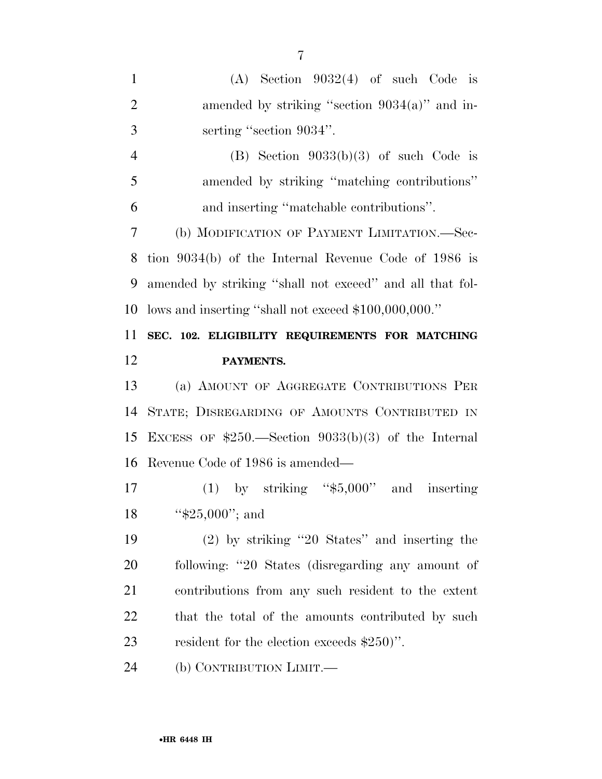$(A)$  Section  $9032(4)$  of such Code is 2 amended by striking "section 9034(a)" and in- serting ''section 9034''. 4 (B) Section  $9033(b)(3)$  of such Code is amended by striking ''matching contributions'' and inserting ''matchable contributions''. (b) MODIFICATION OF PAYMENT LIMITATION.—Sec- tion 9034(b) of the Internal Revenue Code of 1986 is amended by striking ''shall not exceed'' and all that fol- lows and inserting ''shall not exceed \$100,000,000.'' **SEC. 102. ELIGIBILITY REQUIREMENTS FOR MATCHING PAYMENTS.**  (a) AMOUNT OF AGGREGATE CONTRIBUTIONS PER STATE; DISREGARDING OF AMOUNTS CONTRIBUTED IN EXCESS OF \$250.—Section 9033(b)(3) of the Internal Revenue Code of 1986 is amended— (1) by striking ''\$5,000'' and inserting 18 '\$25,000"; and (2) by striking ''20 States'' and inserting the following: ''20 States (disregarding any amount of contributions from any such resident to the extent 22 that the total of the amounts contributed by such resident for the election exceeds \$250)''. (b) CONTRIBUTION LIMIT.—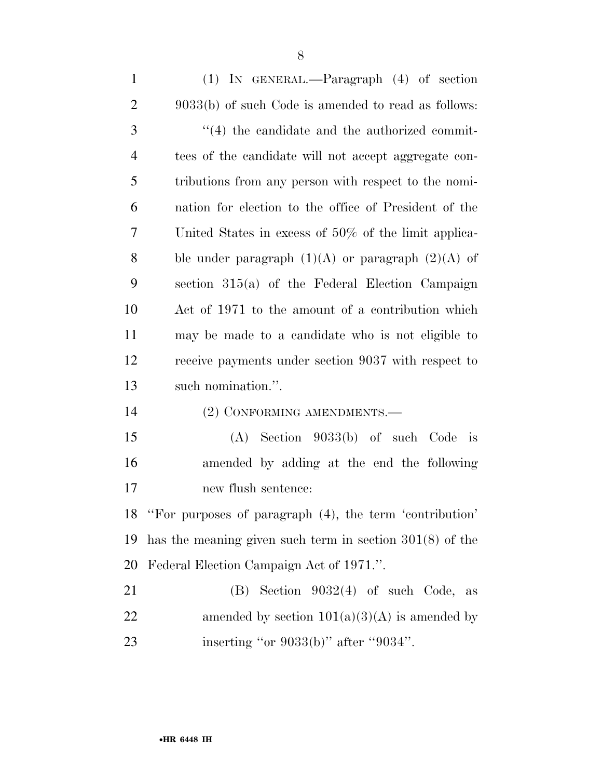| $\mathbf{1}$   | $(1)$ IN GENERAL.—Paragraph $(4)$ of section               |
|----------------|------------------------------------------------------------|
| $\overline{2}$ | $9033(b)$ of such Code is amended to read as follows:      |
| 3              | $\cdot$ (4) the candidate and the authorized commit-       |
| $\overline{4}$ | tees of the candidate will not accept aggregate con-       |
| 5              | tributions from any person with respect to the nomi-       |
| 6              | nation for election to the office of President of the      |
| 7              | United States in excess of $50\%$ of the limit applica-    |
| 8              | ble under paragraph $(1)(A)$ or paragraph $(2)(A)$ of      |
| 9              | section $315(a)$ of the Federal Election Campaign          |
| 10             | Act of 1971 to the amount of a contribution which          |
| 11             | may be made to a candidate who is not eligible to          |
| 12             | receive payments under section 9037 with respect to        |
| 13             | such nomination.".                                         |
| 14             | (2) CONFORMING AMENDMENTS.—                                |
| 15             | $(A)$ Section 9033(b) of such Code<br>$\frac{1}{1}$        |
| 16             | amended by adding at the end the following                 |
| 17             | new flush sentence:                                        |
|                | 18 "For purposes of paragraph (4), the term 'contribution' |
| 19             | has the meaning given such term in section $301(8)$ of the |
| 20             | Federal Election Campaign Act of 1971.".                   |
| 21             | $(B)$ Section 9032(4) of such Code, as                     |
| 22             | amended by section $101(a)(3)(A)$ is amended by            |
| 23             | inserting "or 9033(b)" after "9034".                       |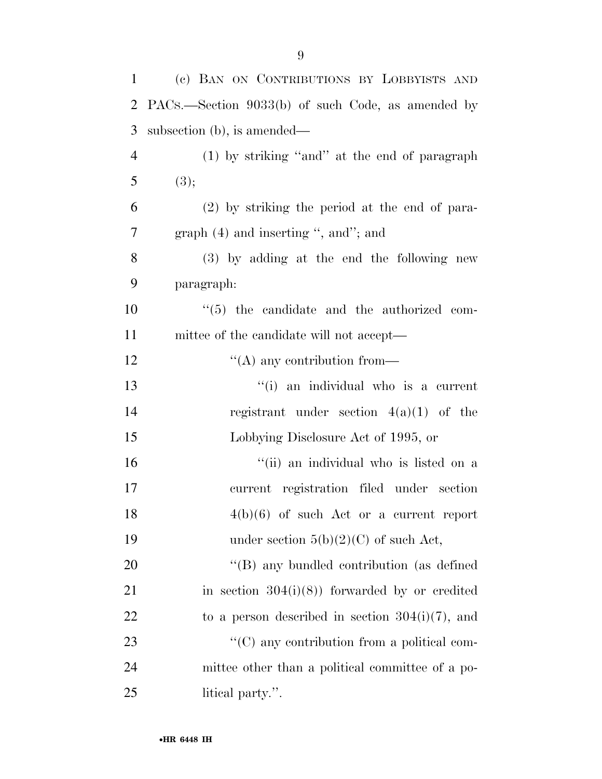| 1              | (c) BAN ON CONTRIBUTIONS BY LOBBYISTS AND         |
|----------------|---------------------------------------------------|
| $\overline{2}$ | PACs.—Section 9033(b) of such Code, as amended by |
| 3              | subsection (b), is amended—                       |
| $\overline{4}$ | (1) by striking "and" at the end of paragraph     |
| 5              | (3);                                              |
| 6              | $(2)$ by striking the period at the end of para-  |
| $\overline{7}$ | graph $(4)$ and inserting ", and"; and            |
| 8              | $(3)$ by adding at the end the following new      |
| 9              | paragraph:                                        |
| 10             | $\lq(5)$ the candidate and the authorized com-    |
| 11             | mittee of the candidate will not accept—          |
| 12             | $\lq\lq$ any contribution from—                   |
| 13             | "(i) an individual who is a current               |
| 14             | registrant under section $4(a)(1)$ of the         |
| 15             | Lobbying Disclosure Act of 1995, or               |
| 16             | "(ii) an individual who is listed on a            |
| 17             | current registration filed under section          |
| 18             | $4(b)(6)$ of such Act or a current report         |
| 19             | under section $5(b)(2)(C)$ of such Act,           |
| 20             | "(B) any bundled contribution (as defined         |
| 21             | in section $304(i)(8)$ forwarded by or credited   |
|                |                                                   |

23 ''(C) any contribution from a political com- mittee other than a political committee of a po-25 litical party.".

22 to a person described in section  $304(i)(7)$ , and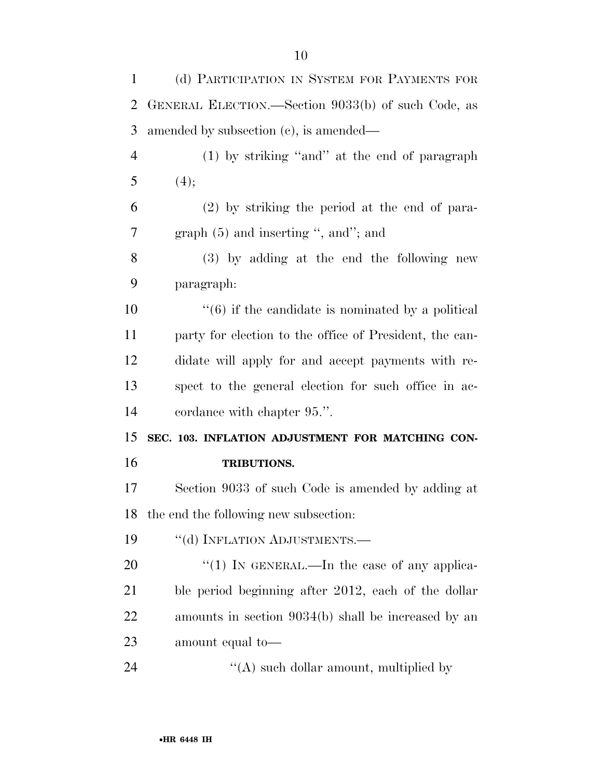(d) PARTICIPATION IN SYSTEM FOR PAYMENTS FOR GENERAL ELECTION.—Section 9033(b) of such Code, as amended by subsection (c), is amended— (1) by striking ''and'' at the end of paragraph 5  $(4);$  (2) by striking the period at the end of para- graph (5) and inserting '', and''; and (3) by adding at the end the following new paragraph:  $\frac{10}{10}$  ''(6) if the candidate is nominated by a political party for election to the office of President, the can- didate will apply for and accept payments with re- spect to the general election for such office in ac- cordance with chapter 95.''. **SEC. 103. INFLATION ADJUSTMENT FOR MATCHING CON- TRIBUTIONS.**  Section 9033 of such Code is amended by adding at the end the following new subsection: 19 "(d) INFLATION ADJUSTMENTS.—  $\frac{1}{20}$  IN GENERAL.—In the case of any applica- ble period beginning after 2012, each of the dollar amounts in section 9034(b) shall be increased by an

amount equal to—

''(A) such dollar amount, multiplied by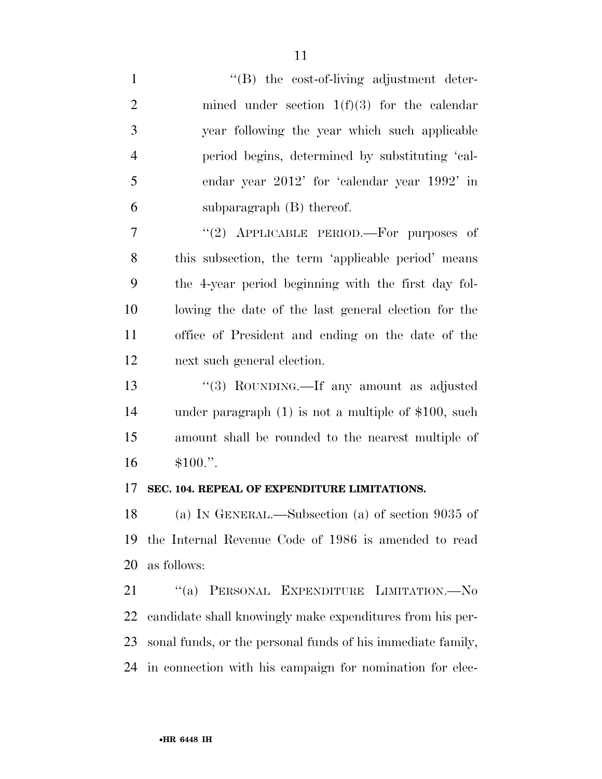1 ''(B) the cost-of-living adjustment deter-2 mined under section  $1(f)(3)$  for the calendar year following the year which such applicable period begins, determined by substituting 'cal- endar year 2012' for 'calendar year 1992' in subparagraph (B) thereof. 7 "(2) APPLICABLE PERIOD.—For purposes of this subsection, the term 'applicable period' means the 4-year period beginning with the first day fol- lowing the date of the last general election for the office of President and ending on the date of the next such general election. 13 "(3) ROUNDING.—If any amount as adjusted under paragraph (1) is not a multiple of \$100, such amount shall be rounded to the nearest multiple of \$100.''. **SEC. 104. REPEAL OF EXPENDITURE LIMITATIONS.**  (a) IN GENERAL.—Subsection (a) of section 9035 of the Internal Revenue Code of 1986 is amended to read

as follows:

 ''(a) PERSONAL EXPENDITURE LIMITATION.—No candidate shall knowingly make expenditures from his per- sonal funds, or the personal funds of his immediate family, in connection with his campaign for nomination for elec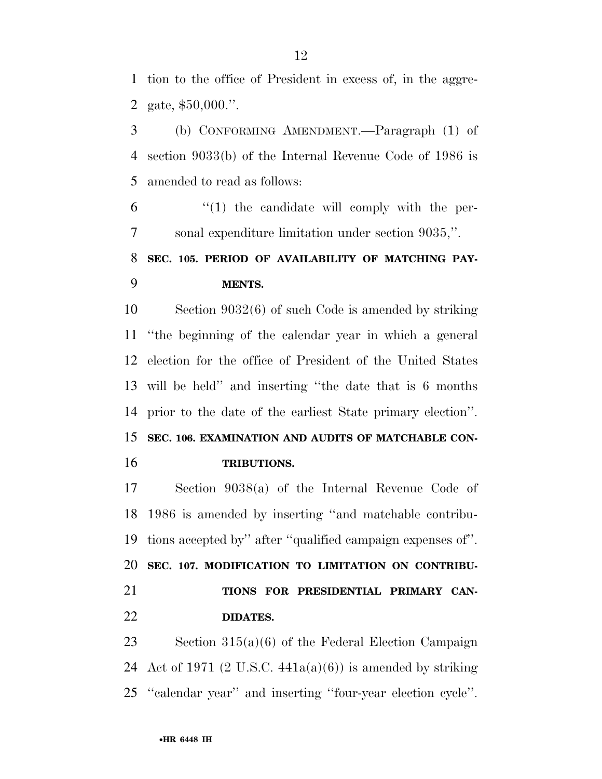tion to the office of President in excess of, in the aggre-gate, \$50,000.''.

 (b) CONFORMING AMENDMENT.—Paragraph (1) of section 9033(b) of the Internal Revenue Code of 1986 is amended to read as follows:

 $(1)$  the candidate will comply with the per-sonal expenditure limitation under section 9035,''.

## **SEC. 105. PERIOD OF AVAILABILITY OF MATCHING PAY-MENTS.**

 Section 9032(6) of such Code is amended by striking ''the beginning of the calendar year in which a general election for the office of President of the United States will be held'' and inserting ''the date that is 6 months prior to the date of the earliest State primary election''. **SEC. 106. EXAMINATION AND AUDITS OF MATCHABLE CON-**

**TRIBUTIONS.** 

 Section 9038(a) of the Internal Revenue Code of 1986 is amended by inserting ''and matchable contribu-tions accepted by'' after ''qualified campaign expenses of''.

**SEC. 107. MODIFICATION TO LIMITATION ON CONTRIBU-**

 **TIONS FOR PRESIDENTIAL PRIMARY CAN-DIDATES.** 

 Section 315(a)(6) of the Federal Election Campaign 24 Act of 1971 (2 U.S.C.  $441a(a)(6)$ ) is amended by striking ''calendar year'' and inserting ''four-year election cycle''.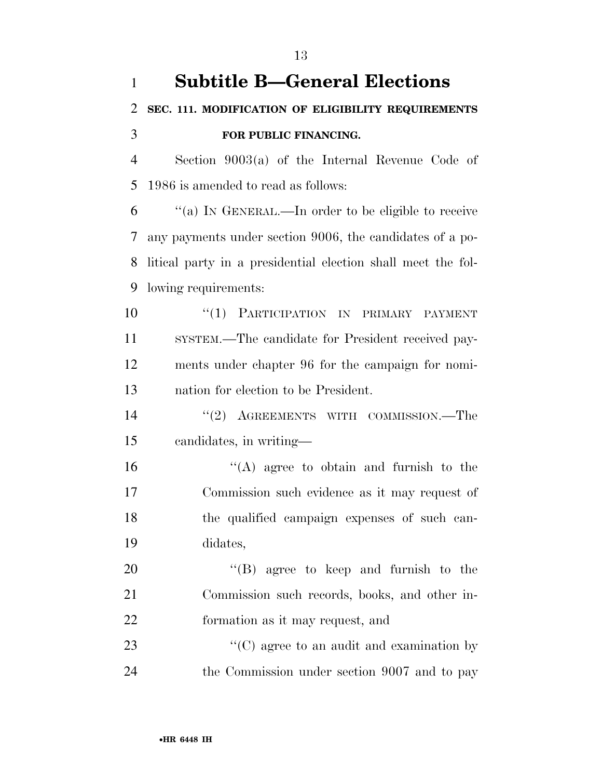| $\mathbf{1}$   | <b>Subtitle B—General Elections</b>                          |
|----------------|--------------------------------------------------------------|
| 2              | SEC. 111. MODIFICATION OF ELIGIBILITY REQUIREMENTS           |
| 3              | FOR PUBLIC FINANCING.                                        |
| $\overline{4}$ | Section $9003(a)$ of the Internal Revenue Code of            |
| 5              | 1986 is amended to read as follows:                          |
| 6              | "(a) IN GENERAL.—In order to be eligible to receive          |
| 7              | any payments under section 9006, the candidates of a po-     |
| 8              | litical party in a presidential election shall meet the fol- |
| 9              | lowing requirements:                                         |
| 10             | PARTICIPATION IN PRIMARY PAYMENT<br>``(1)                    |
| 11             | SYSTEM.—The candidate for President received pay-            |
| 12             | ments under chapter 96 for the campaign for nomi-            |
| 13             | nation for election to be President.                         |
| 14             | "(2) AGREEMENTS WITH COMMISSION.—The                         |
| 15             | candidates, in writing-                                      |
| 16             | $\lq\lq$ agree to obtain and furnish to the                  |
| 17             | Commission such evidence as it may request of                |
| 18             | the qualified campaign expenses of such can-                 |
| 19             | didates,                                                     |
| 20             | $\lq\lq$ (B) agree to keep and furnish to the                |
| 21             | Commission such records, books, and other in-                |
| 22             | formation as it may request, and                             |
| 23             | $\cdot\cdot$ (C) agree to an audit and examination by        |
| 24             | the Commission under section 9007 and to pay                 |

•**HR 6448 IH**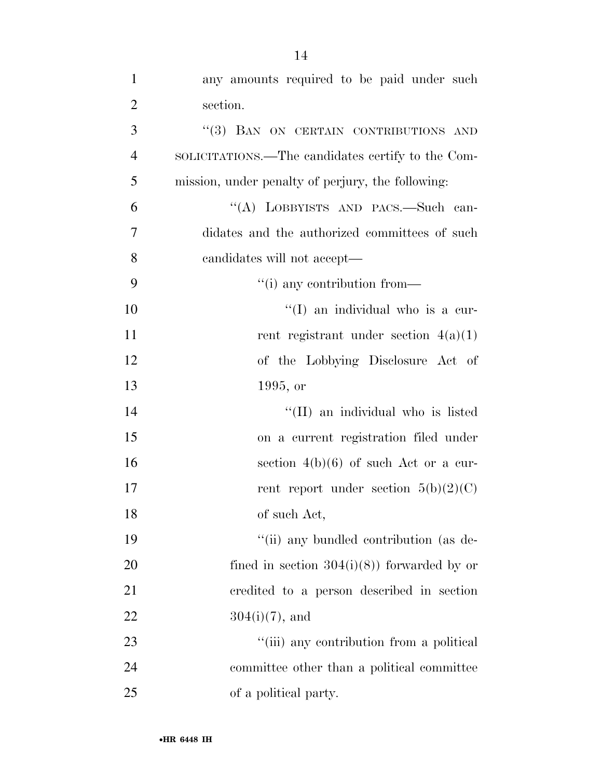| $\mathbf{1}$   | any amounts required to be paid under such        |
|----------------|---------------------------------------------------|
| $\overline{2}$ | section.                                          |
| 3              | "(3) BAN ON CERTAIN CONTRIBUTIONS AND             |
| $\overline{4}$ | SOLICITATIONS.—The candidates certify to the Com- |
| 5              | mission, under penalty of perjury, the following: |
| 6              | "(A) LOBBYISTS AND PACS.-Such can-                |
| 7              | didates and the authorized committees of such     |
| 8              | candidates will not accept—                       |
| 9              | "(i) any contribution from—                       |
| 10             | "(I) an individual who is a cur-                  |
| 11             | rent registrant under section $4(a)(1)$           |
| 12             | of the Lobbying Disclosure Act of                 |
| 13             | 1995, or                                          |
| 14             | "(II) an individual who is listed                 |
| 15             | on a current registration filed under             |
| 16             | section $4(b)(6)$ of such Act or a cur-           |
| 17             | rent report under section $5(b)(2)(C)$            |
| 18             | of such Act,                                      |
| 19             | "(ii) any bundled contribution (as de-            |
| 20             | fined in section $304(i)(8)$ forwarded by or      |
| 21             | credited to a person described in section         |
| 22             | $304(i)(7)$ , and                                 |
| 23             | "(iii) any contribution from a political          |
| 24             | committee other than a political committee        |
| 25             | of a political party.                             |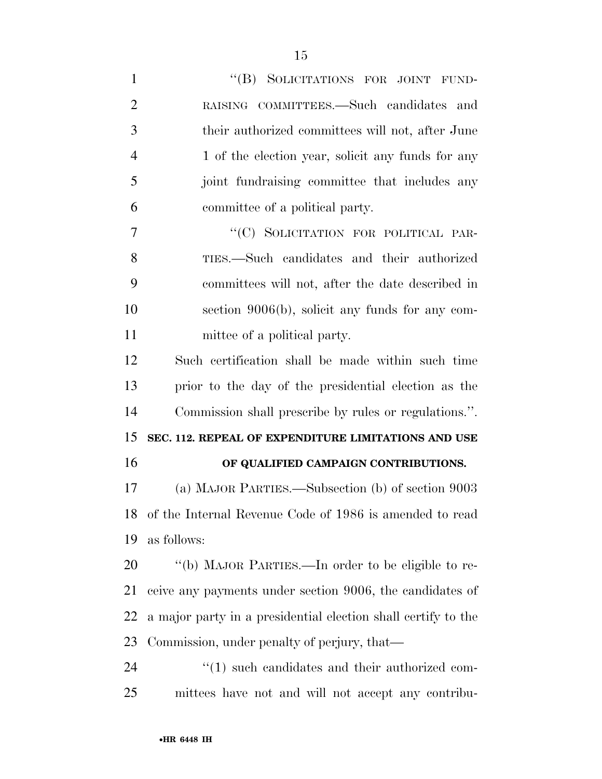| $\mathbf{1}$   | "(B) SOLICITATIONS FOR JOINT FUND-                            |
|----------------|---------------------------------------------------------------|
| $\overline{2}$ | RAISING COMMITTEES.—Such candidates and                       |
| 3              | their authorized committees will not, after June              |
| $\overline{4}$ | 1 of the election year, solicit any funds for any             |
| 5              | joint fundraising committee that includes any                 |
| 6              | committee of a political party.                               |
| 7              | "(C) SOLICITATION FOR POLITICAL PAR-                          |
| 8              | TIES.—Such candidates and their authorized                    |
| 9              | committees will not, after the date described in              |
| 10             | section 9006(b), solicit any funds for any com-               |
| 11             | mittee of a political party.                                  |
| 12             | Such certification shall be made within such time             |
| 13             | prior to the day of the presidential election as the          |
| 14             | Commission shall prescribe by rules or regulations.".         |
| 15             | SEC. 112. REPEAL OF EXPENDITURE LIMITATIONS AND USE           |
| 16             | OF QUALIFIED CAMPAIGN CONTRIBUTIONS.                          |
| 17             | (a) MAJOR PARTIES.—Subsection (b) of section 9003             |
| 18             | of the Internal Revenue Code of 1986 is amended to read       |
| 19             | as follows:                                                   |
| 20             | "(b) MAJOR PARTIES.—In order to be eligible to re-            |
| 21             | ceive any payments under section 9006, the candidates of      |
| 22             | a major party in a presidential election shall certify to the |
| 23             | Commission, under penalty of perjury, that—                   |
| 24             | $\lq(1)$ such candidates and their authorized com-            |
|                |                                                               |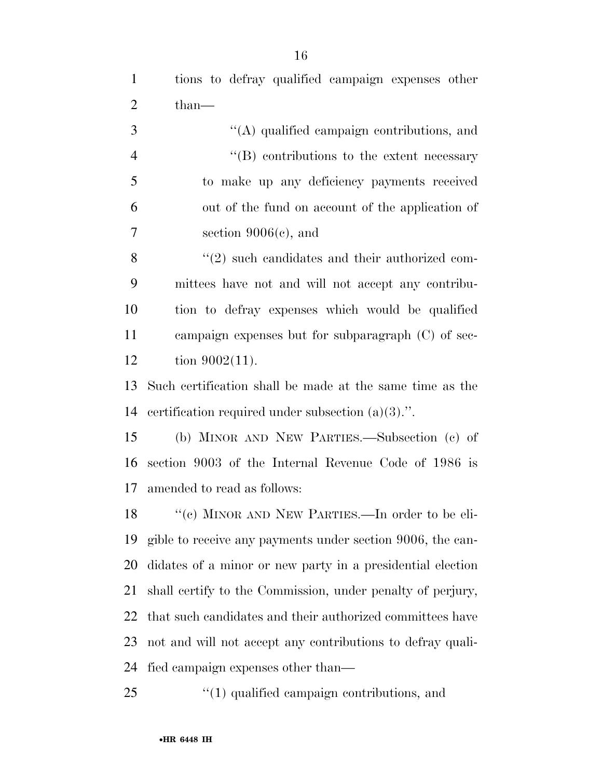tions to defray qualified campaign expenses other 2 than—

|    | $\lq\lq$ qualified campaign contributions, and     |
|----|----------------------------------------------------|
|    | $\lq\lq (B)$ contributions to the extent necessary |
| -5 | to make up any deficiency payments received        |
| -6 | out of the fund on account of the application of   |
| 7  | section $9006(c)$ , and                            |

8 ''(2) such candidates and their authorized com- mittees have not and will not accept any contribu- tion to defray expenses which would be qualified campaign expenses but for subparagraph (C) of sec-tion 9002(11).

 Such certification shall be made at the same time as the certification required under subsection (a)(3).''.

 (b) MINOR AND NEW PARTIES.—Subsection (c) of section 9003 of the Internal Revenue Code of 1986 is amended to read as follows:

18 "(c) MINOR AND NEW PARTIES.—In order to be eli- gible to receive any payments under section 9006, the can- didates of a minor or new party in a presidential election shall certify to the Commission, under penalty of perjury, that such candidates and their authorized committees have not and will not accept any contributions to defray quali-fied campaign expenses other than—

25  $\frac{1}{25}$  (1) qualified campaign contributions, and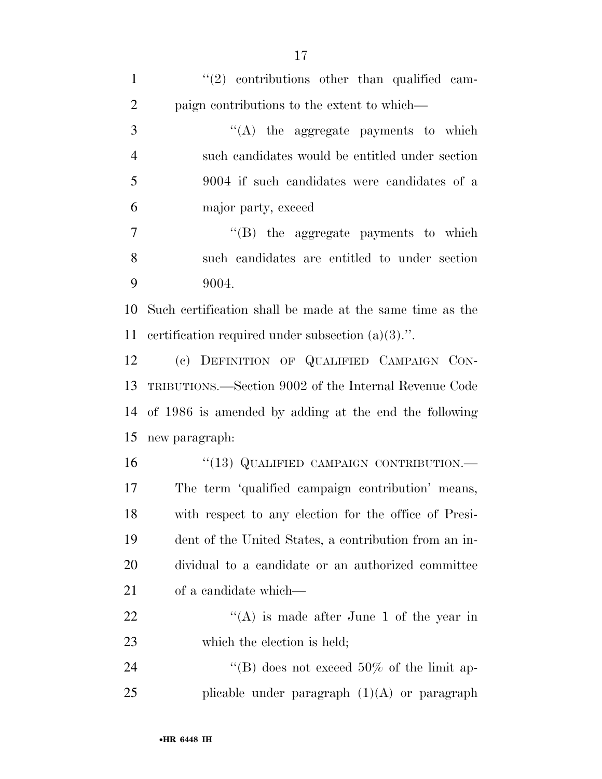| $\mathbf{1}$   | $(2)$ contributions other than qualified cam-            |
|----------------|----------------------------------------------------------|
| $\overline{2}$ | paign contributions to the extent to which—              |
| 3              | $\lq\lq$ the aggregate payments to which                 |
| $\overline{4}$ | such candidates would be entitled under section          |
| 5              | 9004 if such candidates were candidates of a             |
| 6              | major party, exceed                                      |
| 7              | $\lq\lq$ the aggregate payments to which                 |
| 8              | such candidates are entitled to under section            |
| 9              | 9004.                                                    |
| 10             | Such certification shall be made at the same time as the |
| 11             | certification required under subsection $(a)(3)$ .".     |
| 12             | (c) DEFINITION OF QUALIFIED CAMPAIGN CON-                |
| 13             | TRIBUTIONS.—Section 9002 of the Internal Revenue Code    |
| 14             | of 1986 is amended by adding at the end the following    |
| 15             | new paragraph:                                           |
| 16             | "(13) QUALIFIED CAMPAIGN CONTRIBUTION.-                  |
| 17             | The term 'qualified campaign contribution' means,        |
| 18             | with respect to any election for the office of Presi-    |
| 19             | dent of the United States, a contribution from an in-    |
| 20             | dividual to a candidate or an authorized committee       |
| 21             | of a candidate which—                                    |
| 22             | "(A) is made after June 1 of the year in                 |
| 23             | which the election is held;                              |
| 24             | "(B) does not exceed $50\%$ of the limit ap-             |
| 25             | plicable under paragraph $(1)(A)$ or paragraph           |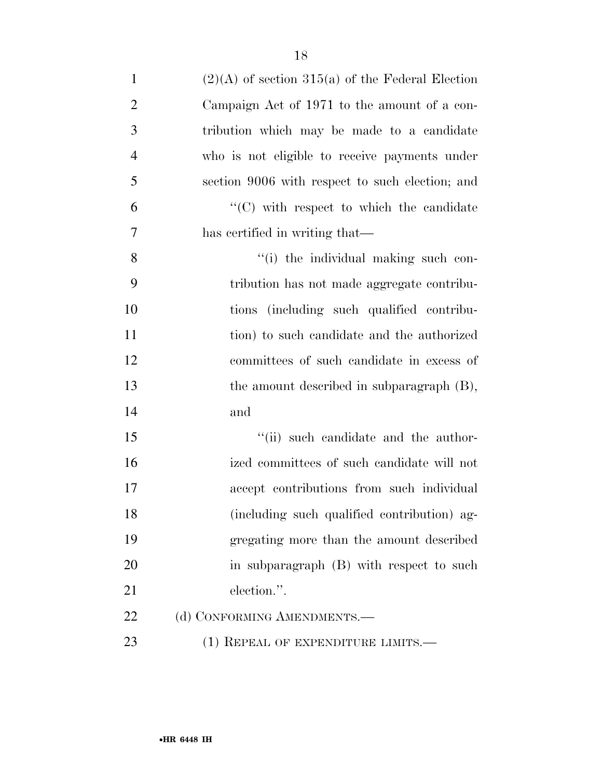18

| $\mathbf{1}$   | $(2)(A)$ of section 315(a) of the Federal Election |
|----------------|----------------------------------------------------|
| $\overline{2}$ | Campaign Act of 1971 to the amount of a con-       |
| 3              | tribution which may be made to a candidate         |
| $\overline{4}$ | who is not eligible to receive payments under      |
| 5              | section 9006 with respect to such election; and    |
| 6              | $\lq\lq$ with respect to which the candidate       |
| 7              | has certified in writing that—                     |
| 8              | "(i) the individual making such con-               |
| 9              | tribution has not made aggregate contribu-         |
| 10             | tions (including such qualified contribu-          |
| 11             | tion) to such candidate and the authorized         |
| 12             | committees of such candidate in excess of          |
| 13             | the amount described in subparagraph (B),          |
| 14             | and                                                |
| 15             | "(ii) such candidate and the author-               |
| 16             | ized committees of such candidate will not         |
| 17             | accept contributions from such individual          |
| 18             | (including such qualified contribution) ag-        |
| 19             | gregating more than the amount described           |
| 20             | in subparagraph (B) with respect to such           |
| 21             | election.".                                        |
| 22             | (d) CONFORMING AMENDMENTS.-                        |
| 23             | $(1)$ REPEAL OF EXPENDITURE LIMITS.—               |
|                |                                                    |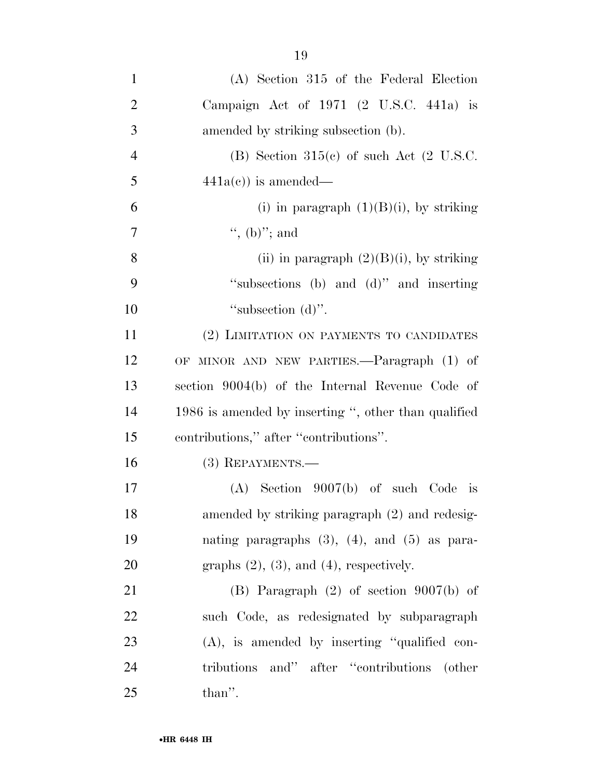| $\mathbf{1}$   | $(A)$ Section 315 of the Federal Election            |
|----------------|------------------------------------------------------|
| $\overline{2}$ | Campaign Act of $1971$ (2 U.S.C. 441a) is            |
| 3              | amended by striking subsection (b).                  |
| $\overline{4}$ | (B) Section $315(c)$ of such Act (2 U.S.C.           |
| 5              | $441a(c)$ is amended—                                |
| 6              | (i) in paragraph $(1)(B)(i)$ , by striking           |
| 7              | ", (b)"; and                                         |
| 8              | (ii) in paragraph $(2)(B)(i)$ , by striking          |
| 9              | "subsections (b) and (d)" and inserting              |
| 10             | "subsection $(d)$ ".                                 |
| 11             | (2) LIMITATION ON PAYMENTS TO CANDIDATES             |
| 12             | OF MINOR AND NEW PARTIES.—Paragraph (1) of           |
| 13             | section 9004(b) of the Internal Revenue Code of      |
| 14             | 1986 is amended by inserting ", other than qualified |
| 15             | contributions," after "contributions".               |
| 16             | $(3)$ REPAYMENTS.—                                   |
| 17             | $(A)$ Section 9007(b) of such Code is                |
| 18             | amended by striking paragraph (2) and redesig-       |
| 19             | nating paragraphs $(3)$ , $(4)$ , and $(5)$ as para- |
| 20             | graphs $(2)$ , $(3)$ , and $(4)$ , respectively.     |
| 21             | $(B)$ Paragraph $(2)$ of section $9007(b)$ of        |
| 22             | such Code, as redesignated by subparagraph           |
| 23             | $(A)$ , is amended by inserting "qualified con-      |
| 24             | tributions and" after "contributions (other          |
| 25             | than".                                               |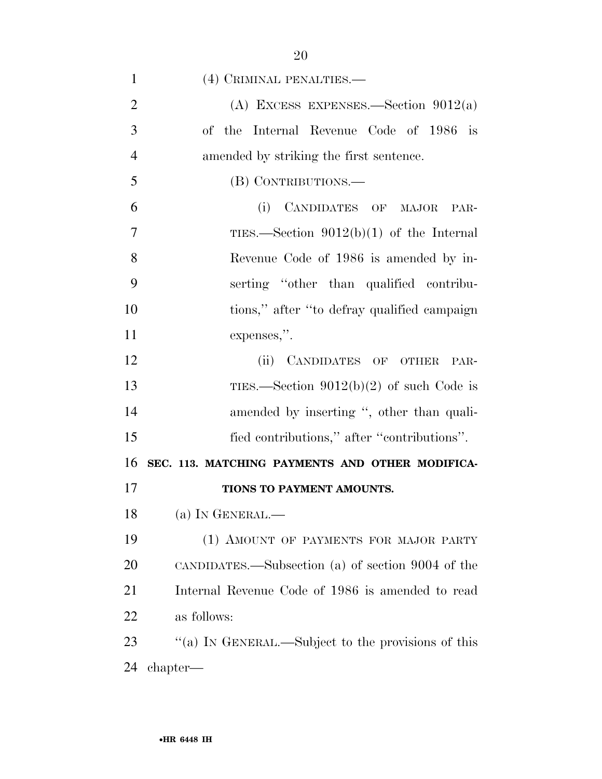| $\mathbf{1}$   | (4) CRIMINAL PENALTIES.-                          |
|----------------|---------------------------------------------------|
| $\overline{2}$ | (A) EXCESS EXPENSES.—Section $9012(a)$            |
| 3              | of the Internal Revenue Code of 1986 is           |
| $\overline{4}$ | amended by striking the first sentence.           |
| 5              | (B) CONTRIBUTIONS.—                               |
| 6              | CANDIDATES OF MAJOR<br>(i)<br>PAR-                |
| 7              | TIES.—Section $9012(b)(1)$ of the Internal        |
| 8              | Revenue Code of 1986 is amended by in-            |
| 9              | serting "other than qualified contribu-           |
| 10             | tions," after "to defray qualified campaign       |
| 11             | expenses,".                                       |
| 12             | (ii) CANDIDATES OF OTHER<br>PAR-                  |
| 13             | TIES.—Section $9012(b)(2)$ of such Code is        |
| 14             | amended by inserting ", other than quali-         |
| 15             | fied contributions," after "contributions".       |
| 16             | SEC. 113. MATCHING PAYMENTS AND OTHER MODIFICA-   |
| 17             | TIONS TO PAYMENT AMOUNTS.                         |
| 18             | (a) IN GENERAL.—                                  |
| 19             | (1) AMOUNT OF PAYMENTS FOR MAJOR PARTY            |
| 20             | CANDIDATES.—Subsection (a) of section 9004 of the |
| 21             | Internal Revenue Code of 1986 is amended to read  |
| 22             | as follows:                                       |

23 "(a) IN GENERAL.—Subject to the provisions of this chapter—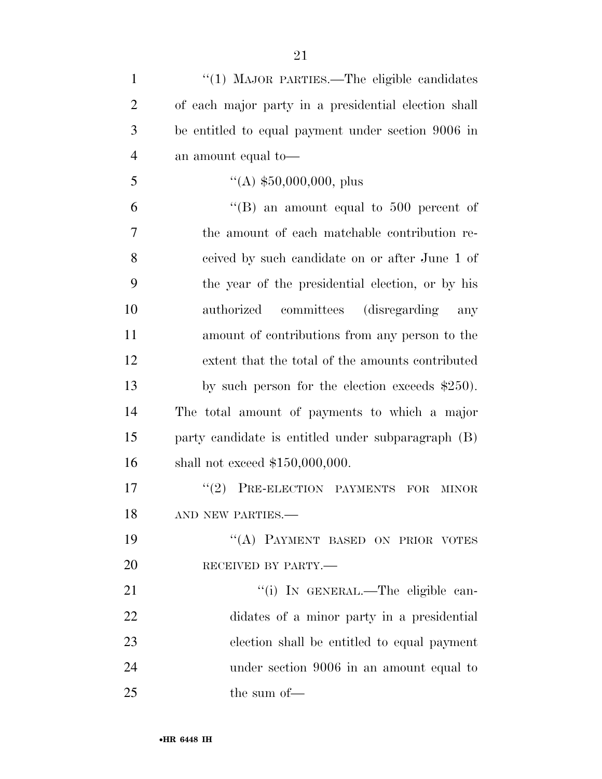| $\mathbf{1}$   | "(1) MAJOR PARTIES.—The eligible candidates          |
|----------------|------------------------------------------------------|
| $\overline{2}$ | of each major party in a presidential election shall |
| 3              | be entitled to equal payment under section 9006 in   |
| $\overline{4}$ | an amount equal to —                                 |
| 5              | $\lq (A) \; $50,000,000, \; plus$                    |
| 6              | "(B) an amount equal to 500 percent of               |
| 7              | the amount of each matchable contribution re-        |
| 8              | ceived by such candidate on or after June 1 of       |
| 9              | the year of the presidential election, or by his     |
| 10             | committees (disregarding)<br>authorized<br>any       |
| 11             | amount of contributions from any person to the       |
| 12             | extent that the total of the amounts contributed     |
| 13             | by such person for the election exceeds $$250$ .     |
| 14             | The total amount of payments to which a major        |
| 15             | party candidate is entitled under subparagraph (B)   |
| 16             | shall not exceed $$150,000,000$ .                    |
| 17             | PRE-ELECTION PAYMENTS<br>(2)<br>FOR<br><b>MINOR</b>  |
| 18             | AND NEW PARTIES.-                                    |
| 19             | "(A) PAYMENT BASED ON PRIOR VOTES                    |
| 20             | RECEIVED BY PARTY.                                   |
| 21             | "(i) IN GENERAL.—The eligible can-                   |
| 22             | didates of a minor party in a presidential           |
| 23             | election shall be entitled to equal payment          |
| 24             | under section 9006 in an amount equal to             |
| 25             | the sum of-                                          |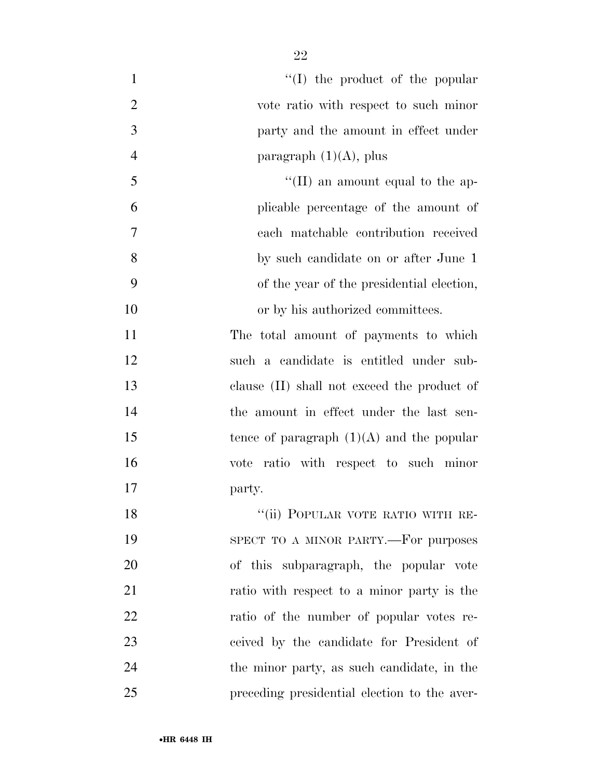| $\mathbf{1}$   | $\lq\lq$ (I) the product of the popular      |
|----------------|----------------------------------------------|
| $\overline{2}$ | vote ratio with respect to such minor        |
| 3              | party and the amount in effect under         |
| $\overline{4}$ | paragraph $(1)(A)$ , plus                    |
| 5              | "(II) an amount equal to the ap-             |
| 6              | plicable percentage of the amount of         |
| 7              | each matchable contribution received         |
| 8              | by such candidate on or after June 1         |
| 9              | of the year of the presidential election,    |
| 10             | or by his authorized committees.             |
| 11             | The total amount of payments to which        |
| 12             | such a candidate is entitled under sub-      |
| 13             | clause (II) shall not exceed the product of  |
| 14             | the amount in effect under the last sen-     |
| 15             | tence of paragraph $(1)(A)$ and the popular  |
| 16             | vote ratio with respect to such minor        |
| 17             | party.                                       |
| 18             | "(ii) POPULAR VOTE RATIO WITH RE-            |
| 19             | SPECT TO A MINOR PARTY.—For purposes         |
| 20             | of this subparagraph, the popular vote       |
| 21             | ratio with respect to a minor party is the   |
| 22             | ratio of the number of popular votes re-     |
| 23             | ceived by the candidate for President of     |
| 24             | the minor party, as such candidate, in the   |
| 25             | preceding presidential election to the aver- |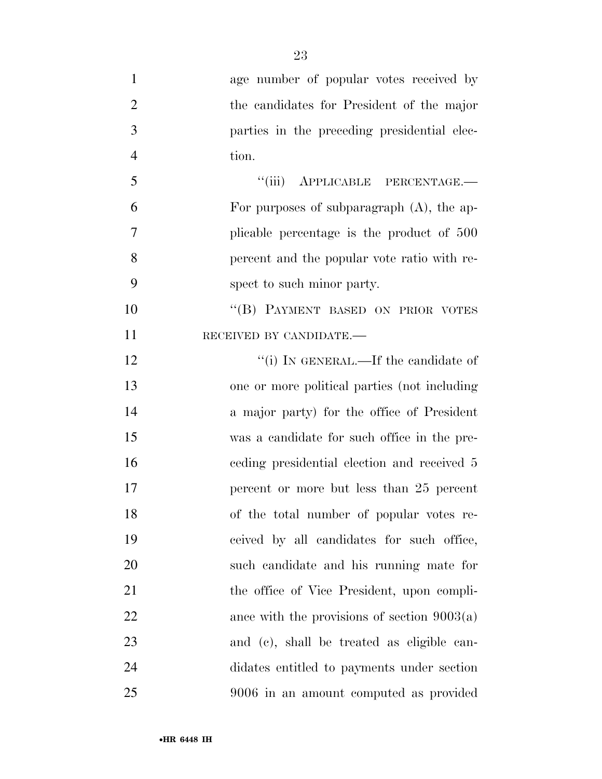age number of popular votes received by the candidates for President of the major parties in the preceding presidential elec- tion. 5 "(iii) APPLICABLE PERCENTAGE.— For purposes of subparagraph (A), the ap- plicable percentage is the product of 500 percent and the popular vote ratio with re- spect to such minor party. 10 "(B) PAYMENT BASED ON PRIOR VOTES 11 RECEIVED BY CANDIDATE.—  $\frac{1}{2}$  The candidate of one or more political parties (not including a major party) for the office of President was a candidate for such office in the pre- ceding presidential election and received 5 percent or more but less than 25 percent of the total number of popular votes re- ceived by all candidates for such office, such candidate and his running mate for 21 the office of Vice President, upon compli-22 ance with the provisions of section  $9003(a)$  and (c), shall be treated as eligible can- didates entitled to payments under section 9006 in an amount computed as provided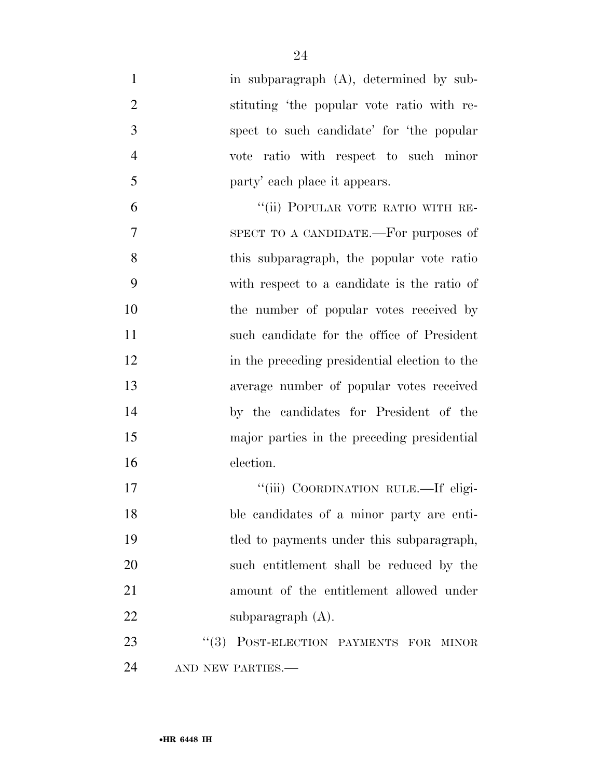- 1 in subparagraph (A), determined by sub- stituting 'the popular vote ratio with re- spect to such candidate' for 'the popular vote ratio with respect to such minor party' each place it appears. 6 "(ii) POPULAR VOTE RATIO WITH RE- SPECT TO A CANDIDATE.—For purposes of this subparagraph, the popular vote ratio
- with respect to a candidate is the ratio of 10 the number of popular votes received by such candidate for the office of President in the preceding presidential election to the average number of popular votes received by the candidates for President of the major parties in the preceding presidential election.
- ''(iii) COORDINATION RULE.—If eligi- ble candidates of a minor party are enti-19 tled to payments under this subparagraph, such entitlement shall be reduced by the amount of the entitlement allowed under 22 subparagraph (A).

23 "(3) POST-ELECTION PAYMENTS FOR MINOR 24 AND NEW PARTIES.—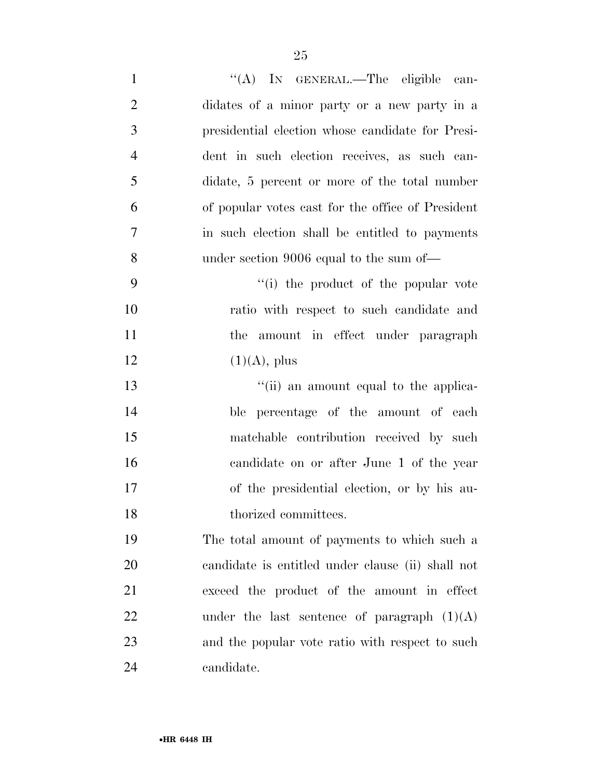| $\mathbf{1}$   | "(A) IN GENERAL.—The eligible can-                |
|----------------|---------------------------------------------------|
| $\overline{2}$ | didates of a minor party or a new party in a      |
| 3              | presidential election whose candidate for Presi-  |
| $\overline{4}$ | dent in such election receives, as such can-      |
| 5              | didate, 5 percent or more of the total number     |
| 6              | of popular votes cast for the office of President |
| 7              | in such election shall be entitled to payments    |
| 8              | under section 9006 equal to the sum of—           |
| 9              | "(i) the product of the popular vote"             |
| 10             | ratio with respect to such candidate and          |
| 11             | the amount in effect under paragraph              |
| 12             | $(1)(A)$ , plus                                   |
| 13             | "(ii) an amount equal to the applica-             |
| 14             | ble percentage of the amount of each              |
| 15             | matchable contribution received by such           |
| 16             | candidate on or after June 1 of the year          |
| 17             | of the presidential election, or by his au-       |
| 18             | thorized committees.                              |
| 19             | The total amount of payments to which such a      |
| 20             | candidate is entitled under clause (ii) shall not |
| 21             | exceed the product of the amount in effect        |
| 22             | under the last sentence of paragraph $(1)(A)$     |
| 23             | and the popular vote ratio with respect to such   |
| 24             | candidate.                                        |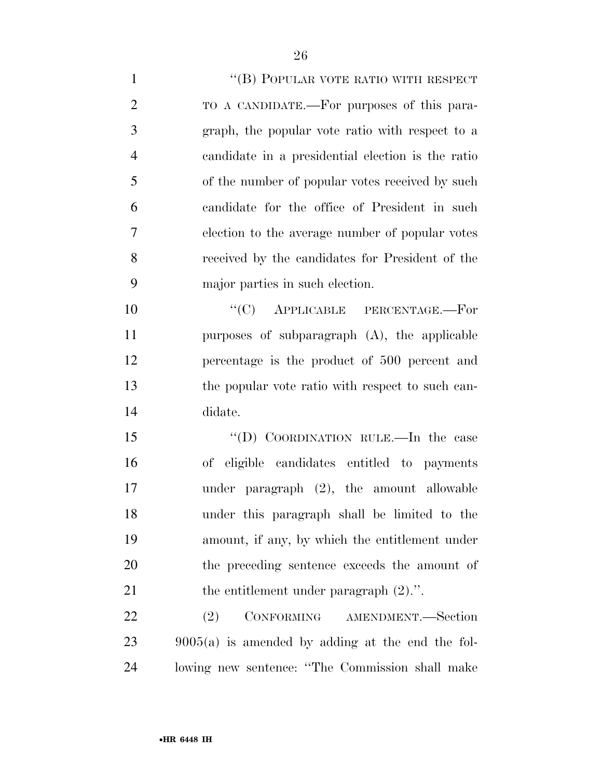1 ''(B) POPULAR VOTE RATIO WITH RESPECT TO A CANDIDATE.—For purposes of this para- graph, the popular vote ratio with respect to a candidate in a presidential election is the ratio of the number of popular votes received by such candidate for the office of President in such election to the average number of popular votes received by the candidates for President of the major parties in such election.  $C(C)$  APPLICABLE PERCENTAGE.—For purposes of subparagraph (A), the applicable percentage is the product of 500 percent and the popular vote ratio with respect to such can- didate. 15 "(D) COORDINATION RULE.—In the case

 of eligible candidates entitled to payments under paragraph (2), the amount allowable under this paragraph shall be limited to the amount, if any, by which the entitlement under the preceding sentence exceeds the amount of 21 the entitlement under paragraph  $(2)$ .".

 (2) CONFORMING AMENDMENT.—Section 9005(a) is amended by adding at the end the fol-lowing new sentence: ''The Commission shall make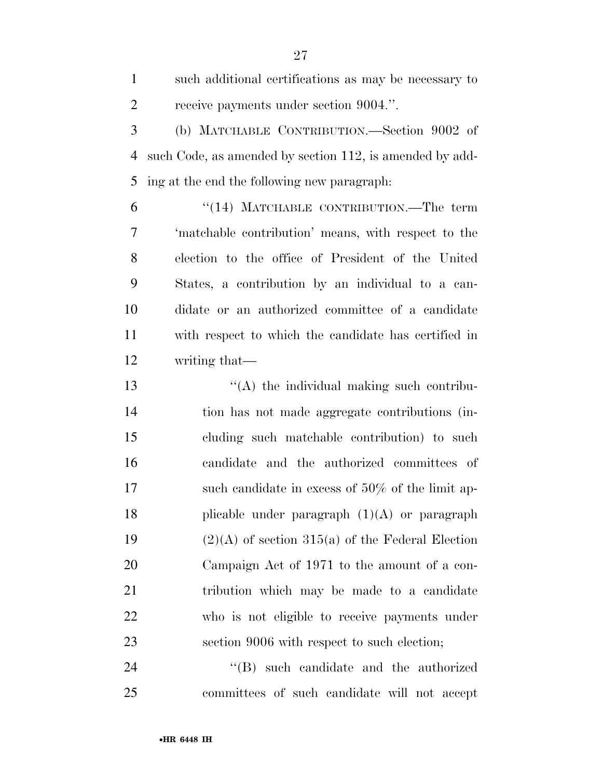such additional certifications as may be necessary to receive payments under section 9004.''.

 (b) MATCHABLE CONTRIBUTION.—Section 9002 of such Code, as amended by section 112, is amended by add-ing at the end the following new paragraph:

 ''(14) MATCHABLE CONTRIBUTION.—The term 'matchable contribution' means, with respect to the election to the office of President of the United States, a contribution by an individual to a can- didate or an authorized committee of a candidate with respect to which the candidate has certified in writing that—

13 ''(A) the individual making such contribu- tion has not made aggregate contributions (in- cluding such matchable contribution) to such candidate and the authorized committees of 17 such candidate in excess of 50% of the limit ap-18 plicable under paragraph  $(1)(A)$  or paragraph 19 (2)(A) of section 315(a) of the Federal Election Campaign Act of 1971 to the amount of a con- tribution which may be made to a candidate who is not eligible to receive payments under section 9006 with respect to such election;

 ''(B) such candidate and the authorized committees of such candidate will not accept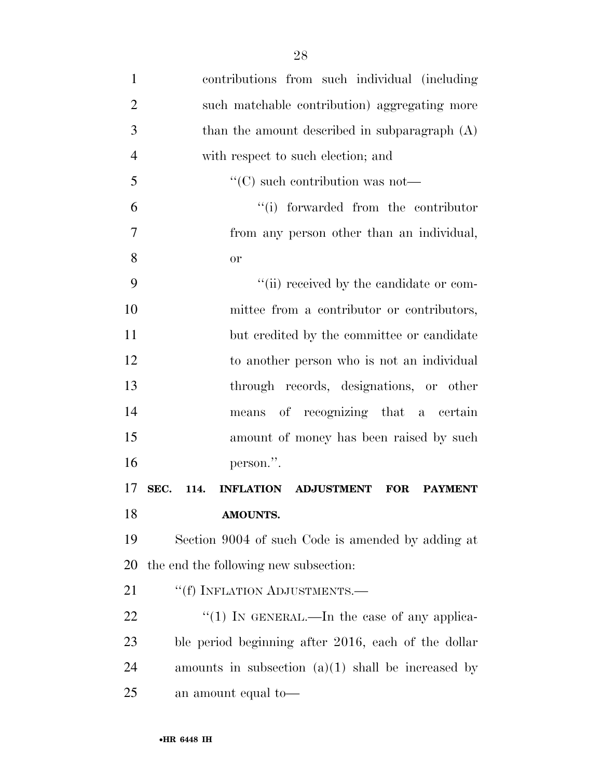| $\mathbf{1}$   | contributions from such individual (including                        |
|----------------|----------------------------------------------------------------------|
| $\overline{2}$ | such matchable contribution) aggregating more                        |
| 3              | than the amount described in subparagraph $(A)$                      |
| $\overline{4}$ | with respect to such election; and                                   |
| 5              | $\lq\lq$ such contribution was not—                                  |
| 6              | "(i) forwarded from the contributor                                  |
| 7              | from any person other than an individual,                            |
| 8              | or                                                                   |
| 9              | "(ii) received by the candidate or com-                              |
| 10             | mittee from a contributor or contributors,                           |
| 11             | but credited by the committee or candidate                           |
| 12             | to another person who is not an individual                           |
| 13             | through records, designations, or other                              |
| 14             | means of recognizing that a certain                                  |
| 15             | amount of money has been raised by such                              |
| 16             | person.".                                                            |
| 17             | SEC.<br><b>INFLATION ADJUSTMENT</b><br>114.<br>FOR<br><b>PAYMENT</b> |
| 18             | AMOUNTS.                                                             |
| 19             | Section 9004 of such Code is amended by adding at                    |
| 20             | the end the following new subsection:                                |
| 21             | "(f) INFLATION ADJUSTMENTS.-                                         |
| 22             | "(1) IN GENERAL.—In the case of any applica-                         |
| 23             | ble period beginning after 2016, each of the dollar                  |
| 24             | amounts in subsection $(a)(1)$ shall be increased by                 |
| 25             | an amount equal to-                                                  |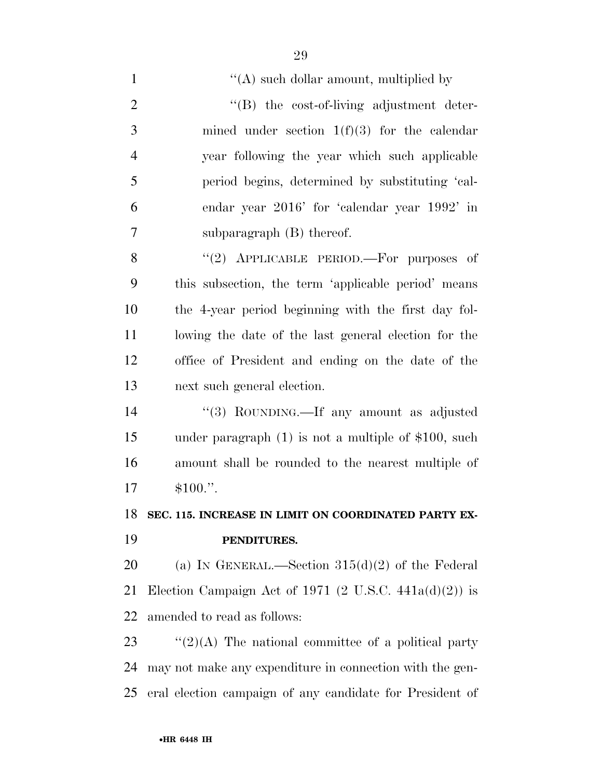$\langle (A) \rangle$  such dollar amount, multiplied by  $\text{``(B)}$  the cost-of-living adjustment deter- mined under section 1(f)(3) for the calendar year following the year which such applicable period begins, determined by substituting 'cal- endar year 2016' for 'calendar year 1992' in subparagraph (B) thereof. 8 "(2) APPLICABLE PERIOD.—For purposes of this subsection, the term 'applicable period' means the 4-year period beginning with the first day fol- lowing the date of the last general election for the office of President and ending on the date of the next such general election. ''(3) ROUNDING.—If any amount as adjusted under paragraph (1) is not a multiple of \$100, such amount shall be rounded to the nearest multiple of \$100.''. **SEC. 115. INCREASE IN LIMIT ON COORDINATED PARTY EX- PENDITURES.**  20 (a) IN GENERAL.—Section  $315(d)(2)$  of the Federal 21 Election Campaign Act of 1971  $(2 \text{ U.S.C. } 441a(d)(2))$  is amended to read as follows:  $\frac{1}{2}(2)(A)$  The national committee of a political party may not make any expenditure in connection with the gen-eral election campaign of any candidate for President of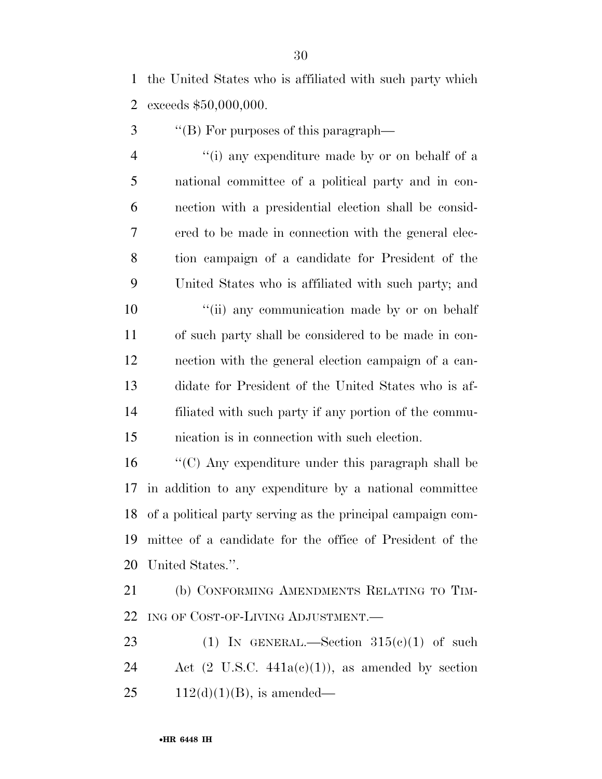the United States who is affiliated with such party which exceeds \$50,000,000.

3 <sup>"</sup>(B) For purposes of this paragraph—

 ''(i) any expenditure made by or on behalf of a national committee of a political party and in con- nection with a presidential election shall be consid- ered to be made in connection with the general elec- tion campaign of a candidate for President of the United States who is affiliated with such party; and

 $\frac{1}{10}$  any communication made by or on behalf of such party shall be considered to be made in con- nection with the general election campaign of a can- didate for President of the United States who is af- filiated with such party if any portion of the commu-nication is in connection with such election.

 ''(C) Any expenditure under this paragraph shall be in addition to any expenditure by a national committee of a political party serving as the principal campaign com- mittee of a candidate for the office of President of the United States.''.

 (b) CONFORMING AMENDMENTS RELATING TO TIM-22 ING OF COST-OF-LIVING ADJUSTMENT.

23 (1) IN GENERAL.—Section  $315(e)(1)$  of such 24 Act  $(2 \text{ U.S.C. } 441a(c)(1))$ , as amended by section 25  $112(d)(1)(B)$ , is amended—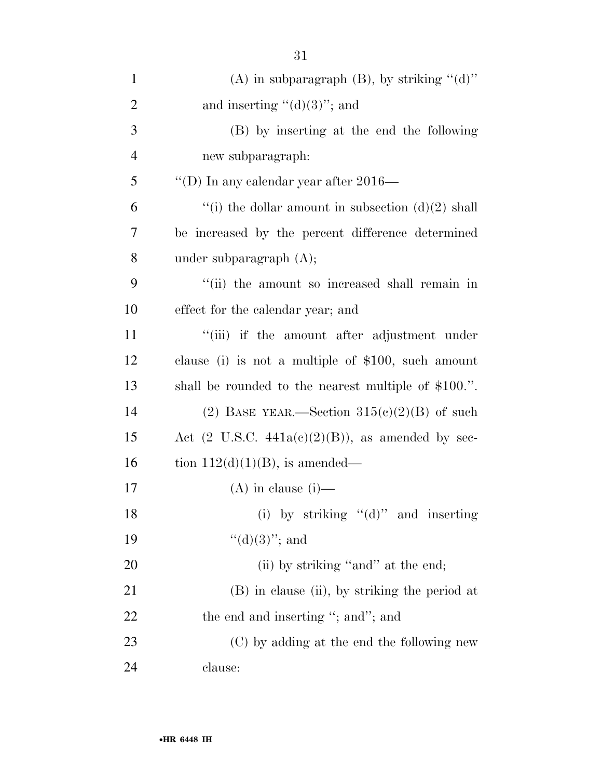| $\mathbf{1}$   | (A) in subparagraph $(B)$ , by striking " $(d)$ "            |
|----------------|--------------------------------------------------------------|
| $\overline{2}$ | and inserting " $(d)(3)$ "; and                              |
| 3              | (B) by inserting at the end the following                    |
| $\overline{4}$ | new subparagraph:                                            |
| 5              | "(D) In any calendar year after $2016-$                      |
| 6              | "(i) the dollar amount in subsection $(d)(2)$ shall          |
| 7              | be increased by the percent difference determined            |
| 8              | under subparagraph $(A)$ ;                                   |
| 9              | "(ii) the amount so increased shall remain in                |
| 10             | effect for the calendar year; and                            |
| 11             | "(iii) if the amount after adjustment under                  |
| 12             | clause (i) is not a multiple of $$100$ , such amount         |
| 13             | shall be rounded to the nearest multiple of \$100.".         |
| 14             | (2) BASE YEAR.—Section $315(e)(2)(B)$ of such                |
| 15             | Act $(2 \text{ U.S.C. } 441a(c)(2)(B))$ , as amended by sec- |
| 16             | tion $112(d)(1)(B)$ , is amended—                            |
| 17             | $(A)$ in clause (i)—                                         |
| 18             | (i) by striking $"$ (d)" and inserting                       |
| 19             | " $(d)(3)$ "; and                                            |
| 20             | (ii) by striking "and" at the end;                           |
| 21             | (B) in clause (ii), by striking the period at                |
| 22             | the end and inserting "; and"; and                           |
| 23             | (C) by adding at the end the following new                   |
| 24             | clause:                                                      |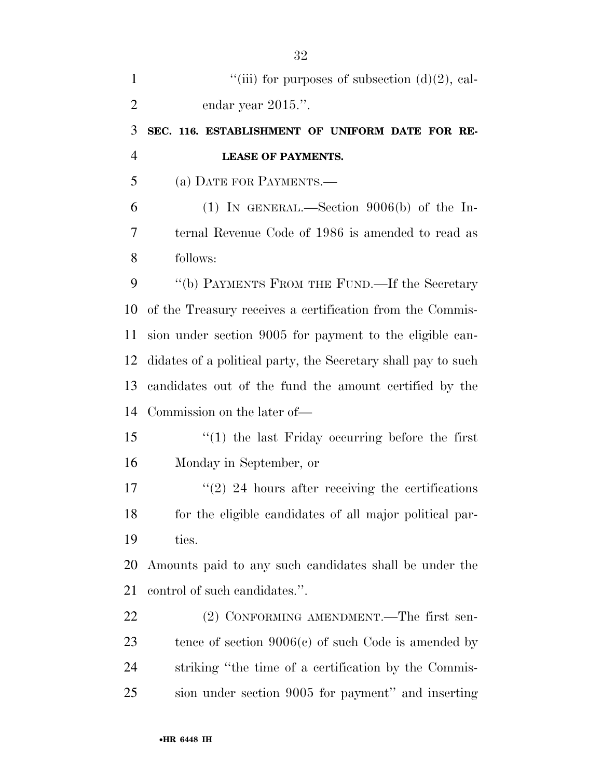| $\mathbf{1}$   | "(iii) for purposes of subsection $(d)(2)$ , cal-             |
|----------------|---------------------------------------------------------------|
| $\overline{2}$ | endar year 2015.".                                            |
| 3              | SEC. 116. ESTABLISHMENT OF UNIFORM DATE FOR RE-               |
| $\overline{4}$ | <b>LEASE OF PAYMENTS.</b>                                     |
| 5              | (a) DATE FOR PAYMENTS.—                                       |
| 6              | $(1)$ IN GENERAL.—Section 9006(b) of the In-                  |
| 7              | ternal Revenue Code of 1986 is amended to read as             |
| 8              | follows:                                                      |
| 9              | "(b) PAYMENTS FROM THE FUND.—If the Secretary                 |
| 10             | of the Treasury receives a certification from the Commis-     |
| 11             | sion under section 9005 for payment to the eligible can-      |
| 12             | didates of a political party, the Secretary shall pay to such |
| 13             | candidates out of the fund the amount certified by the        |
| 14             | Commission on the later of—                                   |
| 15             | $f'(1)$ the last Friday occurring before the first            |
| 16             | Monday in September, or                                       |
| 17             | $\lq(2)$ 24 hours after receiving the certifications          |
| 18             | for the eligible candidates of all major political par-       |
| 19             | ties.                                                         |
| 20             | Amounts paid to any such candidates shall be under the        |
| 21             | control of such candidates.".                                 |
| 22             | (2) CONFORMING AMENDMENT.—The first sen-                      |
| 23             | tence of section $9006(c)$ of such Code is amended by         |
| 24             | striking "the time of a certification by the Commis-          |
| 25             | sion under section 9005 for payment" and inserting            |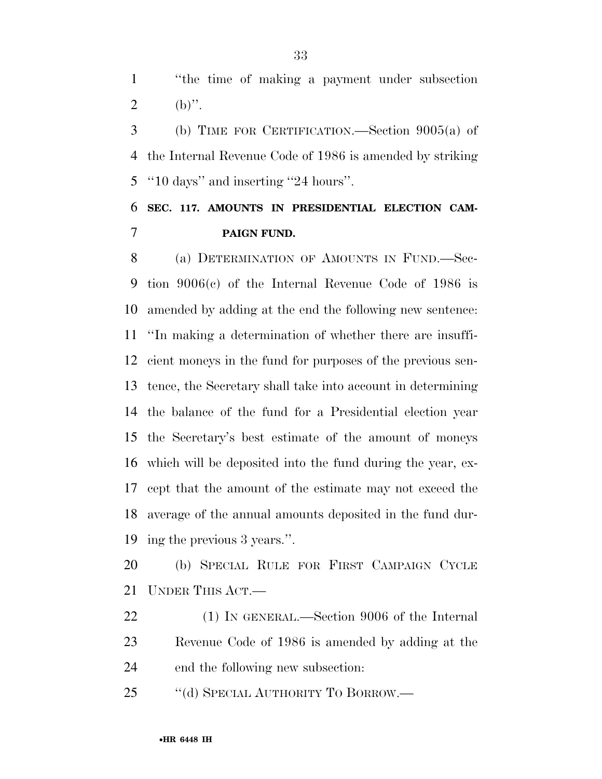''the time of making a payment under subsection 2 (b)".

 (b) TIME FOR CERTIFICATION.—Section 9005(a) of the Internal Revenue Code of 1986 is amended by striking ''10 days'' and inserting ''24 hours''.

### **SEC. 117. AMOUNTS IN PRESIDENTIAL ELECTION CAM-PAIGN FUND.**

8 (a) DETERMINATION OF AMOUNTS IN FUND.—Sec- tion 9006(c) of the Internal Revenue Code of 1986 is amended by adding at the end the following new sentence: ''In making a determination of whether there are insuffi- cient moneys in the fund for purposes of the previous sen- tence, the Secretary shall take into account in determining the balance of the fund for a Presidential election year the Secretary's best estimate of the amount of moneys which will be deposited into the fund during the year, ex- cept that the amount of the estimate may not exceed the average of the annual amounts deposited in the fund dur-ing the previous 3 years.''.

 (b) SPECIAL RULE FOR FIRST CAMPAIGN CYCLE UNDER THIS ACT.—

 (1) IN GENERAL.—Section 9006 of the Internal Revenue Code of 1986 is amended by adding at the end the following new subsection:

25 "(d) SPECIAL AUTHORITY TO BORROW.—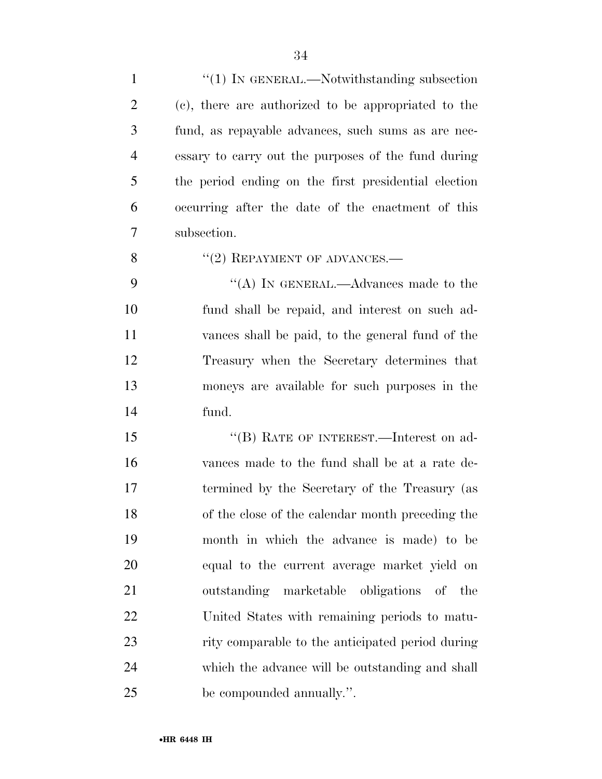| $\mathbf{1}$   | $\lq(1)$ In GENERAL.—Notwithstanding subsection      |
|----------------|------------------------------------------------------|
| $\overline{2}$ | (c), there are authorized to be appropriated to the  |
| 3              | fund, as repayable advances, such sums as are nec-   |
| $\overline{4}$ | essary to carry out the purposes of the fund during  |
| 5              | the period ending on the first presidential election |
| 6              | occurring after the date of the enactment of this    |
| 7              | subsection.                                          |
| 8              | $"(2)$ REPAYMENT OF ADVANCES.—                       |
| 9              | "(A) IN GENERAL.—Advances made to the                |
| 10             | fund shall be repaid, and interest on such ad-       |
| 11             | vances shall be paid, to the general fund of the     |
| 12             | Treasury when the Secretary determines that          |
| 13             | moneys are available for such purposes in the        |
| 14             | fund.                                                |
| 15             | $``$ (B) RATE OF INTEREST.—Interest on ad-           |
| 16             | vances made to the fund shall be at a rate de-       |
| 17             | termined by the Secretary of the Treasury (as        |
| 18             | of the close of the calendar month preceding the     |
| 19             | month in which the advance is made) to be            |
| 20             | equal to the current average market yield on         |
| 21             | outstanding marketable obligations of the            |
| 22             | United States with remaining periods to matu-        |
| 23             | rity comparable to the anticipated period during     |
| 24             | which the advance will be outstanding and shall      |
| 25             | be compounded annually.".                            |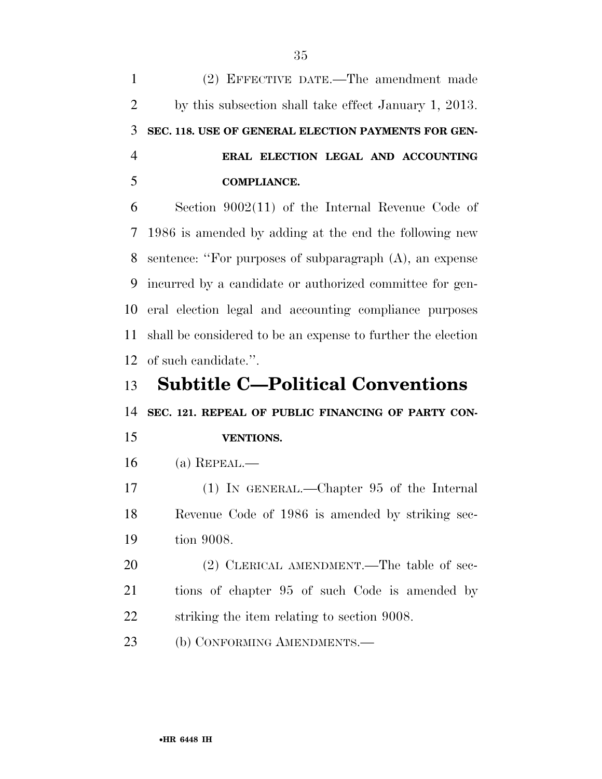(2) EFFECTIVE DATE.—The amendment made by this subsection shall take effect January 1, 2013. **SEC. 118. USE OF GENERAL ELECTION PAYMENTS FOR GEN- ERAL ELECTION LEGAL AND ACCOUNTING COMPLIANCE.**  Section 9002(11) of the Internal Revenue Code of 1986 is amended by adding at the end the following new sentence: ''For purposes of subparagraph (A), an expense incurred by a candidate or authorized committee for gen- eral election legal and accounting compliance purposes shall be considered to be an expense to further the election of such candidate.''. **Subtitle C—Political Conventions SEC. 121. REPEAL OF PUBLIC FINANCING OF PARTY CON- VENTIONS.**  (a) REPEAL.— (1) IN GENERAL.—Chapter 95 of the Internal Revenue Code of 1986 is amended by striking sec- tion 9008. 20 (2) CLERICAL AMENDMENT.—The table of sec- tions of chapter 95 of such Code is amended by striking the item relating to section 9008. 23 (b) CONFORMING AMENDMENTS.—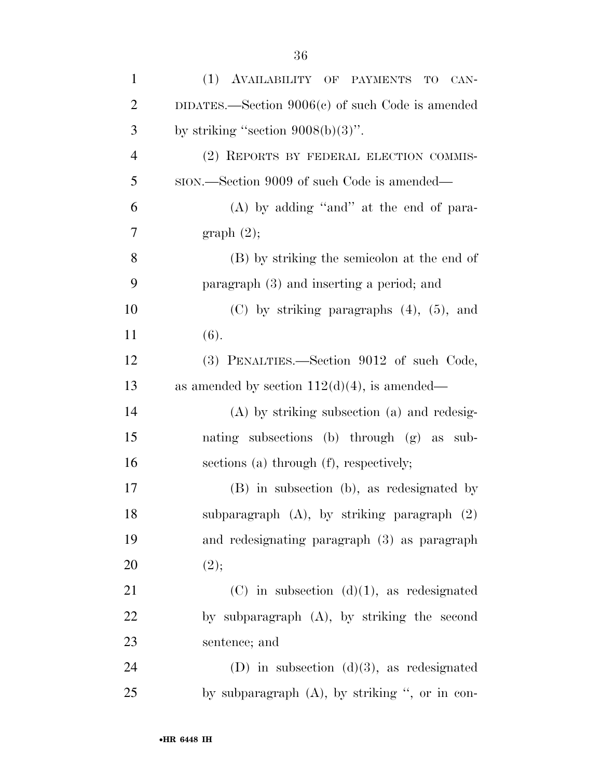| $\mathbf{1}$   | (1) AVAILABILITY OF PAYMENTS<br>TO<br>CAN-         |
|----------------|----------------------------------------------------|
| $\overline{c}$ | DIDATES.—Section $9006(c)$ of such Code is amended |
| $\mathfrak{Z}$ | by striking "section $9008(b)(3)$ ".               |
| $\overline{4}$ | (2) REPORTS BY FEDERAL ELECTION COMMIS-            |
| 5              | sion.—Section 9009 of such Code is amended—        |
| 6              | $(A)$ by adding "and" at the end of para-          |
| 7              | graph(2);                                          |
| 8              | (B) by striking the semicolon at the end of        |
| 9              | paragraph (3) and inserting a period; and          |
| 10             | $(C)$ by striking paragraphs $(4)$ , $(5)$ , and   |
| 11             | (6).                                               |
| 12             | (3) PENALTIES.—Section 9012 of such Code,          |
| 13             | as amended by section $112(d)(4)$ , is amended—    |
| 14             | $(A)$ by striking subsection $(a)$ and redesig-    |
| 15             | nating subsections (b) through (g) as sub-         |
| 16             | sections (a) through (f), respectively;            |
| 17             | (B) in subsection (b), as redesignated by          |
| 18             | subparagraph $(A)$ , by striking paragraph $(2)$   |
| 19             | and redesignating paragraph (3) as paragraph       |
| 20             | (2);                                               |
| 21             | $(C)$ in subsection $(d)(1)$ , as redesignated     |
| 22             | by subparagraph (A), by striking the second        |
| 23             | sentence; and                                      |
| 24             | (D) in subsection $(d)(3)$ , as redesignated       |
| 25             | by subparagraph $(A)$ , by striking ", or in con-  |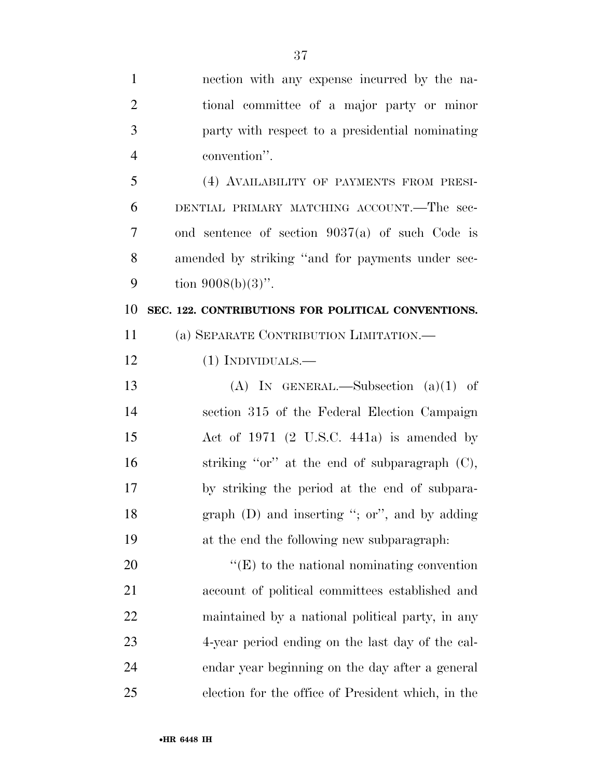| $\mathbf{1}$   | nection with any expense incurred by the na-       |
|----------------|----------------------------------------------------|
| $\overline{2}$ | tional committee of a major party or minor         |
| 3              | party with respect to a presidential nominating    |
| $\overline{4}$ | convention".                                       |
| 5              | (4) AVAILABILITY OF PAYMENTS FROM PRESI-           |
| 6              | DENTIAL PRIMARY MATCHING ACCOUNT.—The sec-         |
| 7              | ond sentence of section $9037(a)$ of such Code is  |
| 8              | amended by striking "and for payments under sec-   |
| 9              | tion $9008(b)(3)$ ".                               |
| 10             | SEC. 122. CONTRIBUTIONS FOR POLITICAL CONVENTIONS. |
| 11             | (a) SEPARATE CONTRIBUTION LIMITATION.—             |
| 12             | $(1)$ INDIVIDUALS.—                                |
| 13             | (A) IN GENERAL.—Subsection $(a)(1)$ of             |
| 14             | section 315 of the Federal Election Campaign       |
| 15             | Act of $1971$ (2 U.S.C. 441a) is amended by        |
| 16             | striking "or" at the end of subparagraph (C),      |
| 17             | by striking the period at the end of subpara-      |
| 18             | graph $(D)$ and inserting "; or", and by adding    |
| 19             | at the end the following new subparagraph:         |
| 20             | $\lq\lq(E)$ to the national nominating convention  |
| 21             | account of political committees established and    |
| <u>22</u>      | maintained by a national political party, in any   |
| 23             | 4-year period ending on the last day of the cal-   |
| 24             | endar year beginning on the day after a general    |
| 25             | election for the office of President which, in the |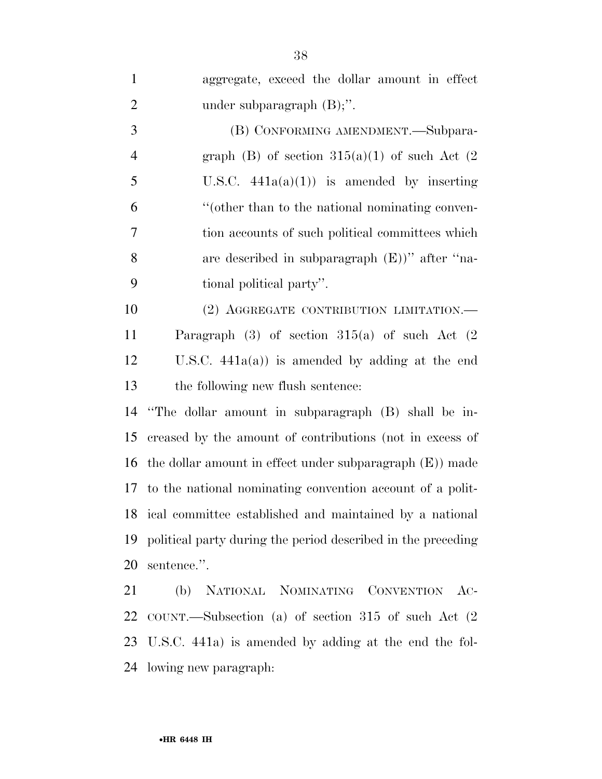| $\mathbf{1}$   | aggregate, exceed the dollar amount in effect                |
|----------------|--------------------------------------------------------------|
| $\overline{2}$ | under subparagraph $(B)$ ;".                                 |
| 3              | (B) CONFORMING AMENDMENT.—Subpara-                           |
| $\overline{4}$ | graph (B) of section $315(a)(1)$ of such Act (2)             |
| 5              | U.S.C. $441a(a)(1)$ is amended by inserting                  |
| 6              | "(other than to the national nominating conven-              |
| 7              | tion accounts of such political committees which             |
| 8              | are described in subparagraph $(E)$ " after "na-             |
| 9              | tional political party".                                     |
| 10             | (2) AGGREGATE CONTRIBUTION LIMITATION.                       |
| 11             | Paragraph $(3)$ of section $315(a)$ of such Act $(2)$        |
| 12             | U.S.C. $441a(a)$ ) is amended by adding at the end           |
| 13             | the following new flush sentence:                            |
| 14             | "The dollar amount in subparagraph (B) shall be in-          |
| 15             | creased by the amount of contributions (not in excess of     |
| 16             | the dollar amount in effect under subparagraph $(E)$ ) made  |
|                | 17 to the national nominating convention account of a polit- |
|                | 18 ical committee established and maintained by a national   |
| 19             | political party during the period described in the preceding |
| 20             | sentence.".                                                  |
| 21             | (b) NATIONAL NOMINATING CONVENTION AC-                       |
|                | 22 COUNT.—Subsection (a) of section 315 of such Act (2       |
|                | 23 U.S.C. 441a) is amended by adding at the end the fol-     |

lowing new paragraph: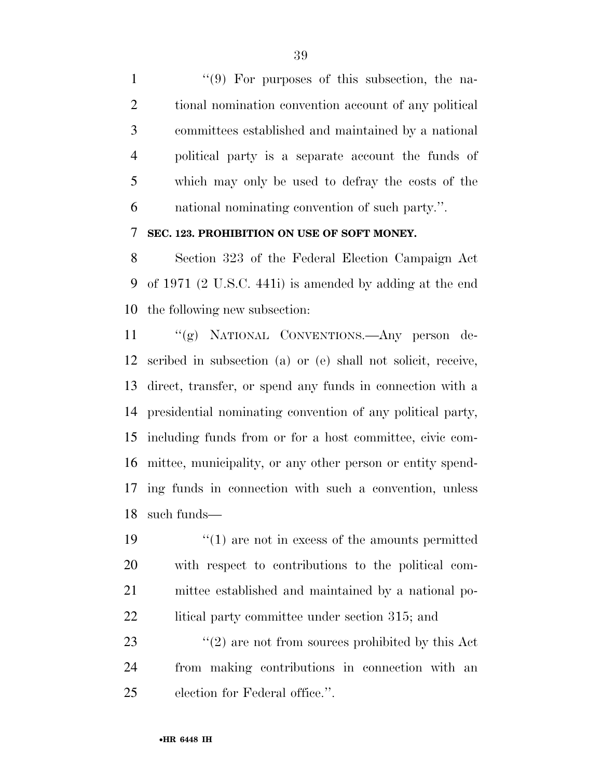1 ''(9) For purposes of this subsection, the na- tional nomination convention account of any political committees established and maintained by a national political party is a separate account the funds of which may only be used to defray the costs of the national nominating convention of such party.''.

#### **SEC. 123. PROHIBITION ON USE OF SOFT MONEY.**

 Section 323 of the Federal Election Campaign Act of 1971 (2 U.S.C. 441i) is amended by adding at the end the following new subsection:

 ''(g) NATIONAL CONVENTIONS.—Any person de- scribed in subsection (a) or (e) shall not solicit, receive, direct, transfer, or spend any funds in connection with a presidential nominating convention of any political party, including funds from or for a host committee, civic com- mittee, municipality, or any other person or entity spend- ing funds in connection with such a convention, unless such funds—

19 ''(1) are not in excess of the amounts permitted with respect to contributions to the political com- mittee established and maintained by a national po-22 litical party committee under section 315; and

23  $\frac{u(2)}{2}$  are not from sources prohibited by this Act from making contributions in connection with an election for Federal office.''.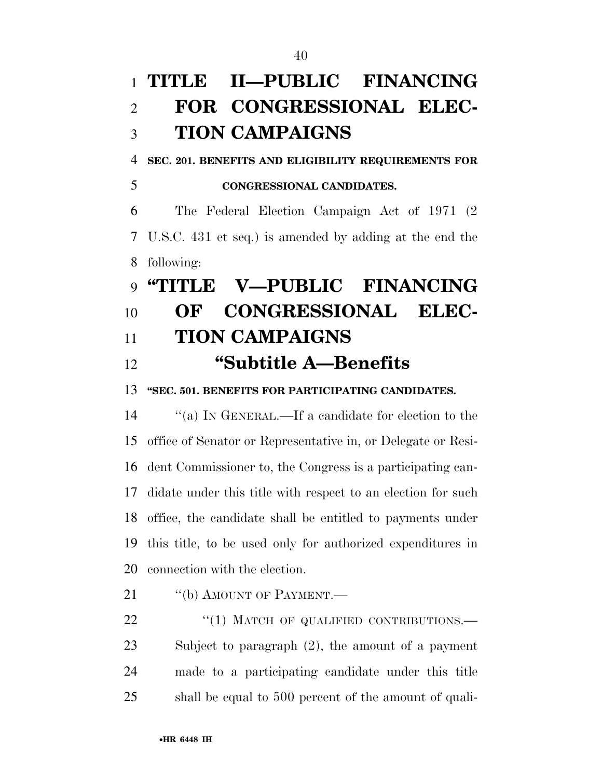# **TITLE II—PUBLIC FINANCING FOR CONGRESSIONAL ELEC- TION CAMPAIGNS SEC. 201. BENEFITS AND ELIGIBILITY REQUIREMENTS FOR CONGRESSIONAL CANDIDATES.**  The Federal Election Campaign Act of 1971 (2 U.S.C. 431 et seq.) is amended by adding at the end the following: **''TITLE V—PUBLIC FINANCING OF CONGRESSIONAL ELEC- TION CAMPAIGNS ''Subtitle A—Benefits ''SEC. 501. BENEFITS FOR PARTICIPATING CANDIDATES.**  ''(a) IN GENERAL.—If a candidate for election to the office of Senator or Representative in, or Delegate or Resi- dent Commissioner to, the Congress is a participating can-didate under this title with respect to an election for such

21 "(b) AMOUNT OF PAYMENT.— 22 "(1) MATCH OF QUALIFIED CONTRIBUTIONS.— Subject to paragraph (2), the amount of a payment made to a participating candidate under this title shall be equal to 500 percent of the amount of quali-

office, the candidate shall be entitled to payments under

this title, to be used only for authorized expenditures in

connection with the election.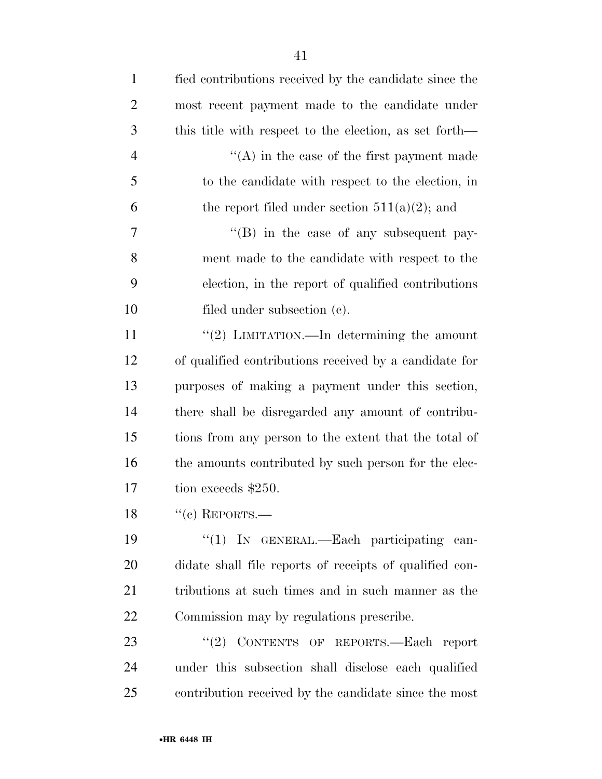| $\mathbf{1}$   | fied contributions received by the candidate since the  |
|----------------|---------------------------------------------------------|
| $\overline{2}$ | most recent payment made to the candidate under         |
| 3              | this title with respect to the election, as set forth—  |
| $\overline{4}$ | $\lq\lq$ in the case of the first payment made          |
| 5              | to the candidate with respect to the election, in       |
| 6              | the report filed under section $511(a)(2)$ ; and        |
| $\overline{7}$ | $\cdot$ (B) in the case of any subsequent pay-          |
| 8              | ment made to the candidate with respect to the          |
| 9              | election, in the report of qualified contributions      |
| 10             | filed under subsection (c).                             |
| 11             | "(2) LIMITATION.—In determining the amount              |
| 12             | of qualified contributions received by a candidate for  |
| 13             | purposes of making a payment under this section,        |
| 14             | there shall be disregarded any amount of contribu-      |
| 15             | tions from any person to the extent that the total of   |
| 16             | the amounts contributed by such person for the elec-    |
| 17             | tion exceeds \$250.                                     |
| 18             | "(c) REPORTS.—                                          |
| 19             | "(1) IN GENERAL.—Each participating can-                |
| 20             | didate shall file reports of receipts of qualified con- |
| 21             | tributions at such times and in such manner as the      |
| 22             | Commission may by regulations prescribe.                |
| 23             | "(2) CONTENTS OF REPORTS.-Each report                   |
| 24             | under this subsection shall disclose each qualified     |
| 25             | contribution received by the candidate since the most   |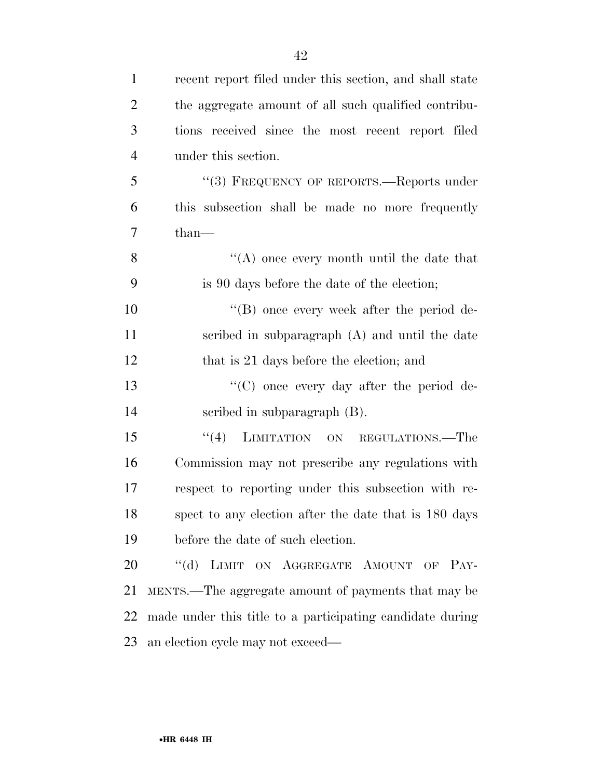| $\mathbf{1}$   | recent report filed under this section, and shall state   |
|----------------|-----------------------------------------------------------|
| $\overline{2}$ | the aggregate amount of all such qualified contribu-      |
| 3              | tions received since the most recent report filed         |
| $\overline{4}$ | under this section.                                       |
| 5              | "(3) FREQUENCY OF REPORTS.—Reports under                  |
| 6              | this subsection shall be made no more frequently          |
| $\overline{7}$ | $than-$                                                   |
| 8              | $\lq\lq$ once every month until the date that             |
| 9              | is 90 days before the date of the election;               |
| 10             | $\lq\lq (B)$ once every week after the period de-         |
| 11             | scribed in subparagraph (A) and until the date            |
| 12             | that is 21 days before the election; and                  |
| 13             | $\lq\lq$ once every day after the period de-              |
| 14             | scribed in subparagraph (B).                              |
| 15             | "(4) LIMITATION ON REGULATIONS.—The                       |
| 16             | Commission may not prescribe any regulations with         |
| 17             | respect to reporting under this subsection with re-       |
| 18             | spect to any election after the date that is 180 days     |
| 19             | before the date of such election.                         |
| 20             | $\lq\lq (d)$<br>LIMIT ON AGGREGATE AMOUNT OF PAY-         |
| 21             | MENTS.—The aggregate amount of payments that may be       |
| 22             | made under this title to a participating candidate during |
| 23             | an election cycle may not exceed—                         |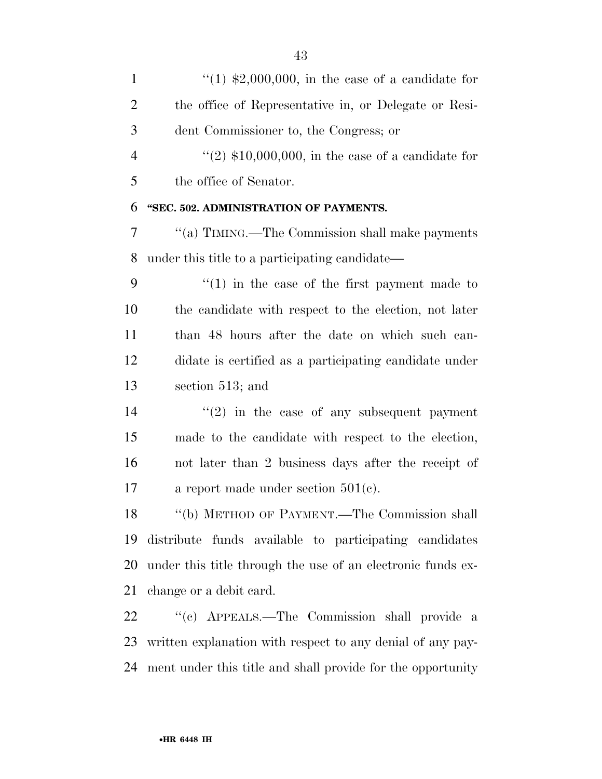$\frac{1}{2}$  (1) \$2,000,000, in the case of a candidate for the office of Representative in, or Delegate or Resi- dent Commissioner to, the Congress; or  $(2)$  \$10,000,000, in the case of a candidate for the office of Senator. **''SEC. 502. ADMINISTRATION OF PAYMENTS.**  ''(a) TIMING.—The Commission shall make payments under this title to a participating candidate—  $\frac{4}{1}$  in the case of the first payment made to the candidate with respect to the election, not later than 48 hours after the date on which such can- didate is certified as a participating candidate under section 513; and  $(2)$  in the case of any subsequent payment made to the candidate with respect to the election, not later than 2 business days after the receipt of a report made under section 501(c). ''(b) METHOD OF PAYMENT.—The Commission shall distribute funds available to participating candidates

 under this title through the use of an electronic funds ex-change or a debit card.

 ''(c) APPEALS.—The Commission shall provide a written explanation with respect to any denial of any pay-ment under this title and shall provide for the opportunity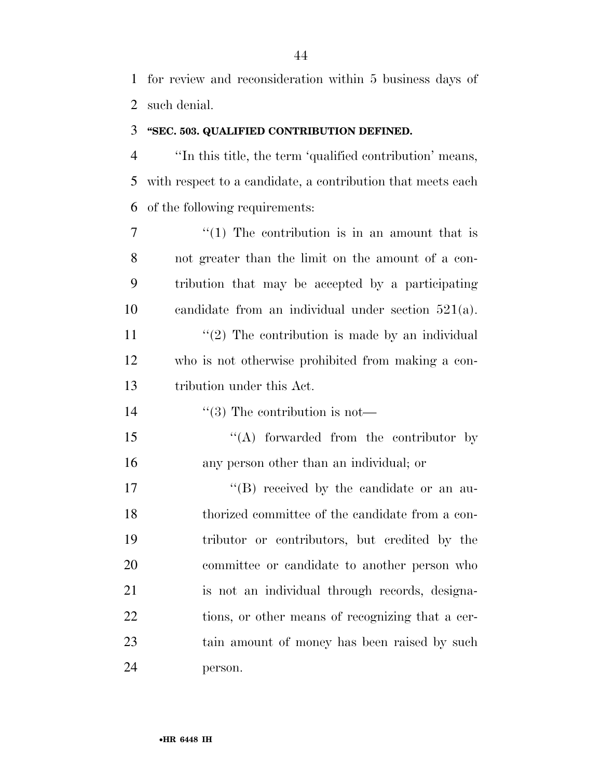for review and reconsideration within 5 business days of such denial.

#### **''SEC. 503. QUALIFIED CONTRIBUTION DEFINED.**

 ''In this title, the term 'qualified contribution' means, with respect to a candidate, a contribution that meets each of the following requirements:

 $7 \t\t\t\t\t\t''(1)$  The contribution is in an amount that is not greater than the limit on the amount of a con- tribution that may be accepted by a participating candidate from an individual under section 521(a).  $\frac{1}{2}$  The contribution is made by an individual who is not otherwise prohibited from making a con-tribution under this Act.

14  $\frac{1}{3}$  The contribution is not—

15 "(A) forwarded from the contributor by any person other than an individual; or

 $\text{``(B)}$  received by the candidate or an au- thorized committee of the candidate from a con- tributor or contributors, but credited by the committee or candidate to another person who is not an individual through records, designa-22 tions, or other means of recognizing that a cer- tain amount of money has been raised by such person.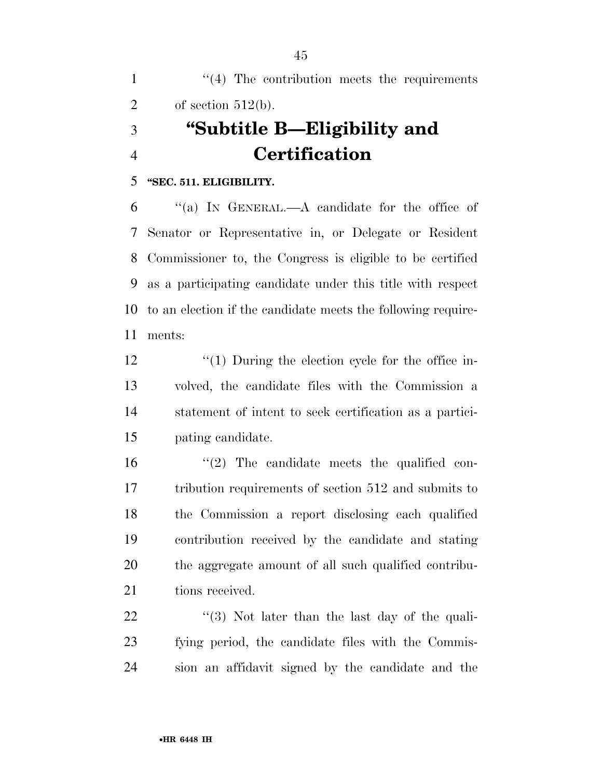1 ''(4) The contribution meets the requirements 2 of section  $512(b)$ . **''Subtitle B—Eligibility and Certification** 

#### **''SEC. 511. ELIGIBILITY.**

 ''(a) IN GENERAL.—A candidate for the office of Senator or Representative in, or Delegate or Resident Commissioner to, the Congress is eligible to be certified as a participating candidate under this title with respect to an election if the candidate meets the following require-ments:

 $\frac{1}{2}$  (1) During the election cycle for the office in- volved, the candidate files with the Commission a statement of intent to seek certification as a partici-pating candidate.

 $\frac{16}{2}$  The candidate meets the qualified con- tribution requirements of section 512 and submits to the Commission a report disclosing each qualified contribution received by the candidate and stating the aggregate amount of all such qualified contribu-21 tions received.

 ''(3) Not later than the last day of the quali- fying period, the candidate files with the Commis-sion an affidavit signed by the candidate and the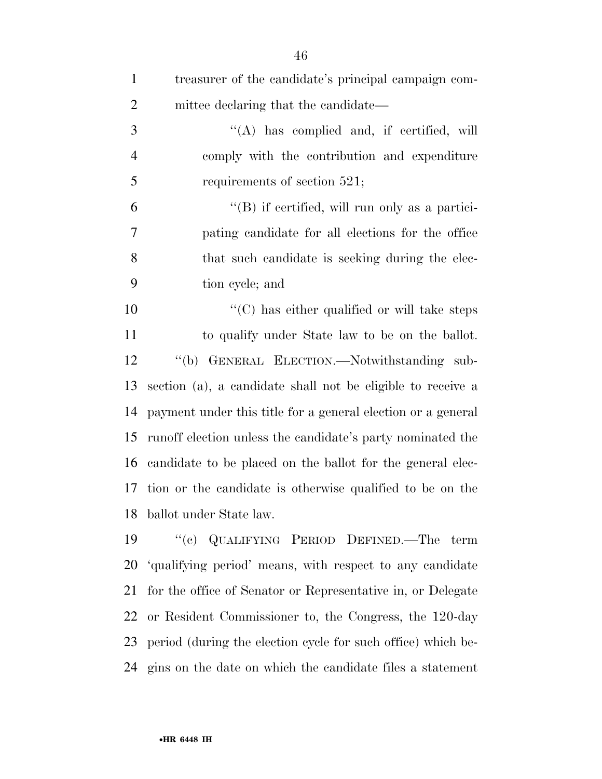| $\mathbf{1}$   | treasurer of the candidate's principal campaign com-         |
|----------------|--------------------------------------------------------------|
| $\overline{2}$ | mittee declaring that the candidate—                         |
| $\mathfrak{Z}$ | $\lq\lq$ has complied and, if certified, will                |
| $\overline{4}$ | comply with the contribution and expenditure                 |
| 5              | requirements of section 521;                                 |
| 6              | $\lq\lq$ if certified, will run only as a partici-           |
| $\tau$         | pating candidate for all elections for the office            |
| 8              | that such candidate is seeking during the elec-              |
| 9              | tion cycle; and                                              |
| 10             | $\lq\lq$ (C) has either qualified or will take steps         |
| 11             | to qualify under State law to be on the ballot.              |
| 12             | "(b) GENERAL ELECTION.—Notwithstanding sub-                  |
| 13             | section (a), a candidate shall not be eligible to receive a  |
| 14             | payment under this title for a general election or a general |
| 15             | runoff election unless the candidate's party nominated the   |
| 16             | candidate to be placed on the ballot for the general elec-   |
|                | 17 tion or the candidate is otherwise qualified to be on the |
|                | 18 ballot under State law.                                   |
| 19             | "(c) QUALIFYING PERIOD DEFINED.—The term                     |
| 20             | 'qualifying period' means, with respect to any candidate     |
| 21             | for the office of Senator or Representative in, or Delegate  |
| 22             | or Resident Commissioner to, the Congress, the 120-day       |
| 23             | period (during the election cycle for such office) which be- |
| 24             | gins on the date on which the candidate files a statement    |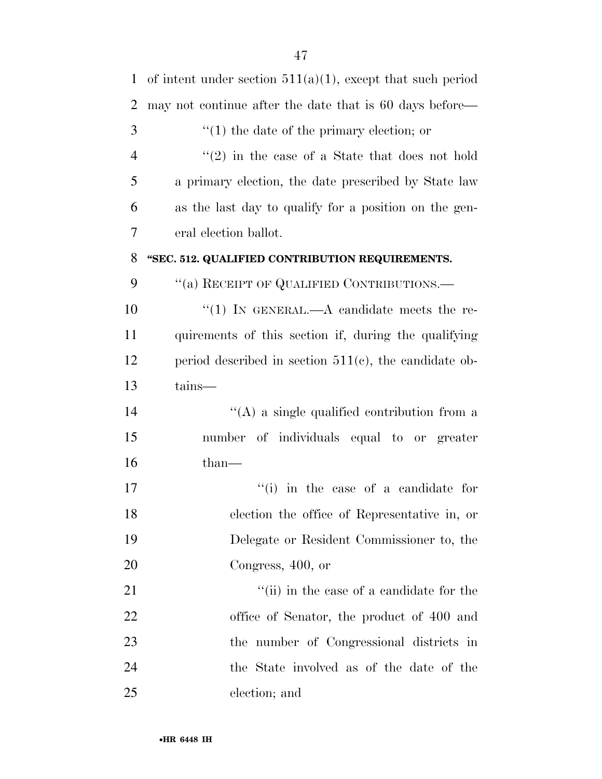| $\mathbf{1}$   | of intent under section $511(a)(1)$ , except that such period |
|----------------|---------------------------------------------------------------|
| $\overline{2}$ | may not continue after the date that is 60 days before—       |
| 3              | $f''(1)$ the date of the primary election; or                 |
| $\overline{4}$ | $f'(2)$ in the case of a State that does not hold             |
| 5              | a primary election, the date prescribed by State law          |
| 6              | as the last day to qualify for a position on the gen-         |
| 7              | eral election ballot.                                         |
| 8              | "SEC. 512. QUALIFIED CONTRIBUTION REQUIREMENTS.               |
| 9              | "(a) RECEIPT OF QUALIFIED CONTRIBUTIONS.—                     |
| 10             | "(1) IN GENERAL.—A candidate meets the re-                    |
| 11             | quirements of this section if, during the qualifying          |
| 12             | period described in section $511(c)$ , the candidate ob-      |
| 13             | tains-                                                        |
| 14             | $\lq\lq$ a single qualified contribution from a               |
| 15             | number of individuals equal to or greater                     |
| 16             | $than-$                                                       |
| 17             | "(i) in the case of a candidate for                           |
| 18             | election the office of Representative in, or                  |
| 19             | Delegate or Resident Commissioner to, the                     |
| 20             | Congress, 400, or                                             |
| 21             | "(ii) in the case of a candidate for the                      |
| 22             | office of Senator, the product of 400 and                     |
| 23             | the number of Congressional districts in                      |
| 24             | the State involved as of the date of the                      |
| 25             | election; and                                                 |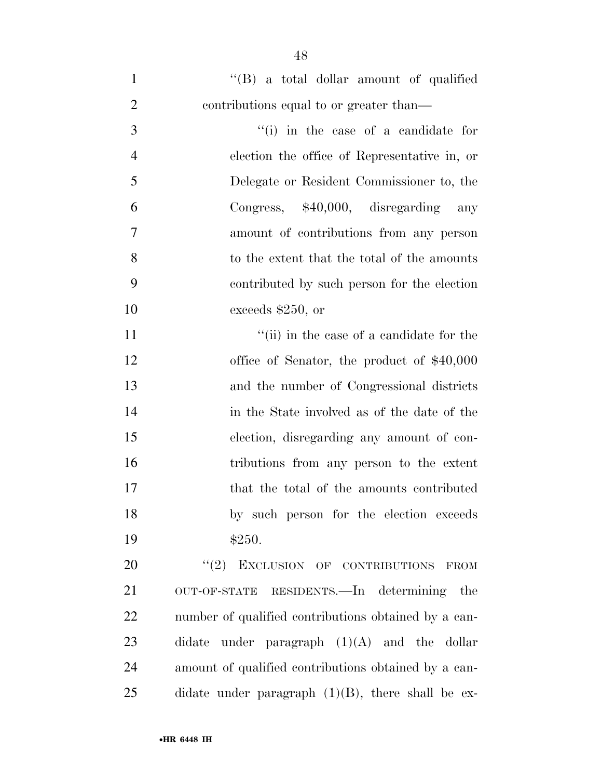| $\mathbf{1}$   | $\lq\lq (B)$ a total dollar amount of qualified      |
|----------------|------------------------------------------------------|
| $\overline{2}$ | contributions equal to or greater than—              |
| 3              | $f'(i)$ in the case of a candidate for               |
| $\overline{4}$ | election the office of Representative in, or         |
| 5              | Delegate or Resident Commissioner to, the            |
| 6              | Congress, $$40,000$ , disregarding any               |
| 7              | amount of contributions from any person              |
| 8              | to the extent that the total of the amounts          |
| 9              | contributed by such person for the election          |
| 10             | exceeds \$250, or                                    |
| 11             | "(ii) in the case of a candidate for the             |
| 12             | office of Senator, the product of $$40,000$          |
| 13             | and the number of Congressional districts            |
| 14             | in the State involved as of the date of the          |
| 15             | election, disregarding any amount of con-            |
| 16             | tributions from any person to the extent             |
| 17             | that the total of the amounts contributed            |
| 18             | by such person for the election exceeds              |
| 19             | \$250.                                               |
| 20             | "(2) EXCLUSION OF CONTRIBUTIONS<br><b>FROM</b>       |
| 21             | OUT-OF-STATE RESIDENTS.—In determining the           |
| 22             | number of qualified contributions obtained by a can- |
| 23             | didate under paragraph $(1)(A)$ and the dollar       |

amount of qualified contributions obtained by a can-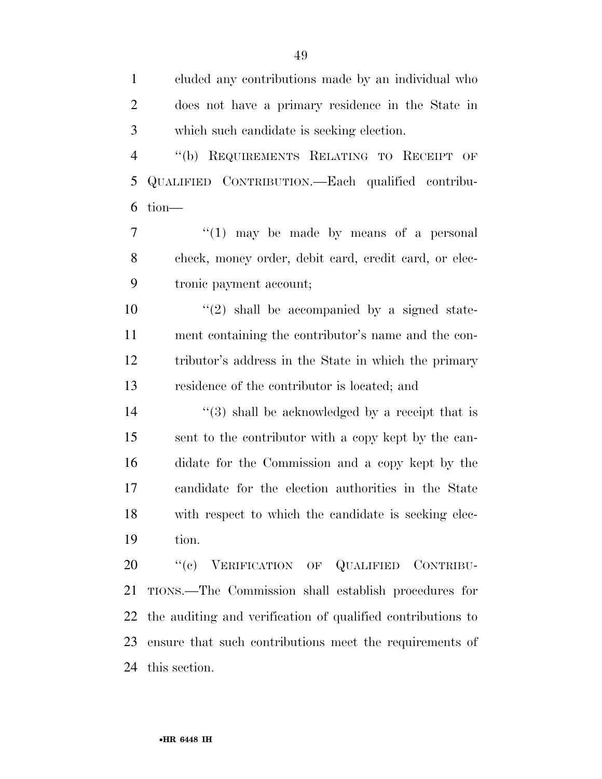cluded any contributions made by an individual who does not have a primary residence in the State in which such candidate is seeking election.

 ''(b) REQUIREMENTS RELATING TO RECEIPT OF QUALIFIED CONTRIBUTION.—Each qualified contribu-tion—

7  $\frac{1}{1}$  may be made by means of a personal check, money order, debit card, credit card, or elec-tronic payment account;

 $\frac{1}{2}$  shall be accompanied by a signed state- ment containing the contributor's name and the con- tributor's address in the State in which the primary residence of the contributor is located; and

 ''(3) shall be acknowledged by a receipt that is sent to the contributor with a copy kept by the can- didate for the Commission and a copy kept by the candidate for the election authorities in the State with respect to which the candidate is seeking elec-tion.

20 "'(c) VERIFICATION OF QUALIFIED CONTRIBU- TIONS.—The Commission shall establish procedures for the auditing and verification of qualified contributions to ensure that such contributions meet the requirements of this section.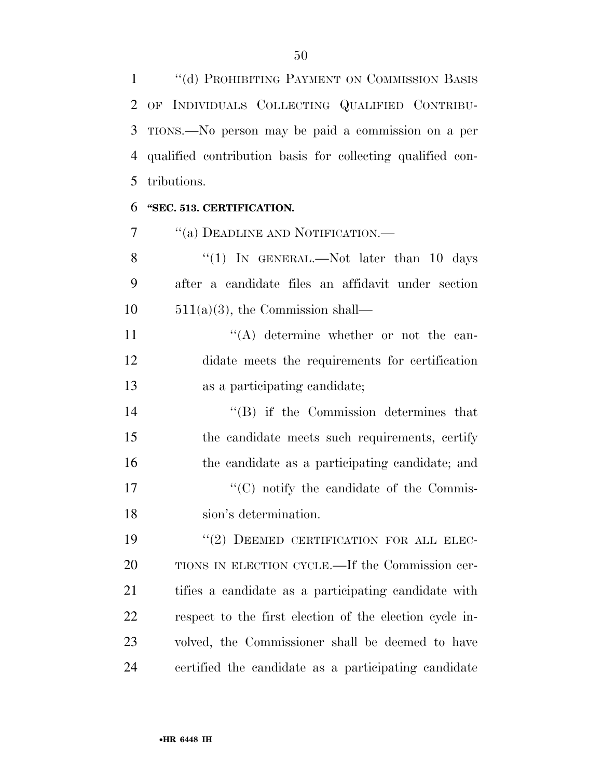''(d) PROHIBITING PAYMENT ON COMMISSION BASIS OF INDIVIDUALS COLLECTING QUALIFIED CONTRIBU- TIONS.—No person may be paid a commission on a per qualified contribution basis for collecting qualified con-tributions.

#### **''SEC. 513. CERTIFICATION.**

7 <sup>"</sup>(a) DEADLINE AND NOTIFICATION.—

8 "(1) IN GENERAL.—Not later than 10 days after a candidate files an affidavit under section  $10 \qquad 511(a)(3)$ , the Commission shall—

11 ''(A) determine whether or not the can- didate meets the requirements for certification as a participating candidate;

 ''(B) if the Commission determines that the candidate meets such requirements, certify the candidate as a participating candidate; and  $\lq\lq$  (C) notify the candidate of the Commis-sion's determination.

19 "(2) DEEMED CERTIFICATION FOR ALL ELEC- TIONS IN ELECTION CYCLE.—If the Commission cer- tifies a candidate as a participating candidate with respect to the first election of the election cycle in- volved, the Commissioner shall be deemed to have certified the candidate as a participating candidate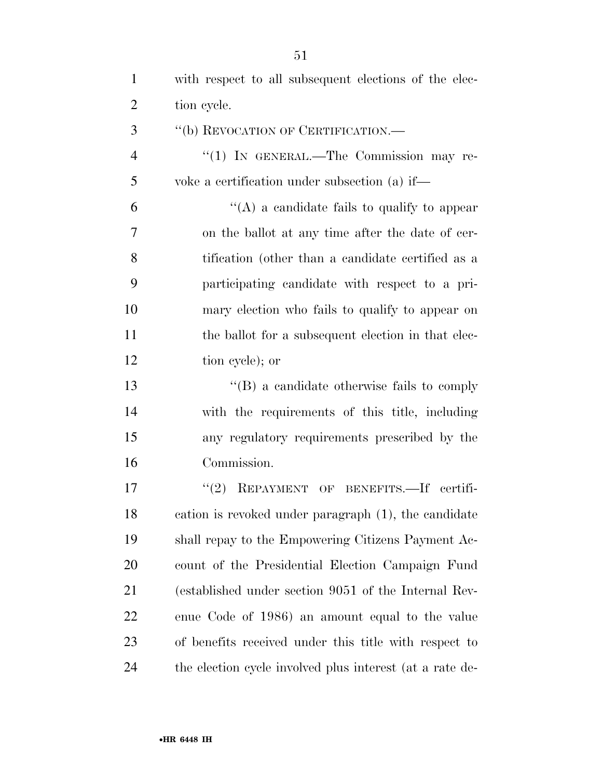| $\mathbf{1}$   | with respect to all subsequent elections of the elec-    |
|----------------|----------------------------------------------------------|
| $\overline{2}$ | tion cycle.                                              |
| 3              | "(b) REVOCATION OF CERTIFICATION.—                       |
| $\overline{4}$ | "(1) IN GENERAL.—The Commission may re-                  |
| 5              | voke a certification under subsection (a) if—            |
| 6              | "(A) a candidate fails to qualify to appear              |
| 7              | on the ballot at any time after the date of cer-         |
| 8              | tification (other than a candidate certified as a        |
| 9              | participating candidate with respect to a pri-           |
| 10             | mary election who fails to qualify to appear on          |
| 11             | the ballot for a subsequent election in that elec-       |
| 12             | tion eyele); or                                          |
| 13             | $\lq\lq (B)$ a candidate otherwise fails to comply       |
| 14             | with the requirements of this title, including           |
| 15             | any regulatory requirements prescribed by the            |
| 16             | Commission.                                              |
| 17             | REPAYMENT OF BENEFITS. If certifi-<br>(2)                |
| 18             | cation is revoked under paragraph (1), the candidate     |
| 19             | shall repay to the Empowering Citizens Payment Ac-       |
| 20             | count of the Presidential Election Campaign Fund         |
| 21             | (established under section 9051 of the Internal Rev-     |
| 22             | enue Code of 1986) an amount equal to the value          |
| 23             | of benefits received under this title with respect to    |
| 24             | the election cycle involved plus interest (at a rate de- |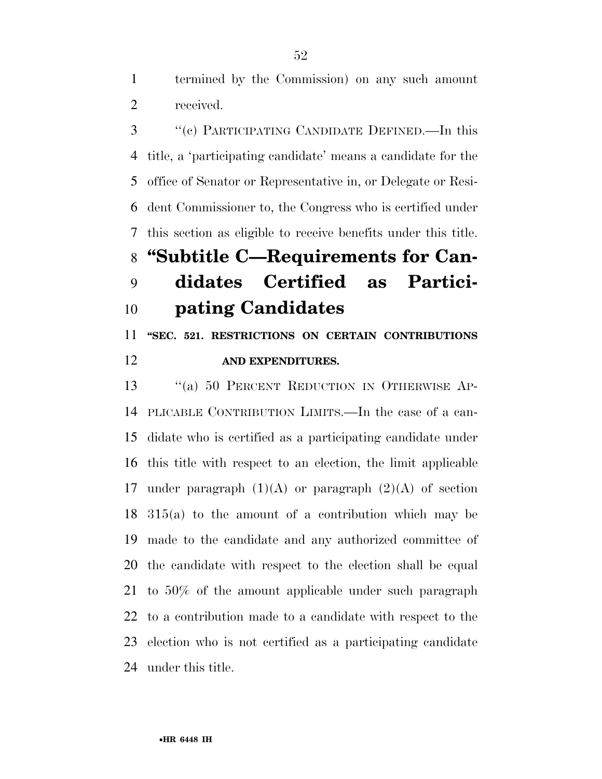termined by the Commission) on any such amount received.

 ''(c) PARTICIPATING CANDIDATE DEFINED.—In this title, a 'participating candidate' means a candidate for the office of Senator or Representative in, or Delegate or Resi- dent Commissioner to, the Congress who is certified under this section as eligible to receive benefits under this title. **''Subtitle C—Requirements for Can-**

### **didates Certified as Partici-pating Candidates**

 **''SEC. 521. RESTRICTIONS ON CERTAIN CONTRIBUTIONS AND EXPENDITURES.** 

 ''(a) 50 PERCENT REDUCTION IN OTHERWISE AP- PLICABLE CONTRIBUTION LIMITS.—In the case of a can- didate who is certified as a participating candidate under this title with respect to an election, the limit applicable 17 under paragraph  $(1)(A)$  or paragraph  $(2)(A)$  of section 315(a) to the amount of a contribution which may be made to the candidate and any authorized committee of the candidate with respect to the election shall be equal to 50% of the amount applicable under such paragraph to a contribution made to a candidate with respect to the election who is not certified as a participating candidate under this title.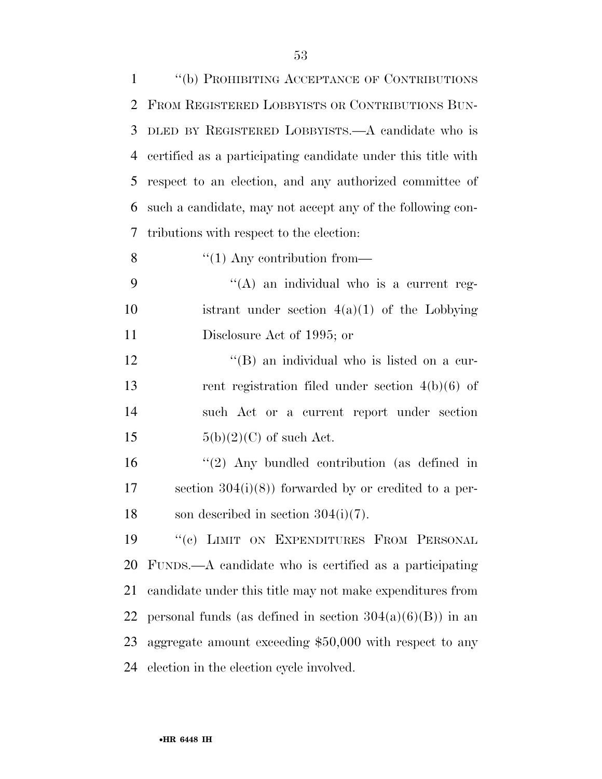| $\mathbf{1}$   | "(b) PROHIBITING ACCEPTANCE OF CONTRIBUTIONS                 |
|----------------|--------------------------------------------------------------|
| $\overline{2}$ | FROM REGISTERED LOBBYISTS OR CONTRIBUTIONS BUN-              |
| 3              | DLED BY REGISTERED LOBBYISTS.—A candidate who is             |
| $\overline{4}$ | certified as a participating candidate under this title with |
| 5              | respect to an election, and any authorized committee of      |
| 6              | such a candidate, may not accept any of the following con-   |
| 7              | tributions with respect to the election:                     |
| 8              | $\lq(1)$ Any contribution from—                              |
| 9              | $\lq\lq$ an individual who is a current reg-                 |
| 10             | istrant under section $4(a)(1)$ of the Lobbying              |
| 11             | Disclosure Act of 1995; or                                   |
| 12             | "(B) an individual who is listed on a cur-                   |
| 13             | rent registration filed under section $4(b)(6)$ of           |
| 14             | such Act or a current report under section                   |
| 15             | $5(b)(2)(C)$ of such Act.                                    |
| 16             | $\lq(2)$ Any bundled contribution (as defined in             |
| 17             | section $304(i)(8)$ forwarded by or credited to a per-       |
| 18             | son described in section $304(i)(7)$ .                       |
| 19             | "(c) LIMIT ON EXPENDITURES FROM PERSONAL                     |
| 20             | FUNDS.—A candidate who is certified as a participating       |
| 21             | candidate under this title may not make expenditures from    |
| 22             | personal funds (as defined in section $304(a)(6)(B)$ ) in an |
| 23             | aggregate amount exceeding $$50,000$ with respect to any     |

election in the election cycle involved.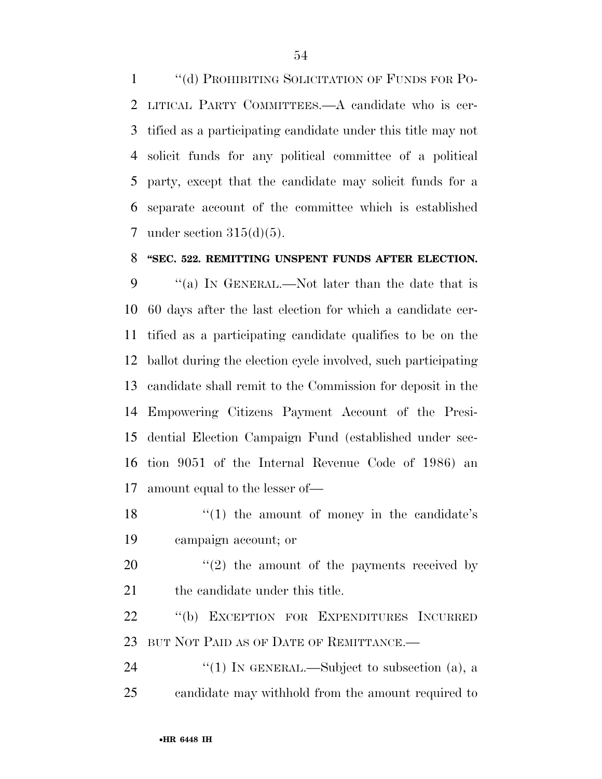1 "(d) PROHIBITING SOLICITATION OF FUNDS FOR PO- LITICAL PARTY COMMITTEES.—A candidate who is cer- tified as a participating candidate under this title may not solicit funds for any political committee of a political party, except that the candidate may solicit funds for a separate account of the committee which is established under section 315(d)(5).

#### **''SEC. 522. REMITTING UNSPENT FUNDS AFTER ELECTION.**

 ''(a) IN GENERAL.—Not later than the date that is 60 days after the last election for which a candidate cer- tified as a participating candidate qualifies to be on the ballot during the election cycle involved, such participating candidate shall remit to the Commission for deposit in the Empowering Citizens Payment Account of the Presi- dential Election Campaign Fund (established under sec- tion 9051 of the Internal Revenue Code of 1986) an amount equal to the lesser of—

18 ''(1) the amount of money in the candidate's campaign account; or

20  $\frac{1}{2}$  the amount of the payments received by 21 the candidate under this title.

 ''(b) EXCEPTION FOR EXPENDITURES INCURRED BUT NOT PAID AS OF DATE OF REMITTANCE.—

24  $\frac{1}{2}$  (1) In GENERAL.—Subject to subsection (a), a candidate may withhold from the amount required to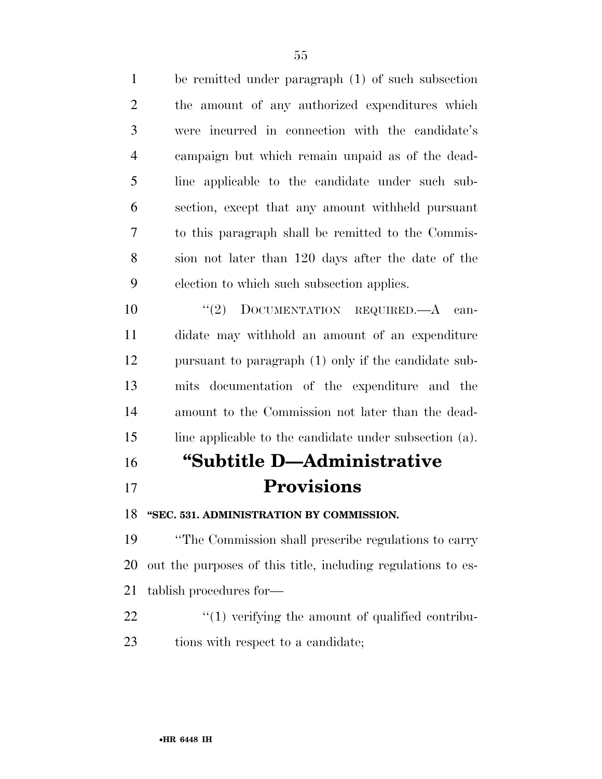be remitted under paragraph (1) of such subsection the amount of any authorized expenditures which were incurred in connection with the candidate's campaign but which remain unpaid as of the dead- line applicable to the candidate under such sub- section, except that any amount withheld pursuant to this paragraph shall be remitted to the Commis- sion not later than 120 days after the date of the election to which such subsection applies.

 $(2)$  DOCUMENTATION REQUIRED. A can- didate may withhold an amount of an expenditure pursuant to paragraph (1) only if the candidate sub- mits documentation of the expenditure and the amount to the Commission not later than the dead-line applicable to the candidate under subsection (a).

# **''Subtitle D—Administrative Provisions**

**''SEC. 531. ADMINISTRATION BY COMMISSION.** 

 ''The Commission shall prescribe regulations to carry out the purposes of this title, including regulations to es-tablish procedures for—

  $\qquad$   $\qquad$   $(1)$  verifying the amount of qualified contribu-23 tions with respect to a candidate;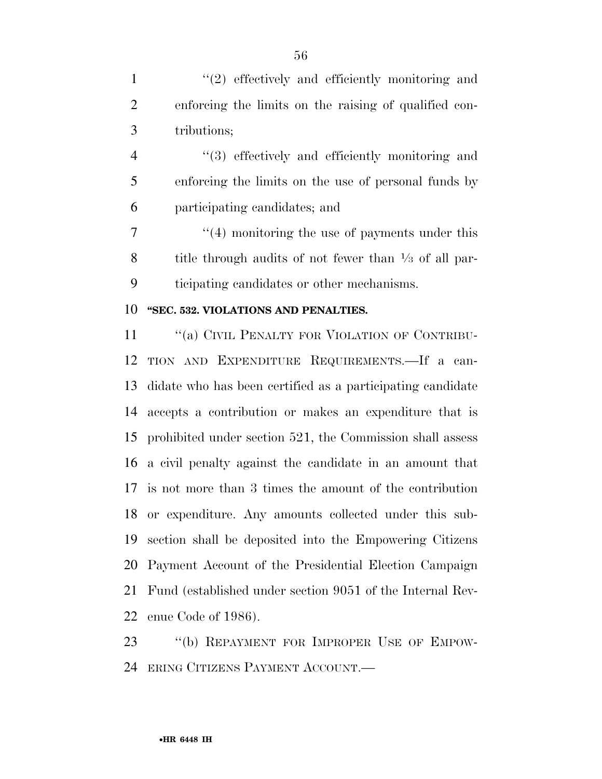1 ''(2) effectively and efficiently monitoring and enforcing the limits on the raising of qualified con-tributions;

 ''(3) effectively and efficiently monitoring and enforcing the limits on the use of personal funds by participating candidates; and

7 ''(4) monitoring the use of payments under this 8 title through audits of not fewer than  $\frac{1}{3}$  of all par-ticipating candidates or other mechanisms.

#### **''SEC. 532. VIOLATIONS AND PENALTIES.**

11 "(a) CIVIL PENALTY FOR VIOLATION OF CONTRIBU- TION AND EXPENDITURE REQUIREMENTS.—If a can- didate who has been certified as a participating candidate accepts a contribution or makes an expenditure that is prohibited under section 521, the Commission shall assess a civil penalty against the candidate in an amount that is not more than 3 times the amount of the contribution or expenditure. Any amounts collected under this sub- section shall be deposited into the Empowering Citizens Payment Account of the Presidential Election Campaign Fund (established under section 9051 of the Internal Rev-enue Code of 1986).

23 "(b) REPAYMENT FOR IMPROPER USE OF EMPOW-ERING CITIZENS PAYMENT ACCOUNT.—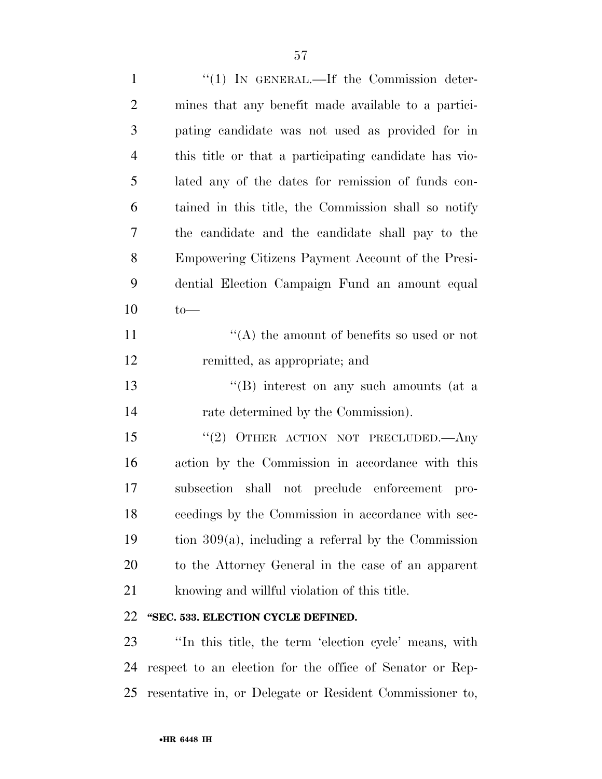| $\mathbf{1}$   | " $(1)$ IN GENERAL.—If the Commission deter-             |
|----------------|----------------------------------------------------------|
| $\overline{2}$ | mines that any benefit made available to a partici-      |
| 3              | pating candidate was not used as provided for in         |
| $\overline{4}$ | this title or that a participating candidate has vio-    |
| 5              | lated any of the dates for remission of funds con-       |
| 6              | tained in this title, the Commission shall so notify     |
| 7              | the candidate and the candidate shall pay to the         |
| 8              | Empowering Citizens Payment Account of the Presi-        |
| 9              | dential Election Campaign Fund an amount equal           |
| 10             | $to-$                                                    |
| 11             | "(A) the amount of benefits so used or not               |
| 12             | remitted, as appropriate; and                            |
| 13             | $\lq\lq$ ) interest on any such amounts (at a            |
| 14             | rate determined by the Commission).                      |
| 15             | "(2) OTHER ACTION NOT PRECLUDED.—Any                     |
| 16             | action by the Commission in accordance with this         |
| 17             | subsection shall not preclude enforcement pro-           |
| 18             | ceedings by the Commission in accordance with sec-       |
| 19             | tion $309(a)$ , including a referral by the Commission   |
| 20             | to the Attorney General in the case of an apparent       |
| 21             | knowing and willful violation of this title.             |
| 22             | "SEC. 533. ELECTION CYCLE DEFINED.                       |
| 23             | "In this title, the term 'election cycle' means, with    |
| 24             | respect to an election for the office of Senator or Rep- |

resentative in, or Delegate or Resident Commissioner to,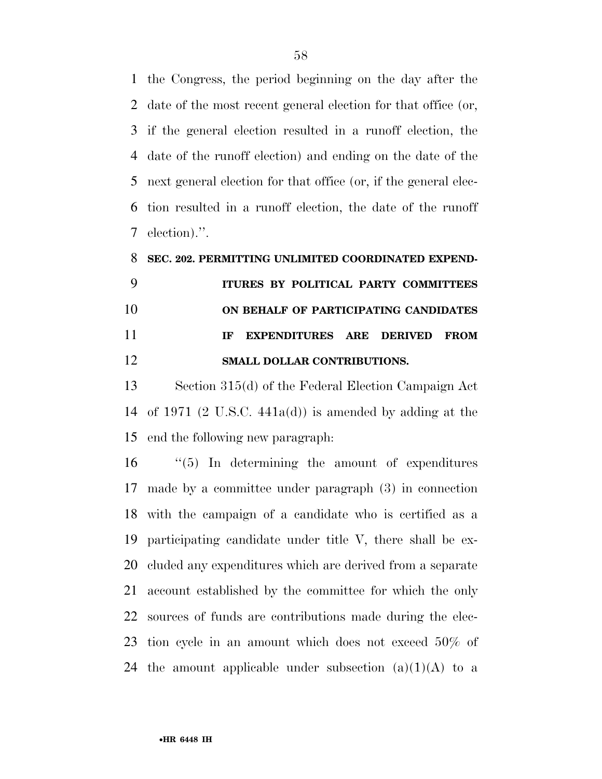the Congress, the period beginning on the day after the date of the most recent general election for that office (or, if the general election resulted in a runoff election, the date of the runoff election) and ending on the date of the next general election for that office (or, if the general elec- tion resulted in a runoff election, the date of the runoff election).''.

## **SEC. 202. PERMITTING UNLIMITED COORDINATED EXPEND- ITURES BY POLITICAL PARTY COMMITTEES ON BEHALF OF PARTICIPATING CANDIDATES IF EXPENDITURES ARE DERIVED FROM SMALL DOLLAR CONTRIBUTIONS.**

 Section 315(d) of the Federal Election Campaign Act of 1971 (2 U.S.C. 441a(d)) is amended by adding at the end the following new paragraph:

 ''(5) In determining the amount of expenditures made by a committee under paragraph (3) in connection with the campaign of a candidate who is certified as a participating candidate under title V, there shall be ex- cluded any expenditures which are derived from a separate account established by the committee for which the only sources of funds are contributions made during the elec- tion cycle in an amount which does not exceed 50% of 24 the amount applicable under subsection  $(a)(1)(A)$  to a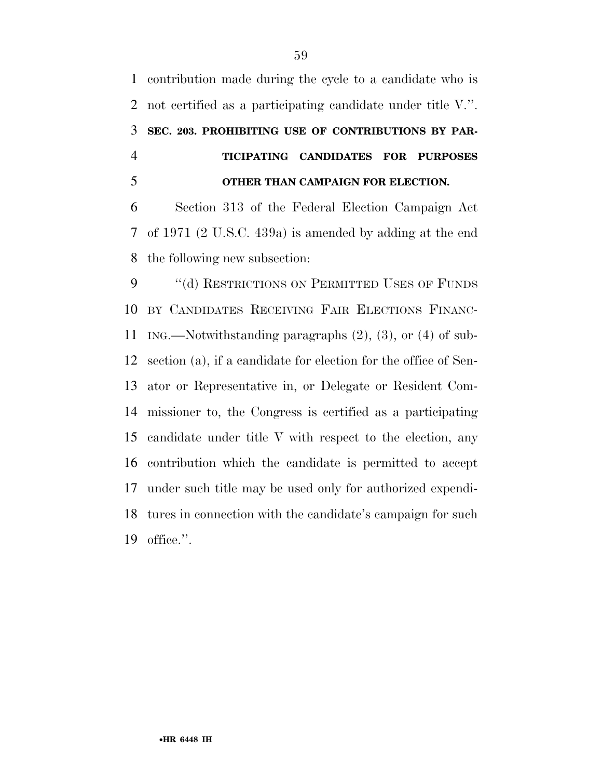contribution made during the cycle to a candidate who is not certified as a participating candidate under title V.''. **SEC. 203. PROHIBITING USE OF CONTRIBUTIONS BY PAR- TICIPATING CANDIDATES FOR PURPOSES OTHER THAN CAMPAIGN FOR ELECTION.** 

 Section 313 of the Federal Election Campaign Act of 1971 (2 U.S.C. 439a) is amended by adding at the end the following new subsection:

9 "(d) RESTRICTIONS ON PERMITTED USES OF FUNDS BY CANDIDATES RECEIVING FAIR ELECTIONS FINANC- ING.—Notwithstanding paragraphs (2), (3), or (4) of sub- section (a), if a candidate for election for the office of Sen- ator or Representative in, or Delegate or Resident Com- missioner to, the Congress is certified as a participating candidate under title V with respect to the election, any contribution which the candidate is permitted to accept under such title may be used only for authorized expendi- tures in connection with the candidate's campaign for such office.''.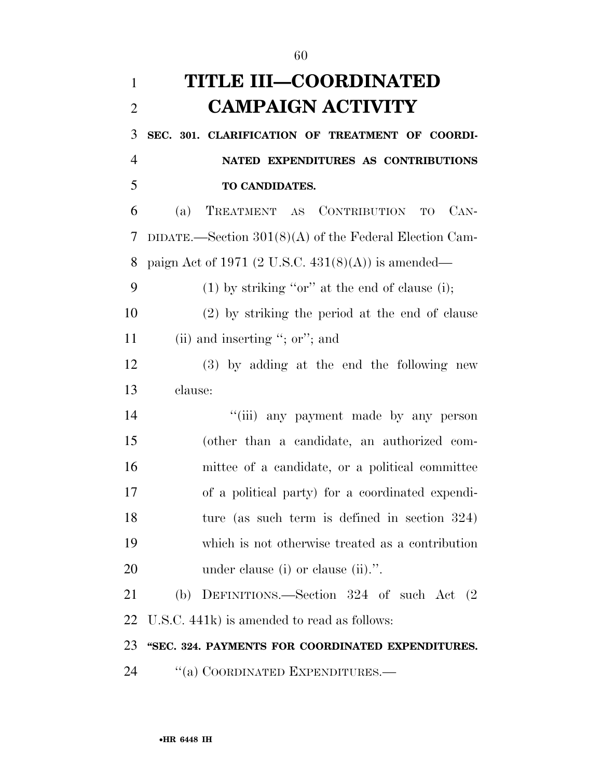| $\mathbf{1}$   | <b>TITLE III-COORDINATED</b>                             |
|----------------|----------------------------------------------------------|
| $\overline{2}$ | <b>CAMPAIGN ACTIVITY</b>                                 |
| 3              | SEC. 301. CLARIFICATION OF TREATMENT OF COORDI-          |
| $\overline{4}$ | NATED EXPENDITURES AS CONTRIBUTIONS                      |
| 5              | TO CANDIDATES.                                           |
| 6              | TREATMENT AS CONTRIBUTION<br>$CAN-$<br>(a)<br>TO T       |
| 7              | DIDATE.—Section $301(8)(A)$ of the Federal Election Cam- |
| 8              | paign Act of 1971 (2 U.S.C. $431(8)(A)$ ) is amended—    |
| 9              | $(1)$ by striking "or" at the end of clause (i);         |
| 10             | (2) by striking the period at the end of clause          |
| 11             | (ii) and inserting "; or"; and                           |
| 12             | (3) by adding at the end the following new               |
| 13             | clause:                                                  |
| 14             | "(iii) any payment made by any person                    |
| 15             | (other than a candidate, an authorized com-              |
| 16             | mittee of a candidate, or a political committee          |
| 17             | of a political party) for a coordinated expendi-         |
| 18             | ture (as such term is defined in section $324$ )         |
| 19             | which is not otherwise treated as a contribution         |
| 20             | under clause (i) or clause (ii).".                       |
| 21             | (b) DEFINITIONS.—Section 324 of such Act (2)             |
| 22             | U.S.C. 441k) is amended to read as follows:              |
| 23             | "SEC. 324. PAYMENTS FOR COORDINATED EXPENDITURES.        |
|                |                                                          |

24 "(a) COORDINATED EXPENDITURES.—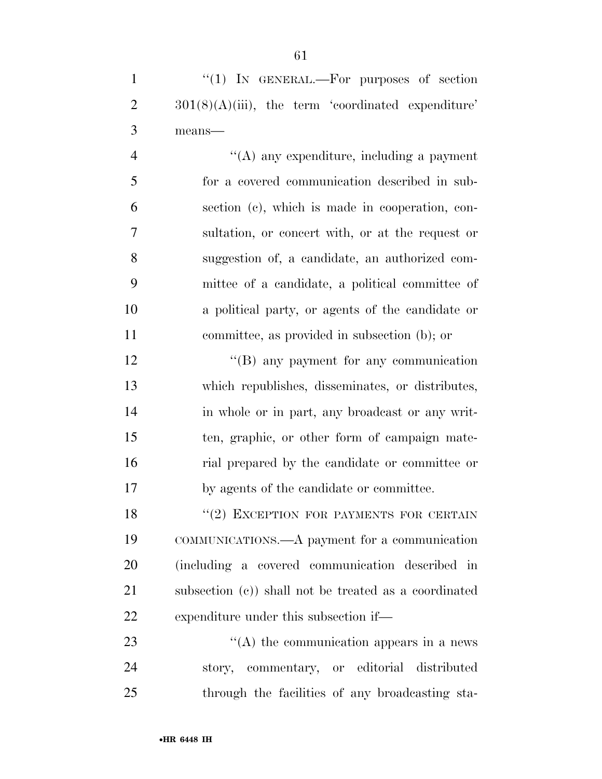| "(1) IN GENERAL.—For purposes of section                              |
|-----------------------------------------------------------------------|
| $2 \qquad \qquad 301(8)(A)(iii)$ , the term 'coordinated expenditure' |
| 3 means—                                                              |

 ''(A) any expenditure, including a payment for a covered communication described in sub- section (c), which is made in cooperation, con- sultation, or concert with, or at the request or suggestion of, a candidate, an authorized com- mittee of a candidate, a political committee of a political party, or agents of the candidate or committee, as provided in subsection (b); or

12 ''(B) any payment for any communication which republishes, disseminates, or distributes, in whole or in part, any broadcast or any writ- ten, graphic, or other form of campaign mate- rial prepared by the candidate or committee or by agents of the candidate or committee.

18 "(2) EXCEPTION FOR PAYMENTS FOR CERTAIN COMMUNICATIONS.—A payment for a communication (including a covered communication described in subsection (c)) shall not be treated as a coordinated expenditure under this subsection if—

23 ''(A) the communication appears in a news story, commentary, or editorial distributed through the facilities of any broadcasting sta-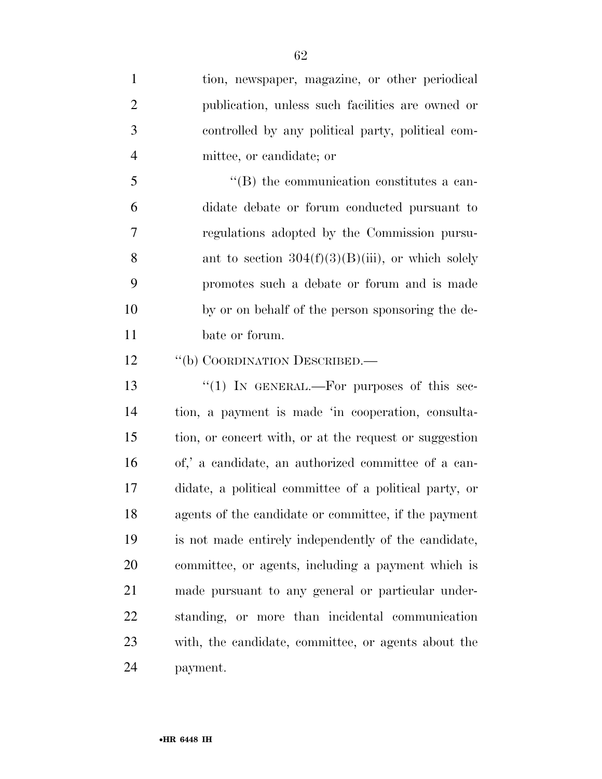| $\mathbf{1}$   | tion, newspaper, magazine, or other periodical         |
|----------------|--------------------------------------------------------|
| $\overline{2}$ | publication, unless such facilities are owned or       |
| 3              | controlled by any political party, political com-      |
| $\overline{4}$ | mittee, or candidate; or                               |
| 5              | "(B) the communication constitutes a can-              |
| 6              | didate debate or forum conducted pursuant to           |
| $\tau$         | regulations adopted by the Commission pursu-           |
| 8              | ant to section $304(f)(3)(B)(iii)$ , or which solely   |
| 9              | promotes such a debate or forum and is made            |
| 10             | by or on behalf of the person sponsoring the de-       |
| 11             | bate or forum.                                         |
| 12             | "(b) COORDINATION DESCRIBED.—                          |
| 13             | "(1) IN GENERAL.—For purposes of this sec-             |
| 14             | tion, a payment is made 'in cooperation, consulta-     |
| 15             | tion, or concert with, or at the request or suggestion |
| 16             | of,' a candidate, an authorized committee of a can-    |
| 17             | didate, a political committee of a political party, or |
| 18             | agents of the candidate or committee, if the payment   |
| 19             | is not made entirely independently of the candidate,   |
| 20             | committee, or agents, including a payment which is     |
| 21             | made pursuant to any general or particular under-      |
| 22             | standing, or more than incidental communication        |
| 23             | with, the candidate, committee, or agents about the    |
|                |                                                        |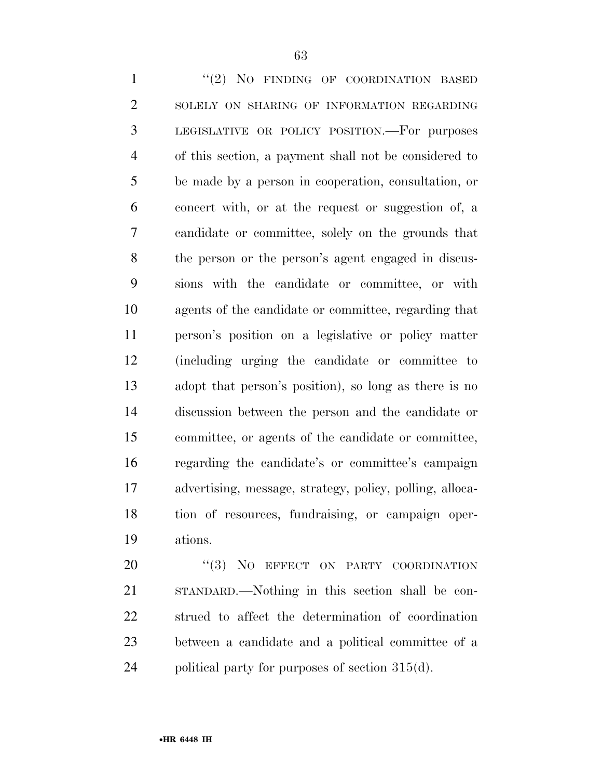1 "(2) NO FINDING OF COORDINATION BASED 2 SOLELY ON SHARING OF INFORMATION REGARDING LEGISLATIVE OR POLICY POSITION.—For purposes of this section, a payment shall not be considered to be made by a person in cooperation, consultation, or concert with, or at the request or suggestion of, a candidate or committee, solely on the grounds that the person or the person's agent engaged in discus- sions with the candidate or committee, or with agents of the candidate or committee, regarding that person's position on a legislative or policy matter (including urging the candidate or committee to adopt that person's position), so long as there is no discussion between the person and the candidate or committee, or agents of the candidate or committee, regarding the candidate's or committee's campaign advertising, message, strategy, policy, polling, alloca- tion of resources, fundraising, or campaign oper-ations.

20 "(3) NO EFFECT ON PARTY COORDINATION STANDARD.—Nothing in this section shall be con- strued to affect the determination of coordination between a candidate and a political committee of a 24 political party for purposes of section  $315(d)$ .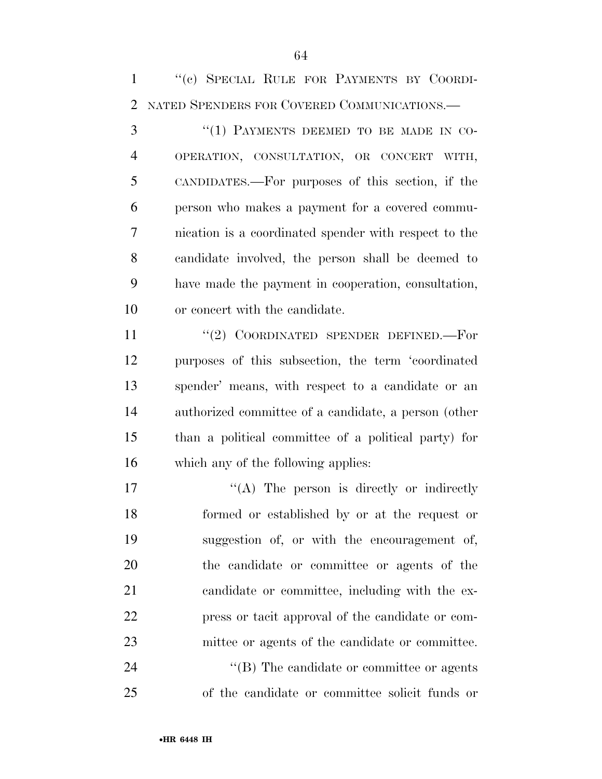''(c) SPECIAL RULE FOR PAYMENTS BY COORDI-NATED SPENDERS FOR COVERED COMMUNICATIONS.—

3 "(1) PAYMENTS DEEMED TO BE MADE IN CO- OPERATION, CONSULTATION, OR CONCERT WITH, CANDIDATES.—For purposes of this section, if the person who makes a payment for a covered commu- nication is a coordinated spender with respect to the candidate involved, the person shall be deemed to have made the payment in cooperation, consultation, or concert with the candidate.

11 "(2) COORDINATED SPENDER DEFINED. For purposes of this subsection, the term 'coordinated spender' means, with respect to a candidate or an authorized committee of a candidate, a person (other than a political committee of a political party) for which any of the following applies:

 $\langle (A)$  The person is directly or indirectly formed or established by or at the request or suggestion of, or with the encouragement of, the candidate or committee or agents of the candidate or committee, including with the ex- press or tacit approval of the candidate or com-mittee or agents of the candidate or committee.

24  $\text{``(B)}$  The candidate or committee or agents of the candidate or committee solicit funds or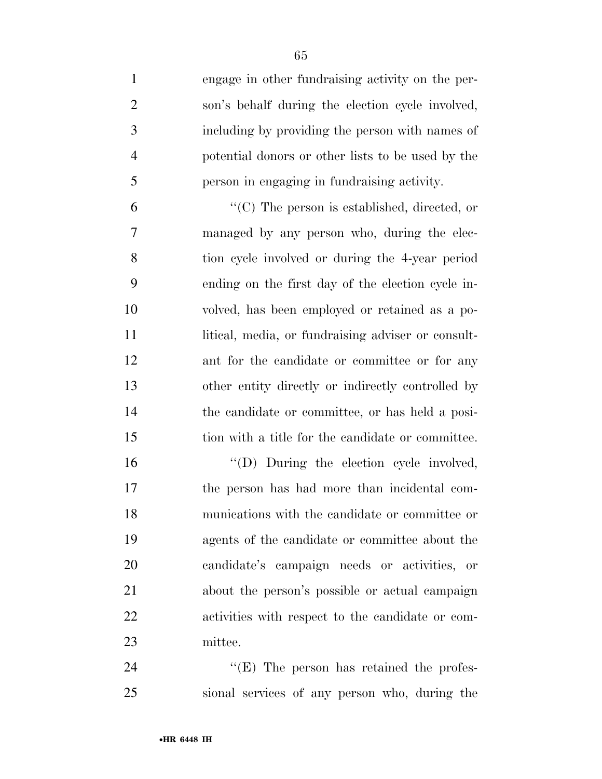engage in other fundraising activity on the per-

 son's behalf during the election cycle involved, including by providing the person with names of potential donors or other lists to be used by the person in engaging in fundraising activity. ''(C) The person is established, directed, or managed by any person who, during the elec- tion cycle involved or during the 4-year period ending on the first day of the election cycle in- volved, has been employed or retained as a po-11 litical, media, or fundraising adviser or consult-12 ant for the candidate or committee or for any other entity directly or indirectly controlled by the candidate or committee, or has held a posi-tion with a title for the candidate or committee.

 $\qquad$  (D) During the election cycle involved, the person has had more than incidental com- munications with the candidate or committee or agents of the candidate or committee about the candidate's campaign needs or activities, or about the person's possible or actual campaign activities with respect to the candidate or com-mittee.

24 "'(E) The person has retained the profes-sional services of any person who, during the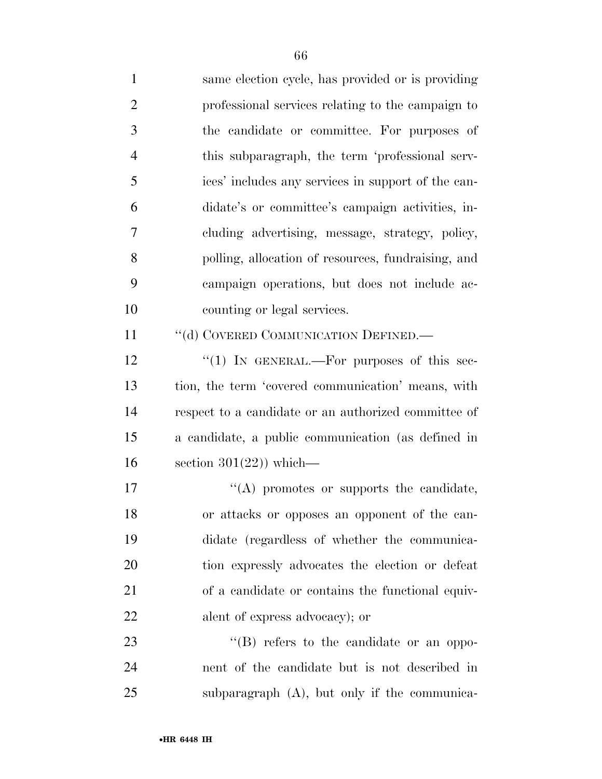same election cycle, has provided or is providing professional services relating to the campaign to the candidate or committee. For purposes of this subparagraph, the term 'professional serv- ices' includes any services in support of the can- didate's or committee's campaign activities, in- cluding advertising, message, strategy, policy, polling, allocation of resources, fundraising, and campaign operations, but does not include ac- counting or legal services. 11 "(d) COVERED COMMUNICATION DEFINED.— 12 "(1) In GENERAL.—For purposes of this sec- tion, the term 'covered communication' means, with respect to a candidate or an authorized committee of a candidate, a public communication (as defined in 16 section  $301(22)$ ) which—  $\langle (A) \rangle$  promotes or supports the candidate, or attacks or opposes an opponent of the can- didate (regardless of whether the communica- tion expressly advocates the election or defeat of a candidate or contains the functional equiv- alent of express advocacy); or 23 "'(B) refers to the candidate or an oppo-nent of the candidate but is not described in

subparagraph (A), but only if the communica-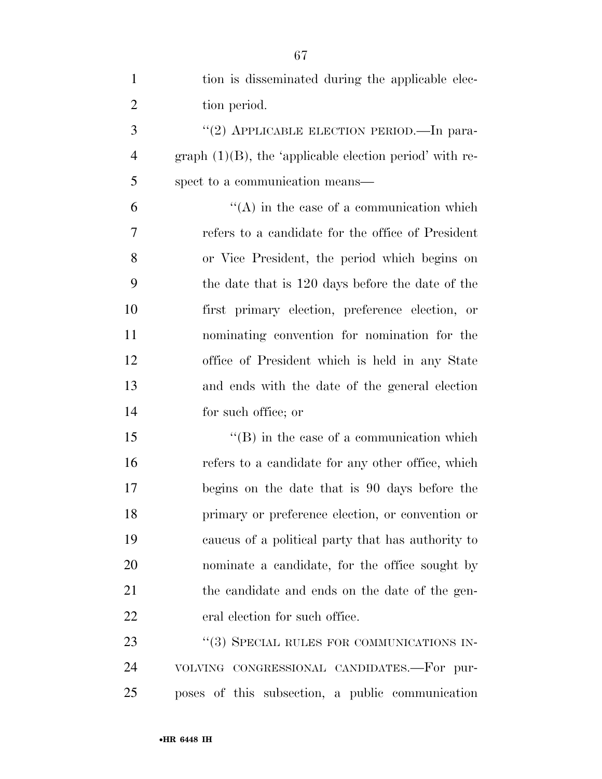| $\mathbf{1}$   | tion is disseminated during the applicable elec-           |
|----------------|------------------------------------------------------------|
| $\overline{2}$ | tion period.                                               |
| 3              | "(2) APPLICABLE ELECTION PERIOD.—In para-                  |
| $\overline{4}$ | graph $(1)(B)$ , the 'applicable election period' with re- |
| 5              | spect to a communication means—                            |
| 6              | $\lq\lq$ in the case of a communication which              |
| $\overline{7}$ | refers to a candidate for the office of President          |
| 8              | or Vice President, the period which begins on              |
| 9              | the date that is 120 days before the date of the           |
| 10             | first primary election, preference election, or            |
| 11             | nominating convention for nomination for the               |
| 12             | office of President which is held in any State             |
| 13             | and ends with the date of the general election             |
| 14             | for such office; or                                        |
| 15             | $\lq\lq$ (B) in the case of a communication which          |
| 16             | refers to a candidate for any other office, which          |
| 17             | begins on the date that is 90 days before the              |
| 18             | primary or preference election, or convention or           |
| 19             | caucus of a political party that has authority to          |
| 20             | nominate a candidate, for the office sought by             |
| 21             | the candidate and ends on the date of the gen-             |
| 22             | eral election for such office.                             |
| 23             | "(3) SPECIAL RULES FOR COMMUNICATIONS IN-                  |
| 24             | VOLVING CONGRESSIONAL CANDIDATES.-For pur-                 |
| 25             | poses of this subsection, a public communication           |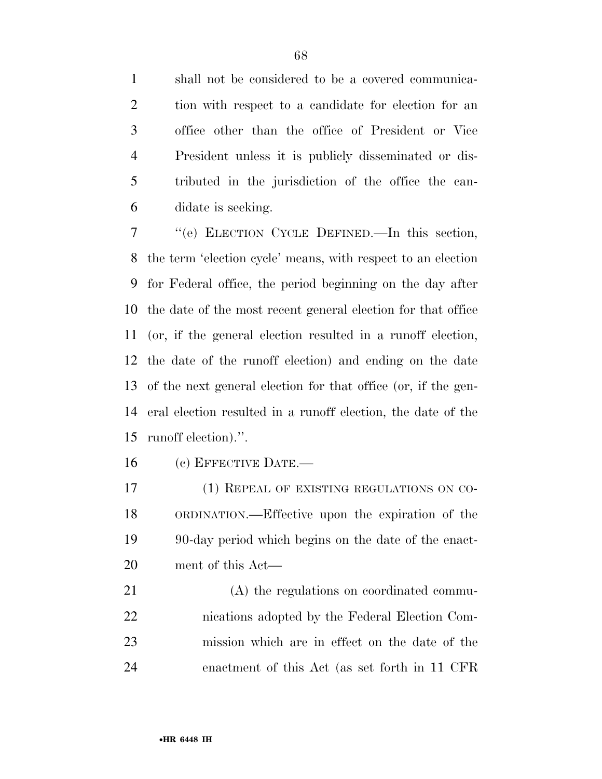shall not be considered to be a covered communica- tion with respect to a candidate for election for an office other than the office of President or Vice President unless it is publicly disseminated or dis- tributed in the jurisdiction of the office the can-didate is seeking.

 ''(e) ELECTION CYCLE DEFINED.—In this section, the term 'election cycle' means, with respect to an election for Federal office, the period beginning on the day after the date of the most recent general election for that office (or, if the general election resulted in a runoff election, the date of the runoff election) and ending on the date of the next general election for that office (or, if the gen- eral election resulted in a runoff election, the date of the runoff election).''.

(c) EFFECTIVE DATE.—

 (1) REPEAL OF EXISTING REGULATIONS ON CO- ORDINATION.—Effective upon the expiration of the 90-day period which begins on the date of the enact-ment of this Act—

 (A) the regulations on coordinated commu- nications adopted by the Federal Election Com- mission which are in effect on the date of the enactment of this Act (as set forth in 11 CFR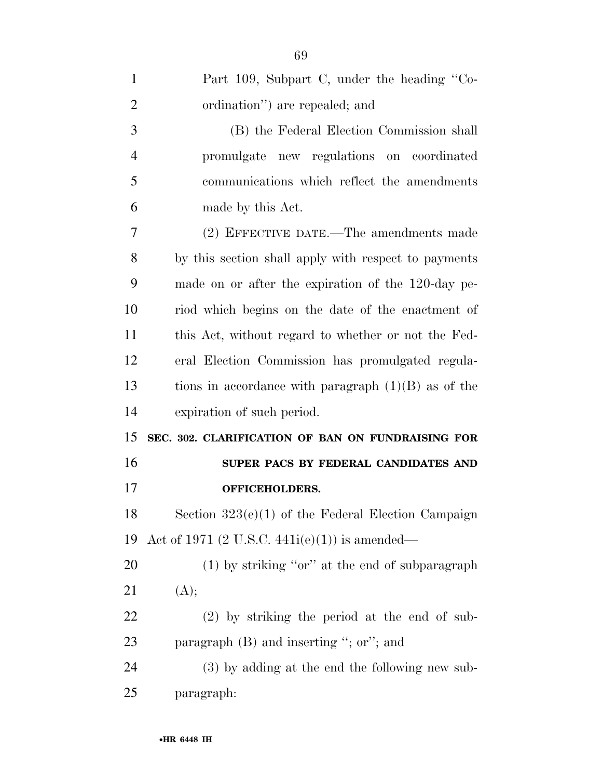| $\mathbf{1}$   | Part 109, Subpart C, under the heading "Co-           |
|----------------|-------------------------------------------------------|
| $\overline{2}$ | ordination") are repealed; and                        |
| 3              | (B) the Federal Election Commission shall             |
| 4              | promulgate new regulations on coordinated             |
| 5              | communications which reflect the amendments           |
| 6              | made by this Act.                                     |
| 7              | (2) EFFECTIVE DATE.—The amendments made               |
| 8              | by this section shall apply with respect to payments  |
| 9              | made on or after the expiration of the 120-day pe-    |
| 10             | riod which begins on the date of the enactment of     |
| 11             | this Act, without regard to whether or not the Fed-   |
| 12             | eral Election Commission has promulgated regula-      |
| 13             | tions in accordance with paragraph $(1)(B)$ as of the |
| 14             | expiration of such period.                            |
| 15             | SEC. 302. CLARIFICATION OF BAN ON FUNDRAISING FOR     |
| 16             | SUPER PACS BY FEDERAL CANDIDATES AND                  |
| 17             | <b>OFFICEHOLDERS.</b>                                 |
| 18             | Section $323(e)(1)$ of the Federal Election Campaign  |
| 19             | Act of 1971 (2 U.S.C. 441 $i(e)(1)$ ) is amended—     |
| 20             | $(1)$ by striking "or" at the end of subparagraph     |
| 21             | (A);                                                  |
| <u>22</u>      | $(2)$ by striking the period at the end of sub-       |
| 23             | paragraph $(B)$ and inserting "; or"; and             |
| 24             | $(3)$ by adding at the end the following new sub-     |
| 25             | paragraph:                                            |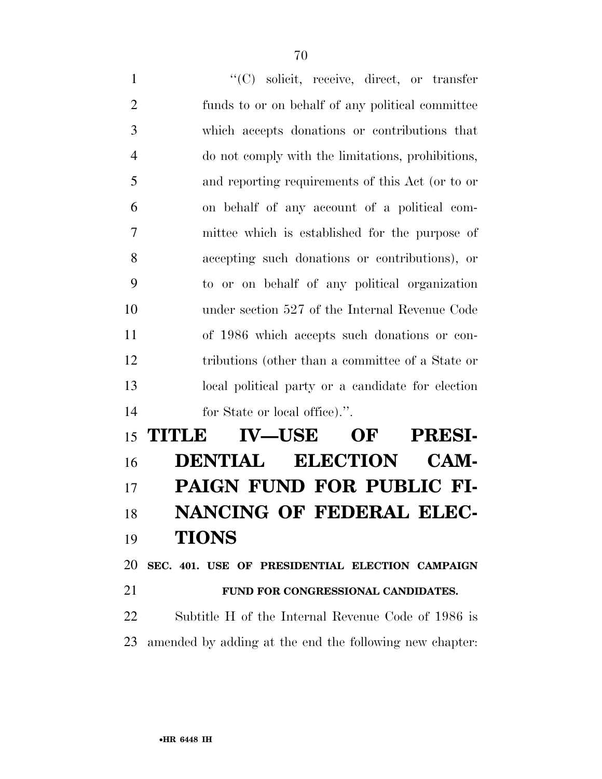$\langle ^{\prime}(C) \rangle$  solicit, receive, direct, or transfer funds to or on behalf of any political committee which accepts donations or contributions that do not comply with the limitations, prohibitions, and reporting requirements of this Act (or to or on behalf of any account of a political com- mittee which is established for the purpose of accepting such donations or contributions), or to or on behalf of any political organization under section 527 of the Internal Revenue Code of 1986 which accepts such donations or con- tributions (other than a committee of a State or local political party or a candidate for election for State or local office).''.

 **TITLE IV—USE OF PRESI- DENTIAL ELECTION CAM- PAIGN FUND FOR PUBLIC FI- NANCING OF FEDERAL ELEC- TIONS SEC. 401. USE OF PRESIDENTIAL ELECTION CAMPAIGN** 

**FUND FOR CONGRESSIONAL CANDIDATES.** 

 Subtitle H of the Internal Revenue Code of 1986 is amended by adding at the end the following new chapter: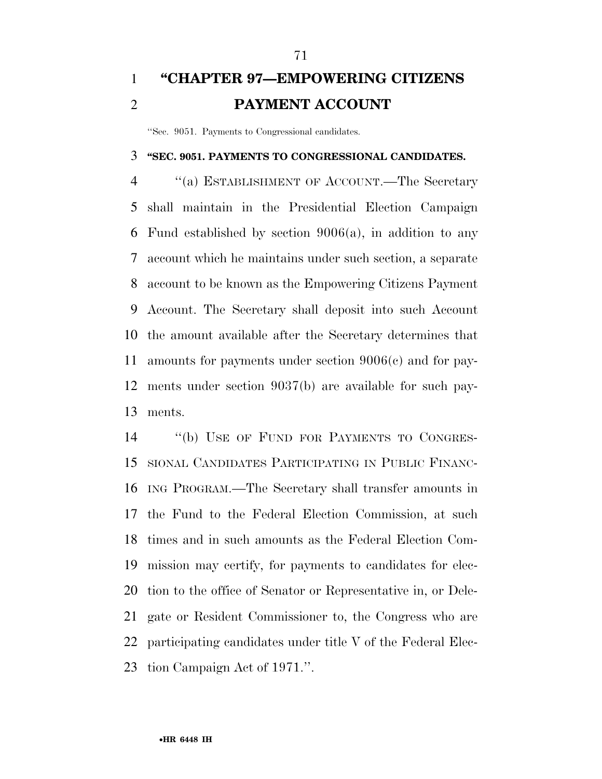### **''CHAPTER 97—EMPOWERING CITIZENS PAYMENT ACCOUNT**

''Sec. 9051. Payments to Congressional candidates.

#### **''SEC. 9051. PAYMENTS TO CONGRESSIONAL CANDIDATES.**

 ''(a) ESTABLISHMENT OF ACCOUNT.—The Secretary shall maintain in the Presidential Election Campaign Fund established by section 9006(a), in addition to any account which he maintains under such section, a separate account to be known as the Empowering Citizens Payment Account. The Secretary shall deposit into such Account the amount available after the Secretary determines that amounts for payments under section 9006(c) and for pay- ments under section 9037(b) are available for such pay-ments.

 ''(b) USE OF FUND FOR PAYMENTS TO CONGRES- SIONAL CANDIDATES PARTICIPATING IN PUBLIC FINANC- ING PROGRAM.—The Secretary shall transfer amounts in the Fund to the Federal Election Commission, at such times and in such amounts as the Federal Election Com- mission may certify, for payments to candidates for elec- tion to the office of Senator or Representative in, or Dele- gate or Resident Commissioner to, the Congress who are participating candidates under title V of the Federal Elec-tion Campaign Act of 1971.''.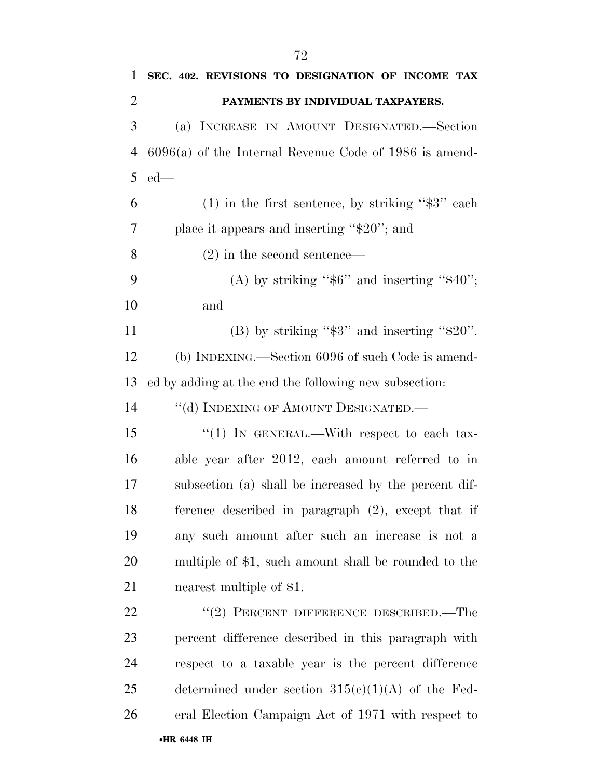| $\mathbf{1}$   | SEC. 402. REVISIONS TO DESIGNATION OF INCOME TAX         |
|----------------|----------------------------------------------------------|
| $\overline{2}$ | PAYMENTS BY INDIVIDUAL TAXPAYERS.                        |
| 3              | (a) INCREASE IN AMOUNT DESIGNATED.—Section               |
| $\overline{4}$ | $6096(a)$ of the Internal Revenue Code of 1986 is amend- |
| 5              | $ed$ —                                                   |
| 6              | $(1)$ in the first sentence, by striking "\$3" each      |
| 7              | place it appears and inserting " $$20$ "; and            |
| 8              | $(2)$ in the second sentence—                            |
| 9              | (A) by striking " $$6"$ and inserting " $$40"$ ;         |
| 10             | and                                                      |
| 11             | (B) by striking " $\$3"$ and inserting " $\$20"$ .       |
| 12             | (b) INDEXING.—Section 6096 of such Code is amend-        |
| 13             | ed by adding at the end the following new subsection:    |
| 14             | "(d) INDEXING OF AMOUNT DESIGNATED.-                     |
| 15             | "(1) IN GENERAL.—With respect to each tax-               |
| 16             | able year after 2012, each amount referred to in         |
| 17             | subsection (a) shall be increased by the percent dif-    |
| 18             | ference described in paragraph (2), except that if       |
| 19             | any such amount after such an increase is not a          |
| 20             | multiple of \$1, such amount shall be rounded to the     |
| 21             | nearest multiple of \$1.                                 |
| 22             | $(2)$ PERCENT DIFFERENCE DESCRIBED.—The                  |
| 23             | percent difference described in this paragraph with      |
| 24             | respect to a taxable year is the percent difference      |
| 25             | determined under section $315(e)(1)(A)$ of the Fed-      |
| 26             | eral Election Campaign Act of 1971 with respect to       |
|                | •HR 6448 IH                                              |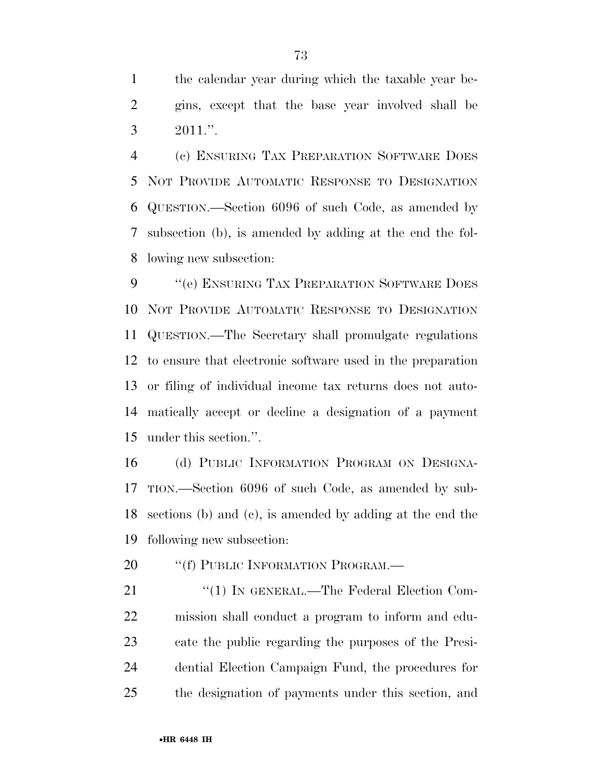the calendar year during which the taxable year be- gins, except that the base year involved shall be  $3 \t 2011."$ 

 (c) ENSURING TAX PREPARATION SOFTWARE DOES NOT PROVIDE AUTOMATIC RESPONSE TO DESIGNATION QUESTION.—Section 6096 of such Code, as amended by subsection (b), is amended by adding at the end the fol-lowing new subsection:

9 "(e) ENSURING TAX PREPARATION SOFTWARE DOES NOT PROVIDE AUTOMATIC RESPONSE TO DESIGNATION QUESTION.—The Secretary shall promulgate regulations to ensure that electronic software used in the preparation or filing of individual income tax returns does not auto- matically accept or decline a designation of a payment under this section.''.

 (d) PUBLIC INFORMATION PROGRAM ON DESIGNA- TION.—Section 6096 of such Code, as amended by sub- sections (b) and (c), is amended by adding at the end the following new subsection:

20 "(f) PUBLIC INFORMATION PROGRAM.—

21 "(1) IN GENERAL.—The Federal Election Com- mission shall conduct a program to inform and edu- cate the public regarding the purposes of the Presi- dential Election Campaign Fund, the procedures for the designation of payments under this section, and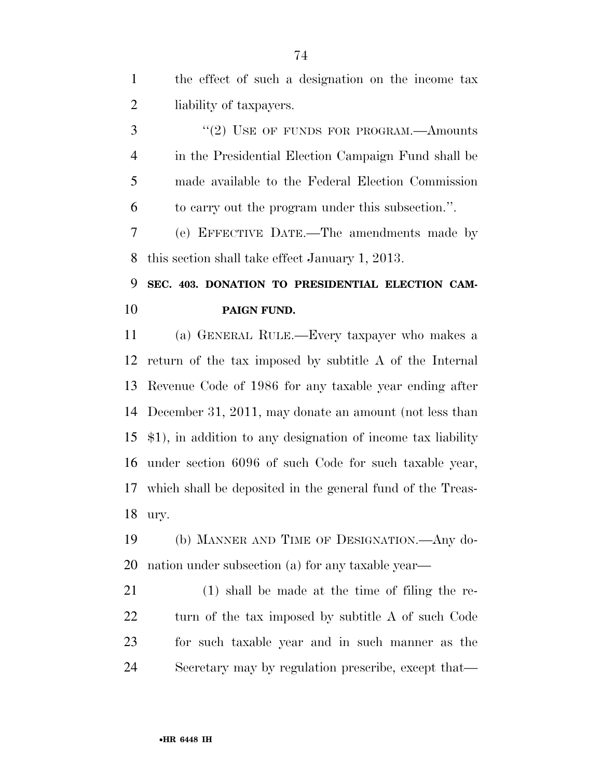the effect of such a designation on the income tax liability of taxpayers.

3 "(2) USE OF FUNDS FOR PROGRAM.—Amounts in the Presidential Election Campaign Fund shall be made available to the Federal Election Commission to carry out the program under this subsection.''.

 (e) EFFECTIVE DATE.—The amendments made by this section shall take effect January 1, 2013.

## **SEC. 403. DONATION TO PRESIDENTIAL ELECTION CAM-PAIGN FUND.**

 (a) GENERAL RULE.—Every taxpayer who makes a return of the tax imposed by subtitle A of the Internal Revenue Code of 1986 for any taxable year ending after December 31, 2011, may donate an amount (not less than \$1), in addition to any designation of income tax liability under section 6096 of such Code for such taxable year, which shall be deposited in the general fund of the Treas-ury.

 (b) MANNER AND TIME OF DESIGNATION.—Any do-nation under subsection (a) for any taxable year—

 (1) shall be made at the time of filing the re-22 turn of the tax imposed by subtitle A of such Code for such taxable year and in such manner as the Secretary may by regulation prescribe, except that—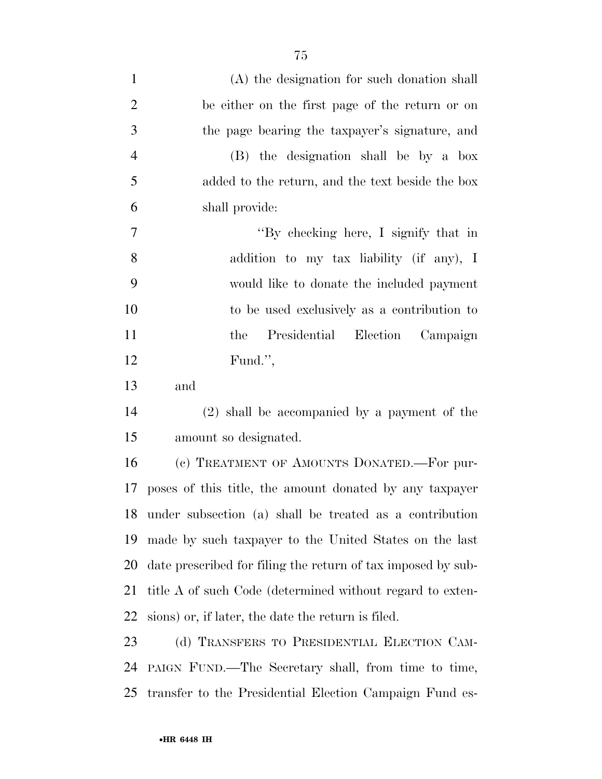| $\mathbf{1}$   | (A) the designation for such donation shall                  |
|----------------|--------------------------------------------------------------|
| $\overline{2}$ | be either on the first page of the return or on              |
| 3              | the page bearing the taxpayer's signature, and               |
| $\overline{4}$ | (B) the designation shall be by a box                        |
| 5              | added to the return, and the text beside the box             |
| 6              | shall provide:                                               |
| $\overline{7}$ | "By checking here, I signify that in                         |
| 8              | addition to my tax liability (if any), I                     |
| 9              | would like to donate the included payment                    |
| 10             | to be used exclusively as a contribution to                  |
| 11             | Presidential<br>Election<br>Campaign<br>the                  |
| 12             | Fund.",                                                      |
| 13             | and                                                          |
| 14             | (2) shall be accompanied by a payment of the                 |
| 15             | amount so designated.                                        |
| 16             | (c) TREATMENT OF AMOUNTS DONATED. For pur-                   |
| 17             | poses of this title, the amount donated by any taxpayer      |
|                | 18 under subsection (a) shall be treated as a contribution   |
| 19             | made by such taxpayer to the United States on the last       |
| 20             | date prescribed for filing the return of tax imposed by sub- |
| 21             | title A of such Code (determined without regard to exten-    |
| 22             | sions) or, if later, the date the return is filed.           |
| 23             | (d) TRANSFERS TO PRESIDENTIAL ELECTION CAM-                  |
| 24             | PAIGN FUND.—The Secretary shall, from time to time,          |
| 25             | transfer to the Presidential Election Campaign Fund es-      |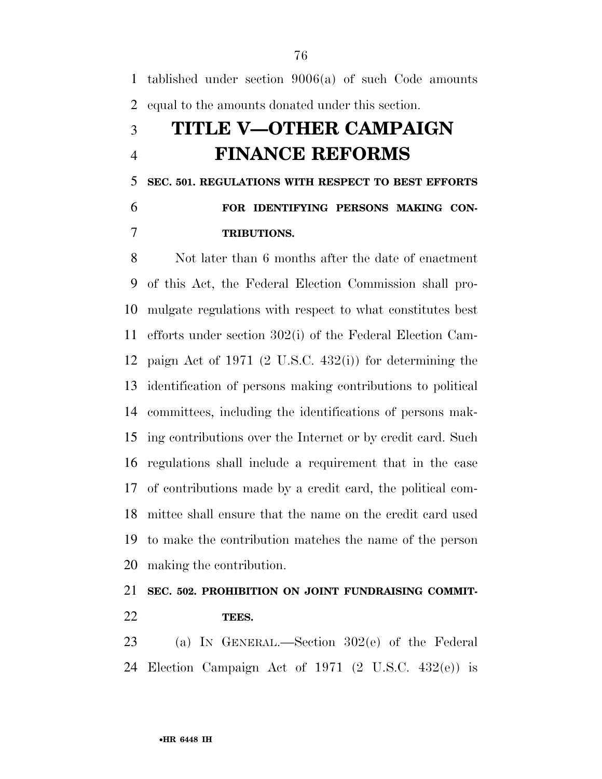tablished under section 9006(a) of such Code amounts equal to the amounts donated under this section.

## **TITLE V—OTHER CAMPAIGN FINANCE REFORMS**

 **SEC. 501. REGULATIONS WITH RESPECT TO BEST EFFORTS FOR IDENTIFYING PERSONS MAKING CON-TRIBUTIONS.** 

 Not later than 6 months after the date of enactment of this Act, the Federal Election Commission shall pro- mulgate regulations with respect to what constitutes best efforts under section 302(i) of the Federal Election Cam- paign Act of 1971 (2 U.S.C. 432(i)) for determining the identification of persons making contributions to political committees, including the identifications of persons mak- ing contributions over the Internet or by credit card. Such regulations shall include a requirement that in the case of contributions made by a credit card, the political com- mittee shall ensure that the name on the credit card used to make the contribution matches the name of the person making the contribution.

### **SEC. 502. PROHIBITION ON JOINT FUNDRAISING COMMIT-TEES.**

 (a) IN GENERAL.—Section 302(e) of the Federal Election Campaign Act of 1971 (2 U.S.C. 432(e)) is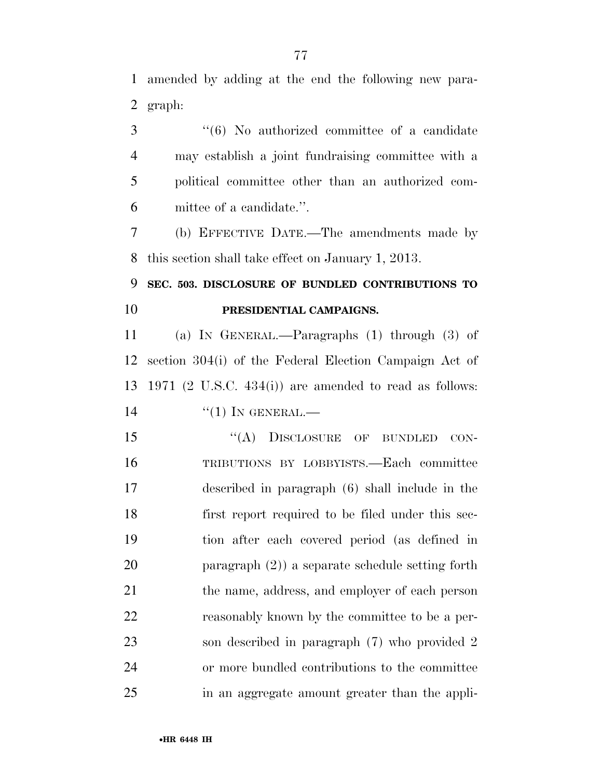amended by adding at the end the following new para-graph:

3 "(6) No authorized committee of a candidate may establish a joint fundraising committee with a political committee other than an authorized com-mittee of a candidate.''.

 (b) EFFECTIVE DATE.—The amendments made by this section shall take effect on January 1, 2013.

 **SEC. 503. DISCLOSURE OF BUNDLED CONTRIBUTIONS TO PRESIDENTIAL CAMPAIGNS.** 

 (a) IN GENERAL.—Paragraphs (1) through (3) of section 304(i) of the Federal Election Campaign Act of 1971 (2 U.S.C. 434(i)) are amended to read as follows: ''(1) IN GENERAL.—

15 "(A) DISCLOSURE OF BUNDLED CON- TRIBUTIONS BY LOBBYISTS.—Each committee described in paragraph (6) shall include in the first report required to be filed under this sec- tion after each covered period (as defined in paragraph (2)) a separate schedule setting forth the name, address, and employer of each person reasonably known by the committee to be a per- son described in paragraph (7) who provided 2 or more bundled contributions to the committee in an aggregate amount greater than the appli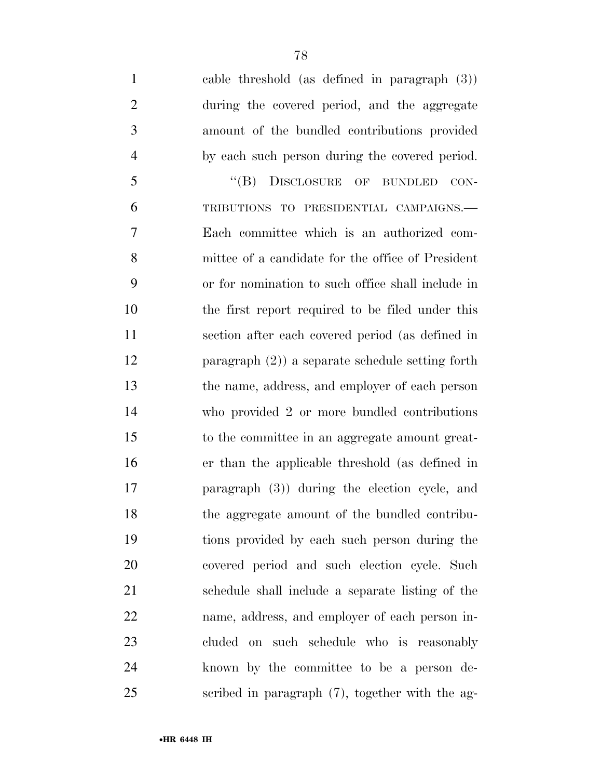cable threshold (as defined in paragraph (3)) during the covered period, and the aggregate amount of the bundled contributions provided by each such person during the covered period. 5 "(B) DISCLOSURE OF BUNDLED CON- TRIBUTIONS TO PRESIDENTIAL CAMPAIGNS.— Each committee which is an authorized com- mittee of a candidate for the office of President or for nomination to such office shall include in the first report required to be filed under this section after each covered period (as defined in paragraph (2)) a separate schedule setting forth the name, address, and employer of each person who provided 2 or more bundled contributions to the committee in an aggregate amount great- er than the applicable threshold (as defined in paragraph (3)) during the election cycle, and the aggregate amount of the bundled contribu- tions provided by each such person during the covered period and such election cycle. Such schedule shall include a separate listing of the name, address, and employer of each person in- cluded on such schedule who is reasonably known by the committee to be a person de-scribed in paragraph (7), together with the ag-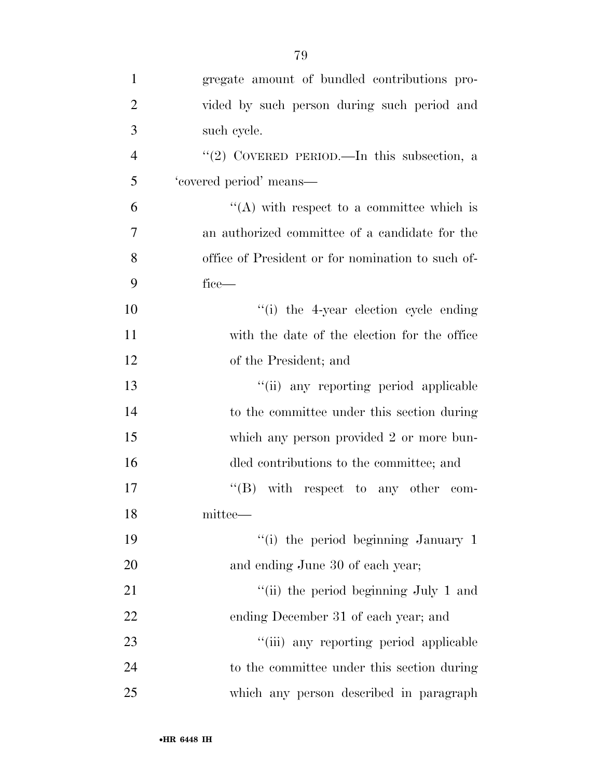| $\mathbf{1}$   | gregate amount of bundled contributions pro-      |
|----------------|---------------------------------------------------|
| $\overline{2}$ | vided by such person during such period and       |
| 3              | such cycle.                                       |
| $\overline{4}$ | "(2) COVERED PERIOD.—In this subsection, a        |
| 5              | 'covered period' means-                           |
| 6              | $\lq\lq$ with respect to a committee which is     |
| 7              | an authorized committee of a candidate for the    |
| 8              | office of President or for nomination to such of- |
| 9              | fice—                                             |
| 10             | "(i) the 4-year election cycle ending             |
| 11             | with the date of the election for the office      |
| 12             | of the President; and                             |
| 13             | "(ii) any reporting period applicable             |
| 14             | to the committee under this section during        |
| 15             | which any person provided 2 or more bun-          |
| 16             | dled contributions to the committee; and          |
| 17             | $\lq\lq (B)$ with respect to any other com-       |
| 18             | mittee—                                           |
| 19             | "(i) the period beginning January 1               |
| 20             | and ending June 30 of each year;                  |
| 21             | "(ii) the period beginning July 1 and             |
| 22             | ending December 31 of each year; and              |
| 23             | "(iii) any reporting period applicable            |
| 24             | to the committee under this section during        |
| 25             | which any person described in paragraph           |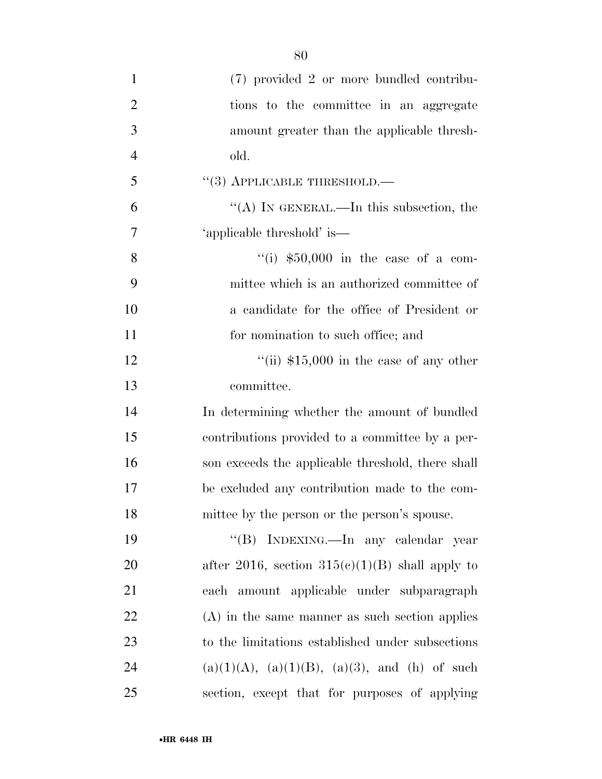| $\mathbf{1}$   | (7) provided 2 or more bundled contribu-          |
|----------------|---------------------------------------------------|
| $\overline{2}$ | tions to the committee in an aggregate            |
| 3              | amount greater than the applicable thresh-        |
| $\overline{4}$ | old.                                              |
| 5              | $(3)$ APPLICABLE THRESHOLD.—                      |
| 6              | "(A) IN GENERAL.—In this subsection, the          |
| $\overline{7}$ | 'applicable threshold' is—                        |
| 8              | "(i) $$50,000$ in the case of a com-              |
| 9              | mittee which is an authorized committee of        |
| 10             | a candidate for the office of President or        |
| 11             | for nomination to such office; and                |
| 12             | "(ii) $$15,000$ in the case of any other          |
| 13             | committee.                                        |
| 14             | In determining whether the amount of bundled      |
| 15             | contributions provided to a committee by a per-   |
| 16             | son exceeds the applicable threshold, there shall |
| 17             | be excluded any contribution made to the com-     |
| 18             | mittee by the person or the person's spouse.      |
| 19             | "(B) INDEXING.—In any calendar year               |
| 20             | after 2016, section $315(e)(1)(B)$ shall apply to |
| 21             | each amount applicable under subparagraph         |
| 22             | $(A)$ in the same manner as such section applies  |
| 23             | to the limitations established under subsections  |
| 24             | $(a)(1)(A), (a)(1)(B), (a)(3), and (h)$ of such   |
| 25             | section, except that for purposes of applying     |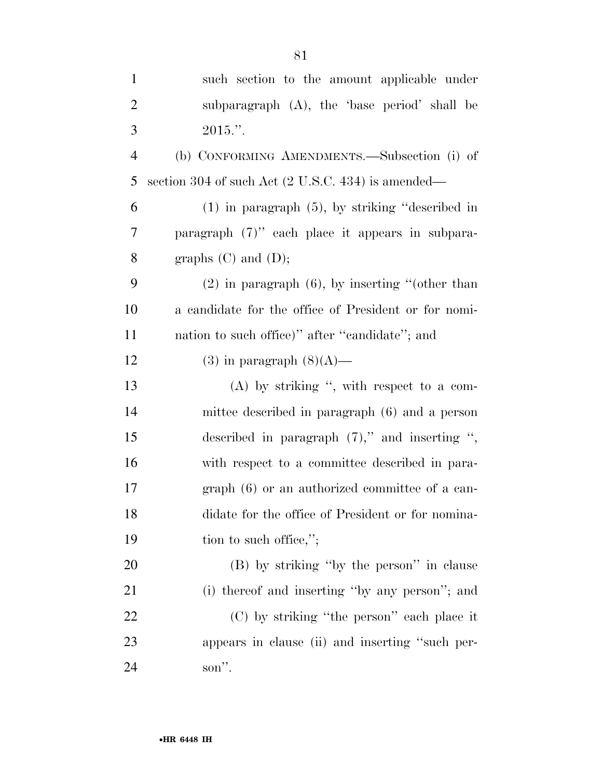| $\mathbf{1}$   | such section to the amount applicable under          |
|----------------|------------------------------------------------------|
| $\overline{2}$ | subparagraph (A), the 'base period' shall be         |
| 3              | $2015."$ .                                           |
| $\overline{4}$ | (b) CONFORMING AMENDMENTS.—Subsection (i) of         |
| 5              | section 304 of such Act (2 U.S.C. 434) is amended—   |
| 6              | $(1)$ in paragraph $(5)$ , by striking "described in |
| 7              | paragraph $(7)$ " each place it appears in subpara-  |
| 8              | graphs $(C)$ and $(D)$ ;                             |
| 9              | $(2)$ in paragraph $(6)$ , by inserting "(other than |
| 10             | a candidate for the office of President or for nomi- |
| 11             | nation to such office)" after "candidate"; and       |
| 12             | $(3)$ in paragraph $(8)(A)$ —                        |
| 13             | $(A)$ by striking ", with respect to a com-          |
| 14             | mittee described in paragraph (6) and a person       |
| 15             | described in paragraph $(7)$ ," and inserting ",     |
| 16             | with respect to a committee described in para-       |
| 17             | $graph(6)$ or an authorized committee of a can-      |
| 18             | didate for the office of President or for nomina-    |
| 19             | tion to such office,";                               |
| 20             | (B) by striking "by the person" in clause            |
| 21             | (i) thereof and inserting "by any person"; and       |
| 22             | (C) by striking "the person" each place it           |
| 23             | appears in clause (ii) and inserting "such per-      |
| 24             | son".                                                |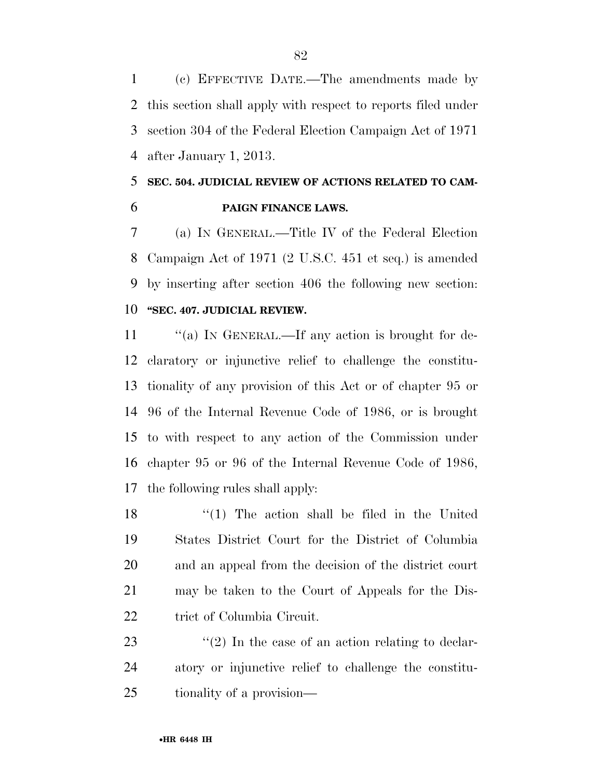(c) EFFECTIVE DATE.—The amendments made by this section shall apply with respect to reports filed under section 304 of the Federal Election Campaign Act of 1971 after January 1, 2013.

### **SEC. 504. JUDICIAL REVIEW OF ACTIONS RELATED TO CAM-PAIGN FINANCE LAWS.**

 (a) IN GENERAL.—Title IV of the Federal Election Campaign Act of 1971 (2 U.S.C. 451 et seq.) is amended by inserting after section 406 the following new section: **''SEC. 407. JUDICIAL REVIEW.** 

11 "(a) In GENERAL.—If any action is brought for de- claratory or injunctive relief to challenge the constitu- tionality of any provision of this Act or of chapter 95 or 96 of the Internal Revenue Code of 1986, or is brought to with respect to any action of the Commission under chapter 95 or 96 of the Internal Revenue Code of 1986, the following rules shall apply:

 ''(1) The action shall be filed in the United States District Court for the District of Columbia and an appeal from the decision of the district court may be taken to the Court of Appeals for the Dis-22 trict of Columbia Circuit.

23  $\langle \mathfrak{C}(2) \rangle$  In the case of an action relating to declar- atory or injunctive relief to challenge the constitu-tionality of a provision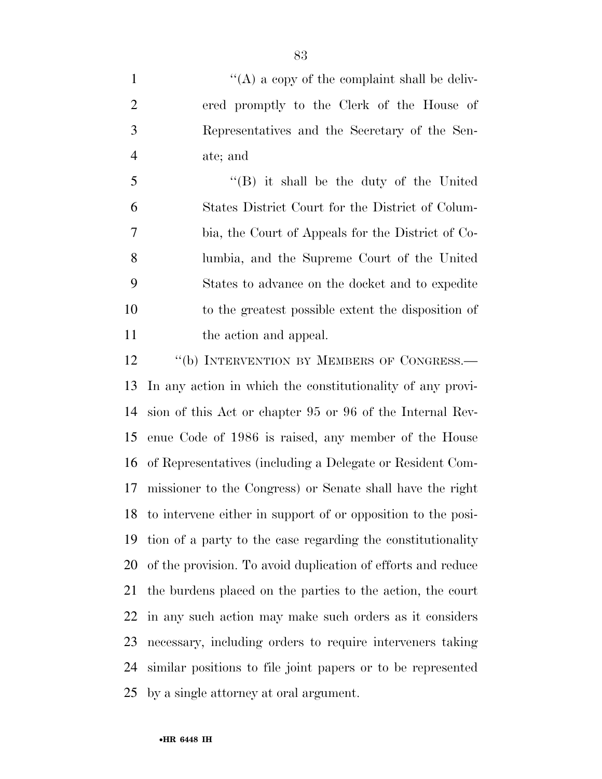$\langle (A) \rangle$  a copy of the complaint shall be deliv- ered promptly to the Clerk of the House of Representatives and the Secretary of the Sen-ate; and

 ''(B) it shall be the duty of the United States District Court for the District of Colum- bia, the Court of Appeals for the District of Co- lumbia, and the Supreme Court of the United States to advance on the docket and to expedite to the greatest possible extent the disposition of 11 the action and appeal.

12 "(b) INTERVENTION BY MEMBERS OF CONGRESS.— In any action in which the constitutionality of any provi- sion of this Act or chapter 95 or 96 of the Internal Rev- enue Code of 1986 is raised, any member of the House of Representatives (including a Delegate or Resident Com- missioner to the Congress) or Senate shall have the right to intervene either in support of or opposition to the posi- tion of a party to the case regarding the constitutionality of the provision. To avoid duplication of efforts and reduce the burdens placed on the parties to the action, the court in any such action may make such orders as it considers necessary, including orders to require interveners taking similar positions to file joint papers or to be represented by a single attorney at oral argument.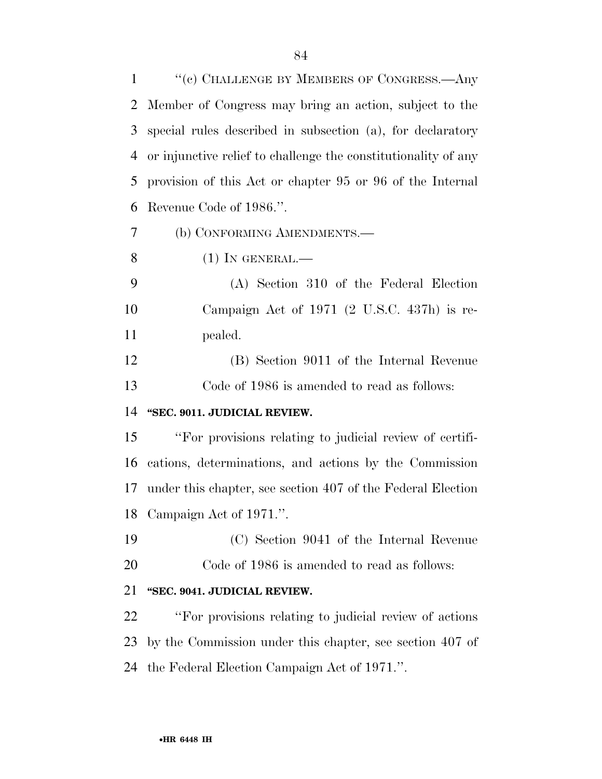| $\mathbf{1}$   | "(c) CHALLENGE BY MEMBERS OF CONGRESS.—Any                     |
|----------------|----------------------------------------------------------------|
| 2              | Member of Congress may bring an action, subject to the         |
| 3              | special rules described in subsection (a), for declaratory     |
| $\overline{4}$ | or injunctive relief to challenge the constitutionality of any |
| 5              | provision of this Act or chapter 95 or 96 of the Internal      |
| 6              | Revenue Code of 1986.".                                        |
| 7              | (b) CONFORMING AMENDMENTS.-                                    |
| 8              | $(1)$ In GENERAL.—                                             |
| 9              | (A) Section 310 of the Federal Election                        |
| 10             | Campaign Act of 1971 (2 U.S.C. 437h) is re-                    |
| 11             | pealed.                                                        |
| 12             | (B) Section 9011 of the Internal Revenue                       |
| 13             | Code of 1986 is amended to read as follows:                    |
| 14             | "SEC. 9011. JUDICIAL REVIEW.                                   |
| 15             | "For provisions relating to judicial review of certifi-        |
| 16             | cations, determinations, and actions by the Commission         |
| 17             | under this chapter, see section 407 of the Federal Election    |
|                | 18 Campaign Act of 1971.".                                     |
| 19             | (C) Section 9041 of the Internal Revenue                       |
| 20             | Code of 1986 is amended to read as follows:                    |
| 21             | "SEC. 9041. JUDICIAL REVIEW.                                   |
| 22             | "For provisions relating to judicial review of actions"        |
| 23             | by the Commission under this chapter, see section 407 of       |
| 24             | the Federal Election Campaign Act of 1971.".                   |
|                |                                                                |